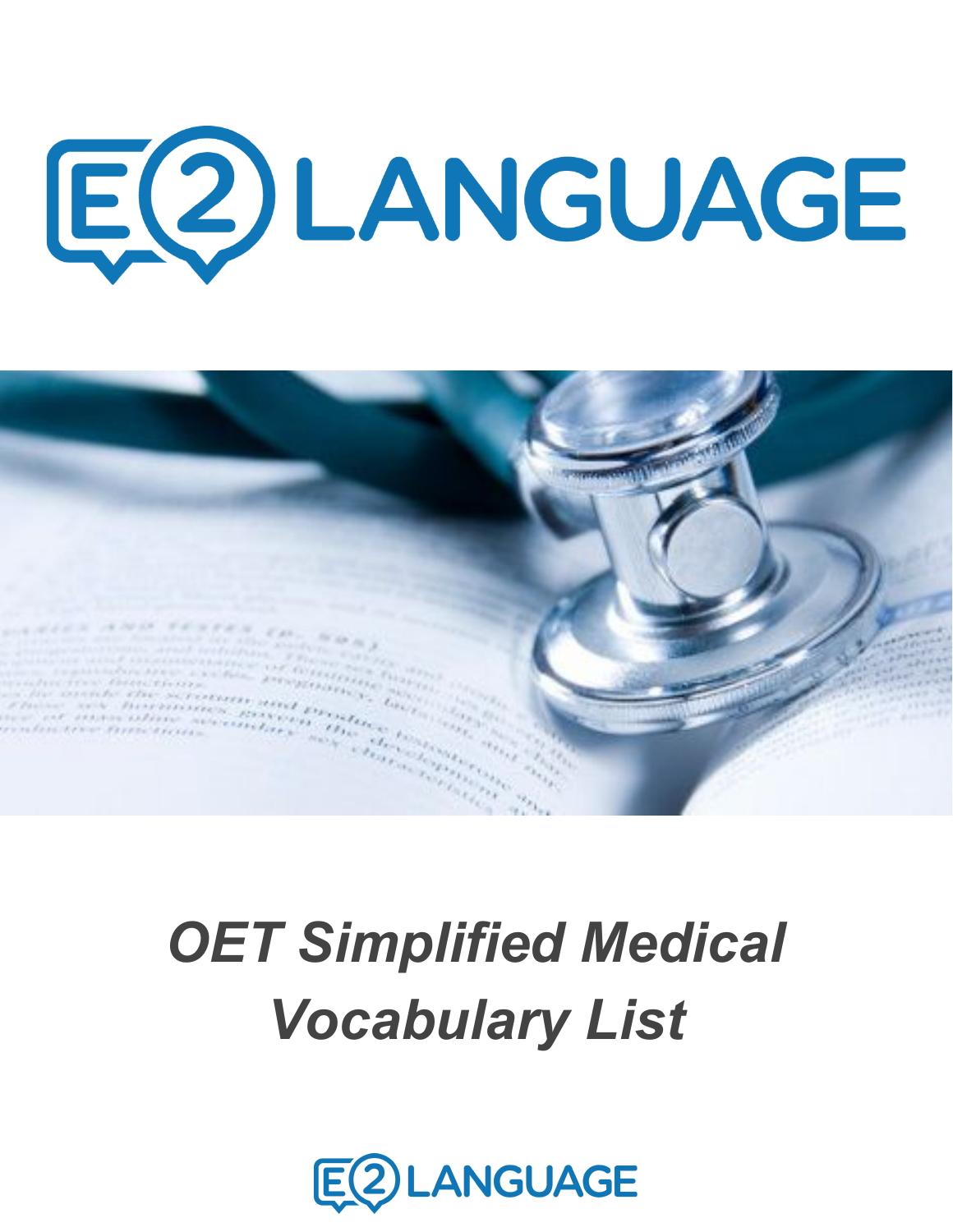# E2)LANGUAGE



## *OET Simplified Medical Vocabulary List*

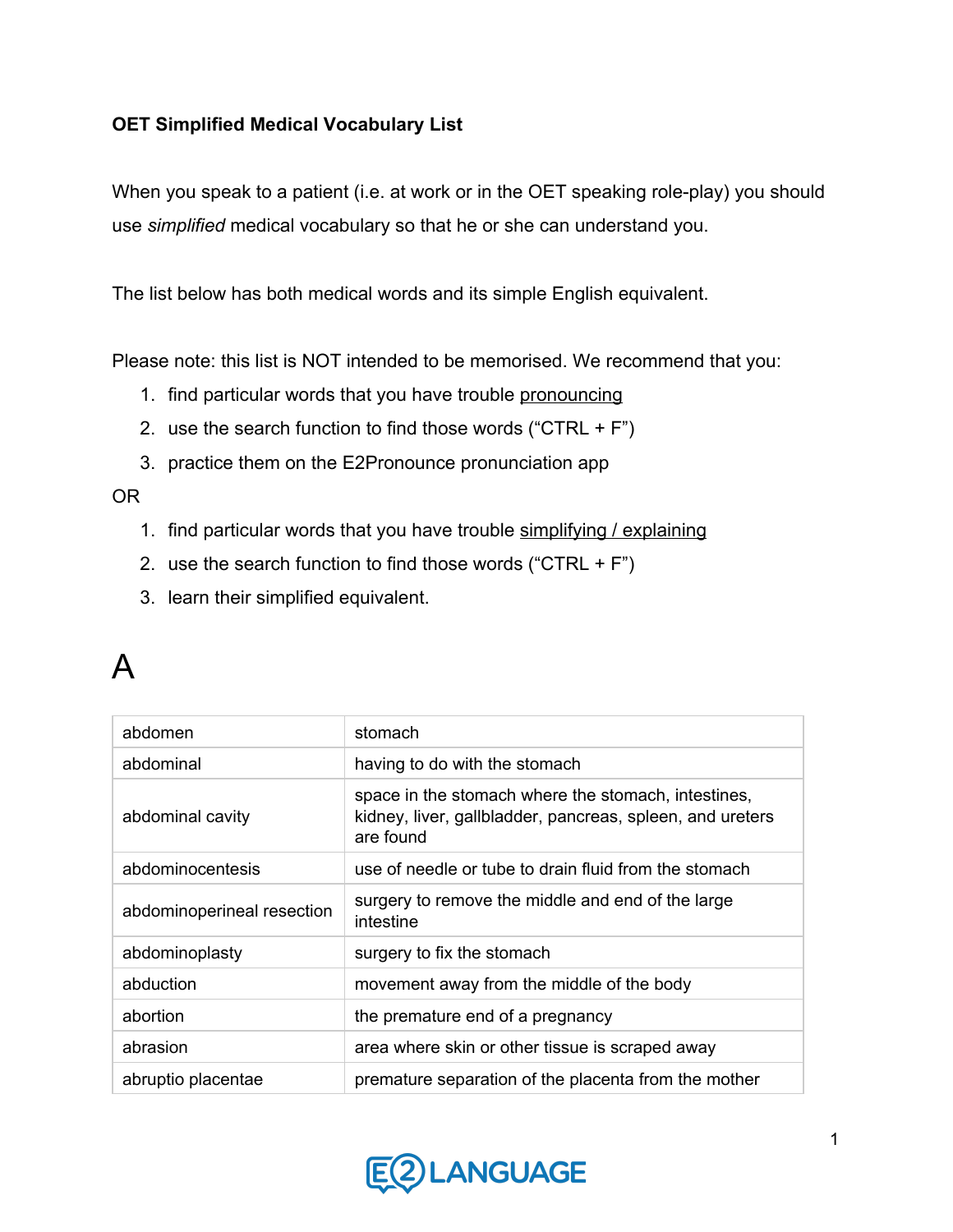#### **OET Simplified Medical Vocabulary List**

When you speak to a patient (i.e. at work or in the OET speaking role-play) you should use *simplified* medical vocabulary so that he or she can understand you.

The list below has both medical words and its simple English equivalent.

Please note: this list is NOT intended to be memorised. We recommend that you:

- 1. find particular words that you have trouble pronouncing
- 2. use the search function to find those words ("CTRL +  $F$ ")
- 3. practice them on the E2Pronounce pronunciation app

OR

- 1. find particular words that you have trouble simplifying / explaining
- 2. use the search function to find those words ("CTRL +  $F$ ")
- 3. learn their simplified equivalent.

#### A

| abdomen                    | stomach                                                                                                                       |
|----------------------------|-------------------------------------------------------------------------------------------------------------------------------|
| abdominal                  | having to do with the stomach                                                                                                 |
| abdominal cavity           | space in the stomach where the stomach, intestines,<br>kidney, liver, gallbladder, pancreas, spleen, and ureters<br>are found |
| abdominocentesis           | use of needle or tube to drain fluid from the stomach                                                                         |
| abdominoperineal resection | surgery to remove the middle and end of the large<br>intestine                                                                |
| abdominoplasty             | surgery to fix the stomach                                                                                                    |
| abduction                  | movement away from the middle of the body                                                                                     |
| abortion                   | the premature end of a pregnancy                                                                                              |
| abrasion                   | area where skin or other tissue is scraped away                                                                               |
| abruptio placentae         | premature separation of the placenta from the mother                                                                          |

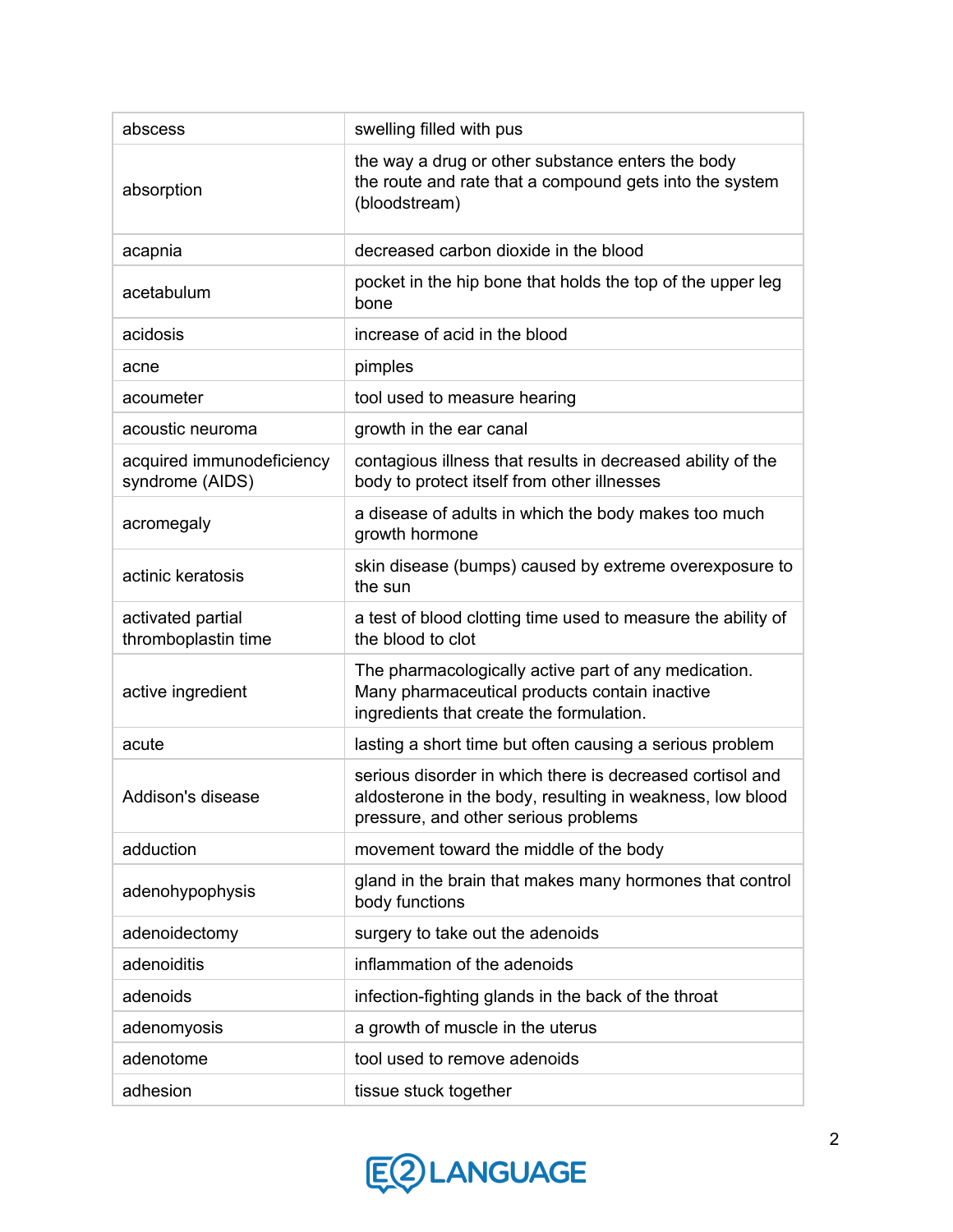| abscess                                      | swelling filled with pus                                                                                                                                       |
|----------------------------------------------|----------------------------------------------------------------------------------------------------------------------------------------------------------------|
| absorption                                   | the way a drug or other substance enters the body<br>the route and rate that a compound gets into the system<br>(bloodstream)                                  |
| acapnia                                      | decreased carbon dioxide in the blood                                                                                                                          |
| acetabulum                                   | pocket in the hip bone that holds the top of the upper leg<br>bone                                                                                             |
| acidosis                                     | increase of acid in the blood                                                                                                                                  |
| acne                                         | pimples                                                                                                                                                        |
| acoumeter                                    | tool used to measure hearing                                                                                                                                   |
| acoustic neuroma                             | growth in the ear canal                                                                                                                                        |
| acquired immunodeficiency<br>syndrome (AIDS) | contagious illness that results in decreased ability of the<br>body to protect itself from other illnesses                                                     |
| acromegaly                                   | a disease of adults in which the body makes too much<br>growth hormone                                                                                         |
| actinic keratosis                            | skin disease (bumps) caused by extreme overexposure to<br>the sun                                                                                              |
| activated partial<br>thromboplastin time     | a test of blood clotting time used to measure the ability of<br>the blood to clot                                                                              |
| active ingredient                            | The pharmacologically active part of any medication.<br>Many pharmaceutical products contain inactive<br>ingredients that create the formulation.              |
| acute                                        | lasting a short time but often causing a serious problem                                                                                                       |
| Addison's disease                            | serious disorder in which there is decreased cortisol and<br>aldosterone in the body, resulting in weakness, low blood<br>pressure, and other serious problems |
| adduction                                    | movement toward the middle of the body                                                                                                                         |
| adenohypophysis                              | gland in the brain that makes many hormones that control<br>body functions                                                                                     |
| adenoidectomy                                | surgery to take out the adenoids                                                                                                                               |
| adenoiditis                                  | inflammation of the adenoids                                                                                                                                   |
| adenoids                                     | infection-fighting glands in the back of the throat                                                                                                            |
| adenomyosis                                  | a growth of muscle in the uterus                                                                                                                               |
| adenotome                                    | tool used to remove adenoids                                                                                                                                   |
| adhesion                                     | tissue stuck together                                                                                                                                          |

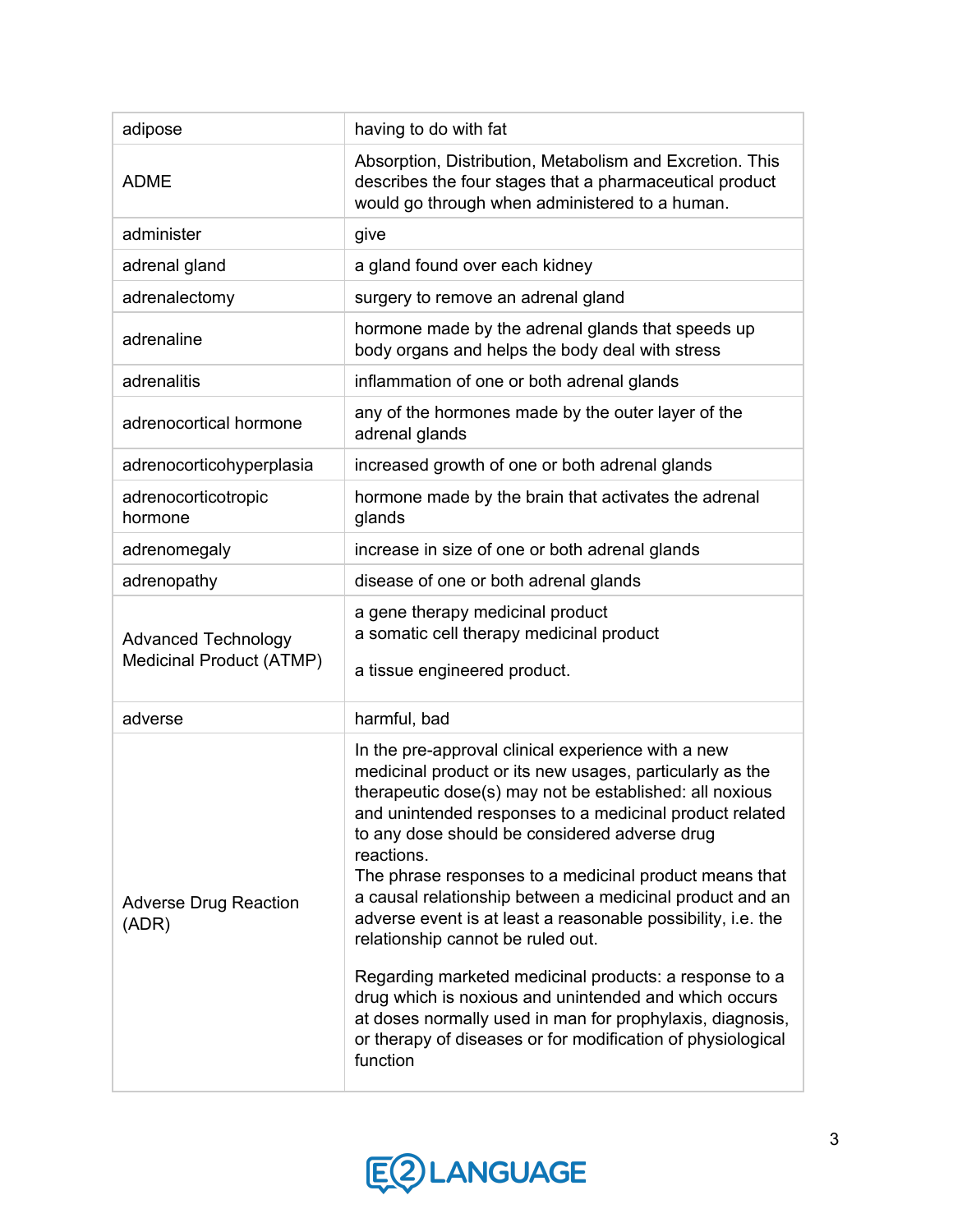| adipose                                                | having to do with fat                                                                                                                                                                                                                                                                                                                                                                                                                                                                                                                                                                                                                                                                                                                                                                     |
|--------------------------------------------------------|-------------------------------------------------------------------------------------------------------------------------------------------------------------------------------------------------------------------------------------------------------------------------------------------------------------------------------------------------------------------------------------------------------------------------------------------------------------------------------------------------------------------------------------------------------------------------------------------------------------------------------------------------------------------------------------------------------------------------------------------------------------------------------------------|
| <b>ADME</b>                                            | Absorption, Distribution, Metabolism and Excretion. This<br>describes the four stages that a pharmaceutical product<br>would go through when administered to a human.                                                                                                                                                                                                                                                                                                                                                                                                                                                                                                                                                                                                                     |
| administer                                             | give                                                                                                                                                                                                                                                                                                                                                                                                                                                                                                                                                                                                                                                                                                                                                                                      |
| adrenal gland                                          | a gland found over each kidney                                                                                                                                                                                                                                                                                                                                                                                                                                                                                                                                                                                                                                                                                                                                                            |
| adrenalectomy                                          | surgery to remove an adrenal gland                                                                                                                                                                                                                                                                                                                                                                                                                                                                                                                                                                                                                                                                                                                                                        |
| adrenaline                                             | hormone made by the adrenal glands that speeds up<br>body organs and helps the body deal with stress                                                                                                                                                                                                                                                                                                                                                                                                                                                                                                                                                                                                                                                                                      |
| adrenalitis                                            | inflammation of one or both adrenal glands                                                                                                                                                                                                                                                                                                                                                                                                                                                                                                                                                                                                                                                                                                                                                |
| adrenocortical hormone                                 | any of the hormones made by the outer layer of the<br>adrenal glands                                                                                                                                                                                                                                                                                                                                                                                                                                                                                                                                                                                                                                                                                                                      |
| adrenocorticohyperplasia                               | increased growth of one or both adrenal glands                                                                                                                                                                                                                                                                                                                                                                                                                                                                                                                                                                                                                                                                                                                                            |
| adrenocorticotropic<br>hormone                         | hormone made by the brain that activates the adrenal<br>glands                                                                                                                                                                                                                                                                                                                                                                                                                                                                                                                                                                                                                                                                                                                            |
| adrenomegaly                                           | increase in size of one or both adrenal glands                                                                                                                                                                                                                                                                                                                                                                                                                                                                                                                                                                                                                                                                                                                                            |
| adrenopathy                                            | disease of one or both adrenal glands                                                                                                                                                                                                                                                                                                                                                                                                                                                                                                                                                                                                                                                                                                                                                     |
| <b>Advanced Technology</b><br>Medicinal Product (ATMP) | a gene therapy medicinal product<br>a somatic cell therapy medicinal product<br>a tissue engineered product.                                                                                                                                                                                                                                                                                                                                                                                                                                                                                                                                                                                                                                                                              |
| adverse                                                | harmful, bad                                                                                                                                                                                                                                                                                                                                                                                                                                                                                                                                                                                                                                                                                                                                                                              |
| <b>Adverse Drug Reaction</b><br>(ADR)                  | In the pre-approval clinical experience with a new<br>medicinal product or its new usages, particularly as the<br>therapeutic dose(s) may not be established: all noxious<br>and unintended responses to a medicinal product related<br>to any dose should be considered adverse drug<br>reactions.<br>The phrase responses to a medicinal product means that<br>a causal relationship between a medicinal product and an<br>adverse event is at least a reasonable possibility, i.e. the<br>relationship cannot be ruled out.<br>Regarding marketed medicinal products: a response to a<br>drug which is noxious and unintended and which occurs<br>at doses normally used in man for prophylaxis, diagnosis,<br>or therapy of diseases or for modification of physiological<br>function |

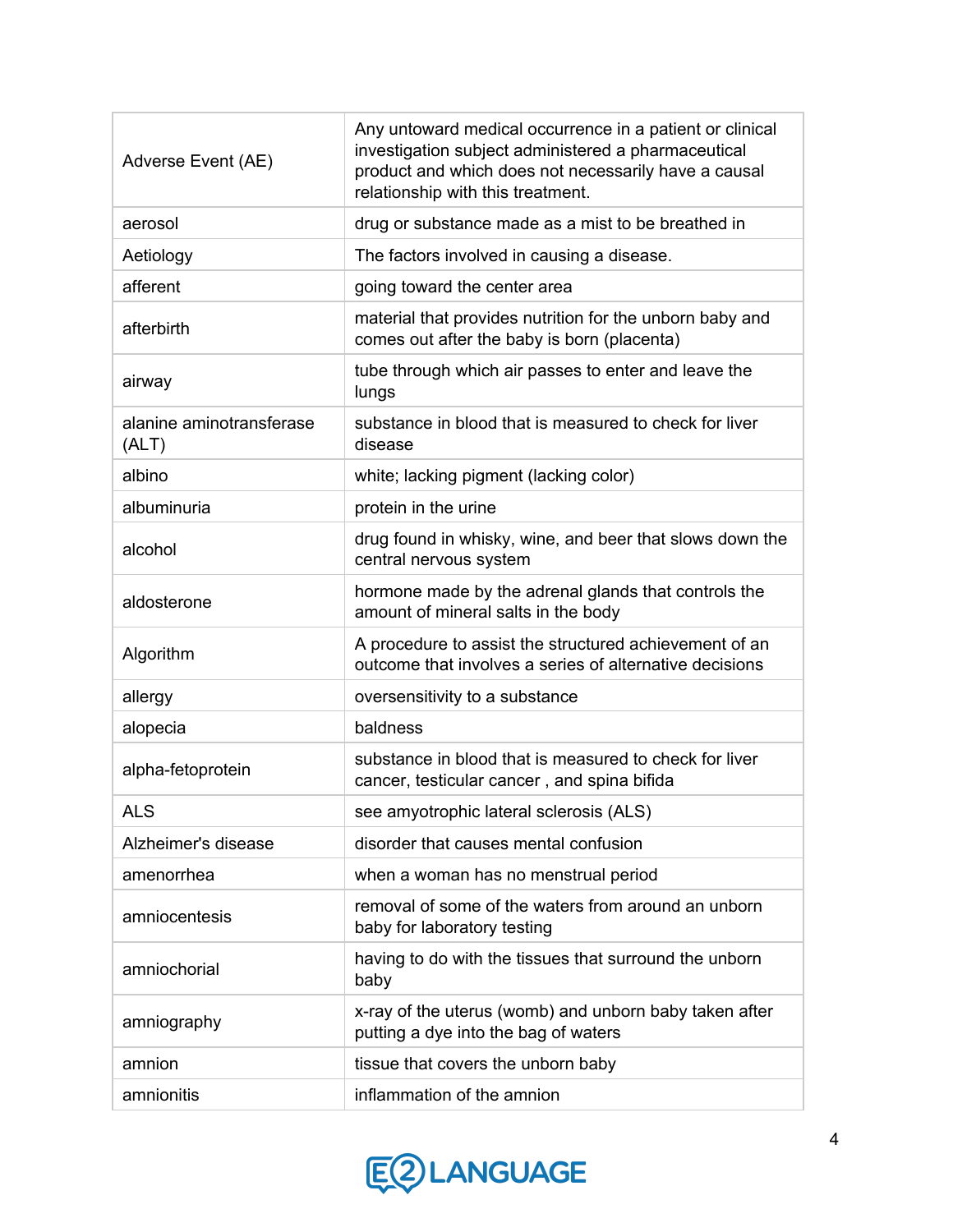| Adverse Event (AE)                | Any untoward medical occurrence in a patient or clinical<br>investigation subject administered a pharmaceutical<br>product and which does not necessarily have a causal<br>relationship with this treatment. |
|-----------------------------------|--------------------------------------------------------------------------------------------------------------------------------------------------------------------------------------------------------------|
| aerosol                           | drug or substance made as a mist to be breathed in                                                                                                                                                           |
| Aetiology                         | The factors involved in causing a disease.                                                                                                                                                                   |
| afferent                          | going toward the center area                                                                                                                                                                                 |
| afterbirth                        | material that provides nutrition for the unborn baby and<br>comes out after the baby is born (placenta)                                                                                                      |
| airway                            | tube through which air passes to enter and leave the<br>lungs                                                                                                                                                |
| alanine aminotransferase<br>(ALT) | substance in blood that is measured to check for liver<br>disease                                                                                                                                            |
| albino                            | white; lacking pigment (lacking color)                                                                                                                                                                       |
| albuminuria                       | protein in the urine                                                                                                                                                                                         |
| alcohol                           | drug found in whisky, wine, and beer that slows down the<br>central nervous system                                                                                                                           |
| aldosterone                       | hormone made by the adrenal glands that controls the<br>amount of mineral salts in the body                                                                                                                  |
| Algorithm                         | A procedure to assist the structured achievement of an<br>outcome that involves a series of alternative decisions                                                                                            |
| allergy                           | oversensitivity to a substance                                                                                                                                                                               |
| alopecia                          | baldness                                                                                                                                                                                                     |
| alpha-fetoprotein                 | substance in blood that is measured to check for liver<br>cancer, testicular cancer, and spina bifida                                                                                                        |
| <b>ALS</b>                        | see amyotrophic lateral sclerosis (ALS)                                                                                                                                                                      |
| Alzheimer's disease               | disorder that causes mental confusion                                                                                                                                                                        |
| amenorrhea                        | when a woman has no menstrual period                                                                                                                                                                         |
| amniocentesis                     | removal of some of the waters from around an unborn<br>baby for laboratory testing                                                                                                                           |
| amniochorial                      | having to do with the tissues that surround the unborn<br>baby                                                                                                                                               |
| amniography                       | x-ray of the uterus (womb) and unborn baby taken after<br>putting a dye into the bag of waters                                                                                                               |
| amnion                            | tissue that covers the unborn baby                                                                                                                                                                           |
| amnionitis                        | inflammation of the amnion                                                                                                                                                                                   |

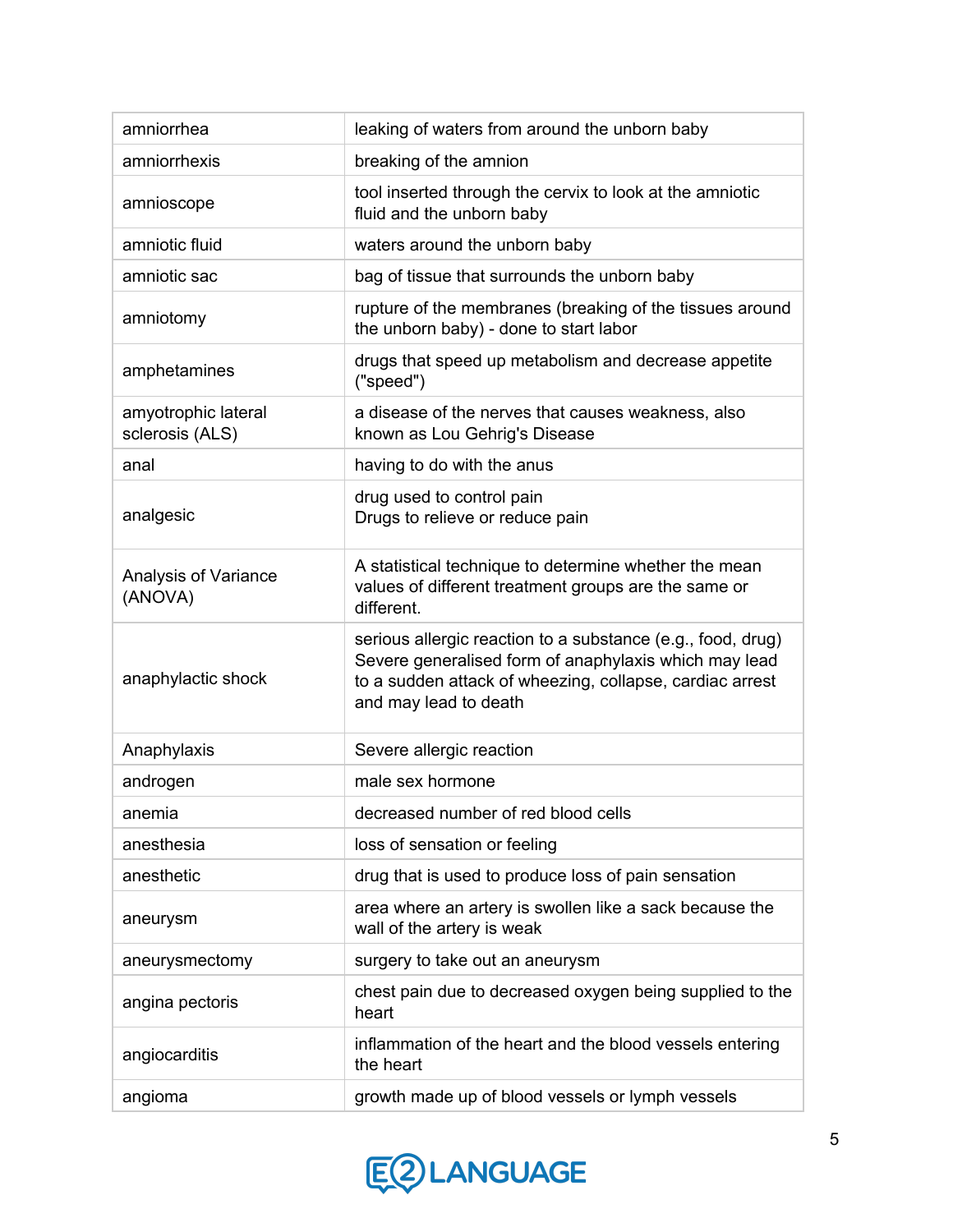| amniorrhea                             | leaking of waters from around the unborn baby                                                                                                                                                             |
|----------------------------------------|-----------------------------------------------------------------------------------------------------------------------------------------------------------------------------------------------------------|
| amniorrhexis                           | breaking of the amnion                                                                                                                                                                                    |
| amnioscope                             | tool inserted through the cervix to look at the amniotic<br>fluid and the unborn baby                                                                                                                     |
| amniotic fluid                         | waters around the unborn baby                                                                                                                                                                             |
| amniotic sac                           | bag of tissue that surrounds the unborn baby                                                                                                                                                              |
| amniotomy                              | rupture of the membranes (breaking of the tissues around<br>the unborn baby) - done to start labor                                                                                                        |
| amphetamines                           | drugs that speed up metabolism and decrease appetite<br>("speed")                                                                                                                                         |
| amyotrophic lateral<br>sclerosis (ALS) | a disease of the nerves that causes weakness, also<br>known as Lou Gehrig's Disease                                                                                                                       |
| anal                                   | having to do with the anus                                                                                                                                                                                |
| analgesic                              | drug used to control pain<br>Drugs to relieve or reduce pain                                                                                                                                              |
| Analysis of Variance<br>(ANOVA)        | A statistical technique to determine whether the mean<br>values of different treatment groups are the same or<br>different.                                                                               |
| anaphylactic shock                     | serious allergic reaction to a substance (e.g., food, drug)<br>Severe generalised form of anaphylaxis which may lead<br>to a sudden attack of wheezing, collapse, cardiac arrest<br>and may lead to death |
| Anaphylaxis                            | Severe allergic reaction                                                                                                                                                                                  |
| androgen                               | male sex hormone                                                                                                                                                                                          |
| anemia                                 | decreased number of red blood cells                                                                                                                                                                       |
| anesthesia                             | loss of sensation or feeling                                                                                                                                                                              |
| anesthetic                             | drug that is used to produce loss of pain sensation                                                                                                                                                       |
| aneurysm                               | area where an artery is swollen like a sack because the<br>wall of the artery is weak                                                                                                                     |
| aneurysmectomy                         | surgery to take out an aneurysm                                                                                                                                                                           |
| angina pectoris                        | chest pain due to decreased oxygen being supplied to the<br>heart                                                                                                                                         |
| angiocarditis                          | inflammation of the heart and the blood vessels entering<br>the heart                                                                                                                                     |
| angioma                                | growth made up of blood vessels or lymph vessels                                                                                                                                                          |

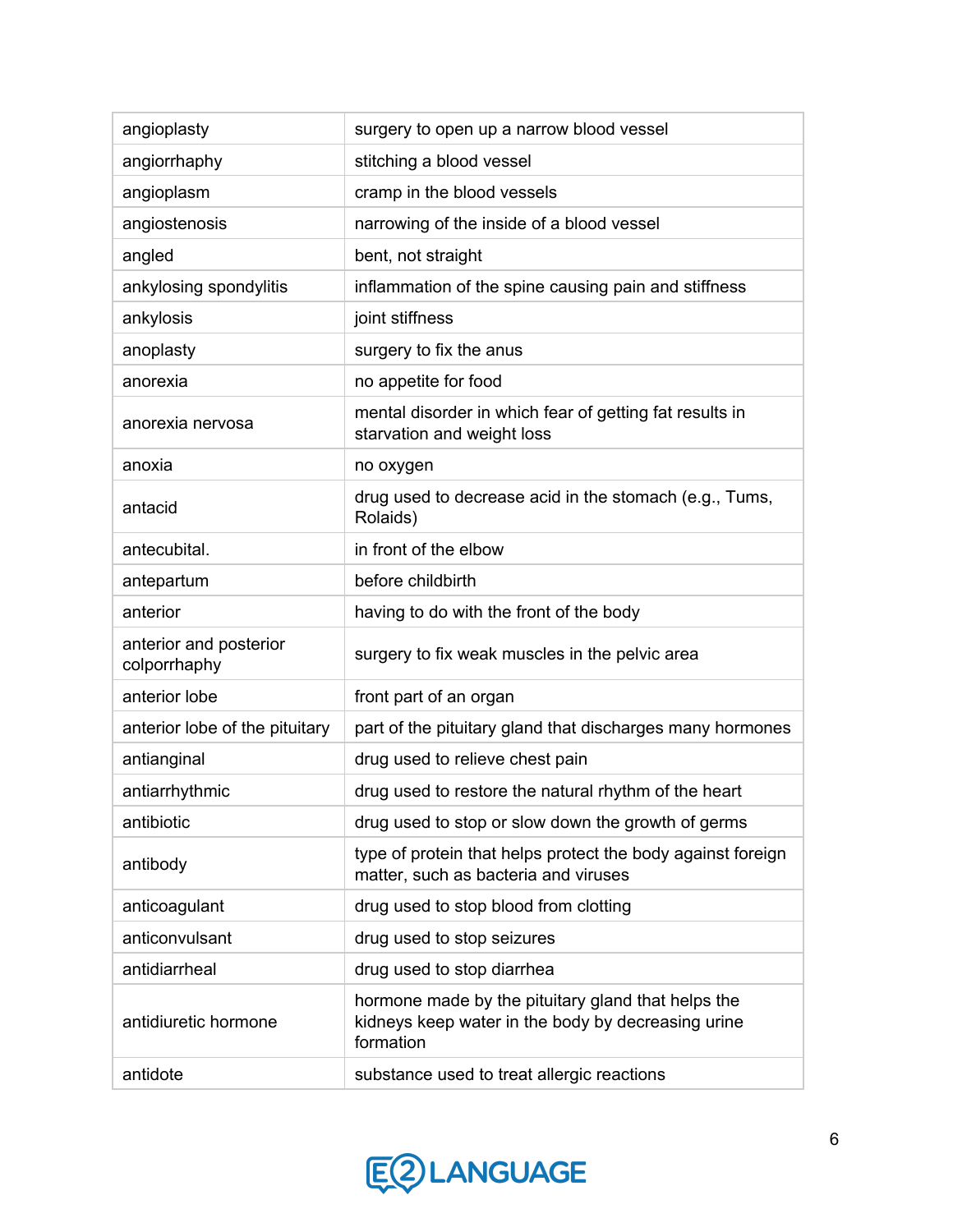| angioplasty                            | surgery to open up a narrow blood vessel                                                                              |
|----------------------------------------|-----------------------------------------------------------------------------------------------------------------------|
| angiorrhaphy                           | stitching a blood vessel                                                                                              |
| angioplasm                             | cramp in the blood vessels                                                                                            |
| angiostenosis                          | narrowing of the inside of a blood vessel                                                                             |
| angled                                 | bent, not straight                                                                                                    |
| ankylosing spondylitis                 | inflammation of the spine causing pain and stiffness                                                                  |
| ankylosis                              | joint stiffness                                                                                                       |
| anoplasty                              | surgery to fix the anus                                                                                               |
| anorexia                               | no appetite for food                                                                                                  |
| anorexia nervosa                       | mental disorder in which fear of getting fat results in<br>starvation and weight loss                                 |
| anoxia                                 | no oxygen                                                                                                             |
| antacid                                | drug used to decrease acid in the stomach (e.g., Tums,<br>Rolaids)                                                    |
| antecubital.                           | in front of the elbow                                                                                                 |
| antepartum                             | before childbirth                                                                                                     |
| anterior                               | having to do with the front of the body                                                                               |
| anterior and posterior<br>colporrhaphy | surgery to fix weak muscles in the pelvic area                                                                        |
| anterior lobe                          | front part of an organ                                                                                                |
| anterior lobe of the pituitary         | part of the pituitary gland that discharges many hormones                                                             |
| antianginal                            | drug used to relieve chest pain                                                                                       |
| antiarrhythmic                         | drug used to restore the natural rhythm of the heart                                                                  |
| antibiotic                             | drug used to stop or slow down the growth of germs                                                                    |
| antibody                               | type of protein that helps protect the body against foreign<br>matter, such as bacteria and viruses                   |
| anticoagulant                          | drug used to stop blood from clotting                                                                                 |
| anticonvulsant                         | drug used to stop seizures                                                                                            |
| antidiarrheal                          | drug used to stop diarrhea                                                                                            |
| antidiuretic hormone                   | hormone made by the pituitary gland that helps the<br>kidneys keep water in the body by decreasing urine<br>formation |
| antidote                               | substance used to treat allergic reactions                                                                            |

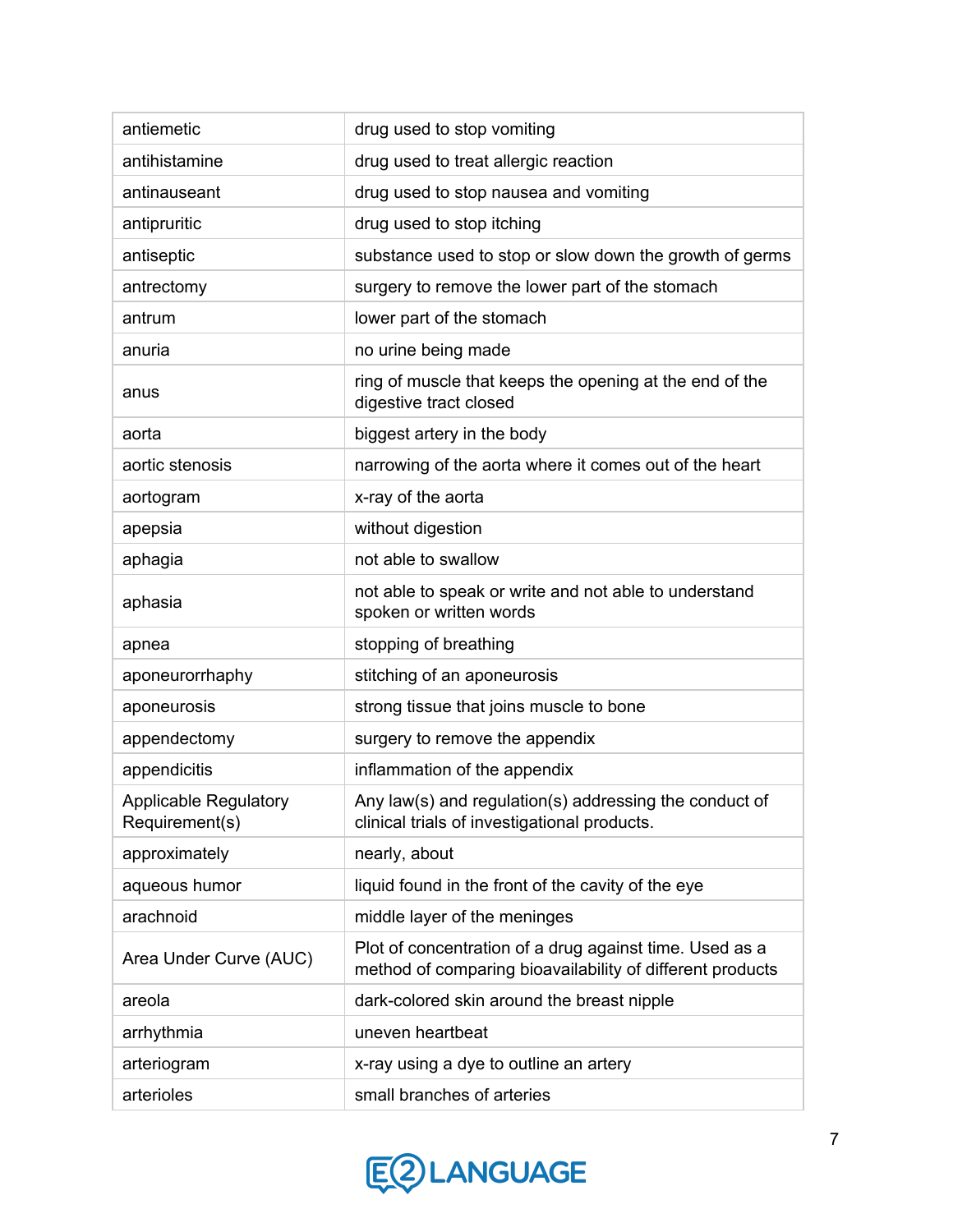| antiemetic                                     | drug used to stop vomiting                                                                                           |
|------------------------------------------------|----------------------------------------------------------------------------------------------------------------------|
| antihistamine                                  | drug used to treat allergic reaction                                                                                 |
| antinauseant                                   | drug used to stop nausea and vomiting                                                                                |
| antipruritic                                   | drug used to stop itching                                                                                            |
| antiseptic                                     | substance used to stop or slow down the growth of germs                                                              |
| antrectomy                                     | surgery to remove the lower part of the stomach                                                                      |
| antrum                                         | lower part of the stomach                                                                                            |
| anuria                                         | no urine being made                                                                                                  |
| anus                                           | ring of muscle that keeps the opening at the end of the<br>digestive tract closed                                    |
| aorta                                          | biggest artery in the body                                                                                           |
| aortic stenosis                                | narrowing of the aorta where it comes out of the heart                                                               |
| aortogram                                      | x-ray of the aorta                                                                                                   |
| apepsia                                        | without digestion                                                                                                    |
| aphagia                                        | not able to swallow                                                                                                  |
| aphasia                                        | not able to speak or write and not able to understand<br>spoken or written words                                     |
| apnea                                          | stopping of breathing                                                                                                |
| aponeurorrhaphy                                | stitching of an aponeurosis                                                                                          |
| aponeurosis                                    | strong tissue that joins muscle to bone                                                                              |
| appendectomy                                   | surgery to remove the appendix                                                                                       |
| appendicitis                                   | inflammation of the appendix                                                                                         |
| <b>Applicable Regulatory</b><br>Requirement(s) | Any law(s) and regulation(s) addressing the conduct of<br>clinical trials of investigational products.               |
| approximately                                  | nearly, about                                                                                                        |
| aqueous humor                                  | liquid found in the front of the cavity of the eye                                                                   |
| arachnoid                                      | middle layer of the meninges                                                                                         |
| Area Under Curve (AUC)                         | Plot of concentration of a drug against time. Used as a<br>method of comparing bioavailability of different products |
| areola                                         | dark-colored skin around the breast nipple                                                                           |
| arrhythmia                                     | uneven heartbeat                                                                                                     |
| arteriogram                                    | x-ray using a dye to outline an artery                                                                               |
| arterioles                                     | small branches of arteries                                                                                           |

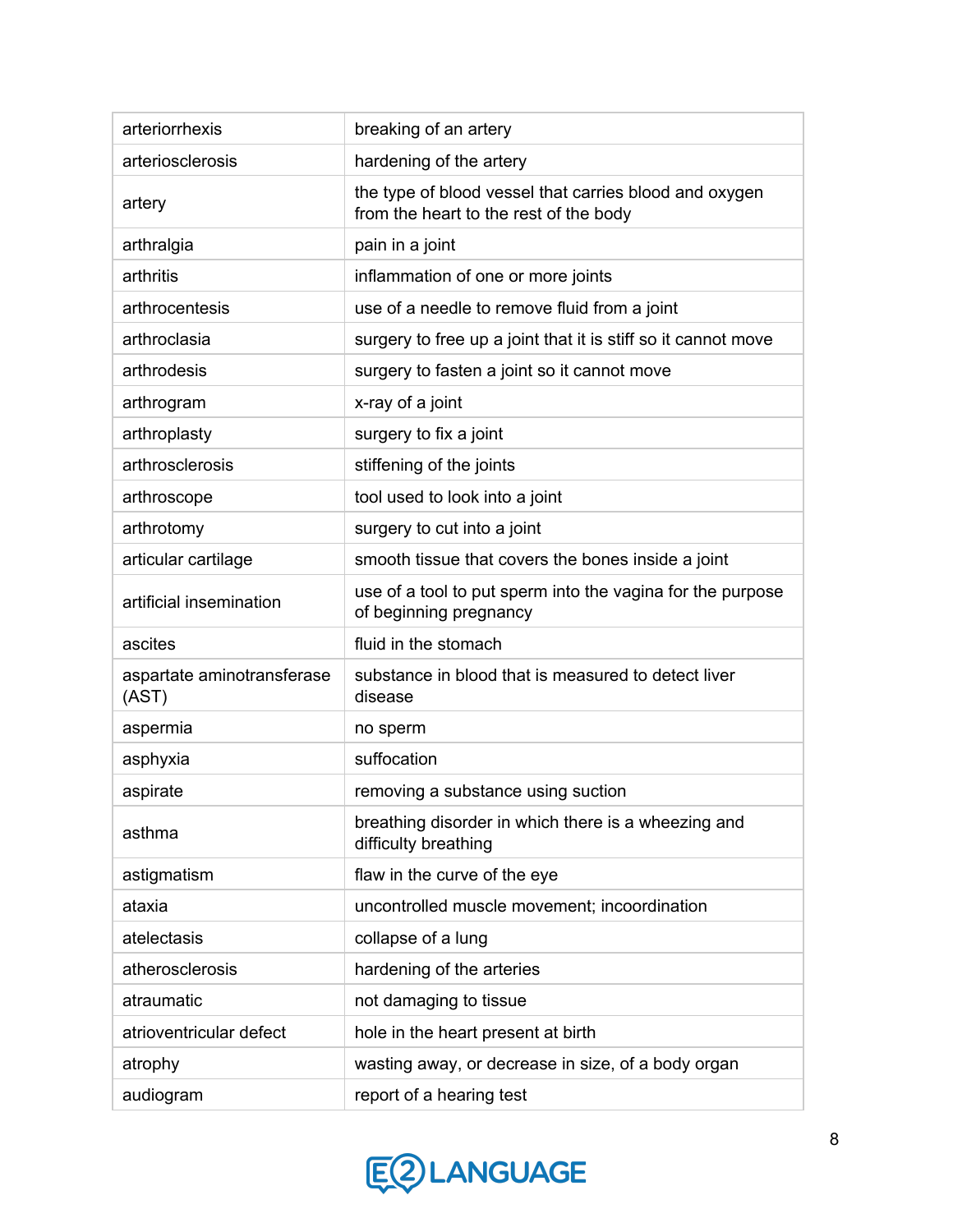| arteriorrhexis                      | breaking of an artery                                                                            |
|-------------------------------------|--------------------------------------------------------------------------------------------------|
| arteriosclerosis                    | hardening of the artery                                                                          |
| artery                              | the type of blood vessel that carries blood and oxygen<br>from the heart to the rest of the body |
| arthralgia                          | pain in a joint                                                                                  |
| arthritis                           | inflammation of one or more joints                                                               |
| arthrocentesis                      | use of a needle to remove fluid from a joint                                                     |
| arthroclasia                        | surgery to free up a joint that it is stiff so it cannot move                                    |
| arthrodesis                         | surgery to fasten a joint so it cannot move                                                      |
| arthrogram                          | x-ray of a joint                                                                                 |
| arthroplasty                        | surgery to fix a joint                                                                           |
| arthrosclerosis                     | stiffening of the joints                                                                         |
| arthroscope                         | tool used to look into a joint                                                                   |
| arthrotomy                          | surgery to cut into a joint                                                                      |
| articular cartilage                 | smooth tissue that covers the bones inside a joint                                               |
| artificial insemination             | use of a tool to put sperm into the vagina for the purpose<br>of beginning pregnancy             |
| ascites                             | fluid in the stomach                                                                             |
| aspartate aminotransferase<br>(AST) | substance in blood that is measured to detect liver<br>disease                                   |
| aspermia                            | no sperm                                                                                         |
| asphyxia                            | suffocation                                                                                      |
| aspirate                            | removing a substance using suction                                                               |
| asthma                              | breathing disorder in which there is a wheezing and<br>difficulty breathing                      |
| astigmatism                         | flaw in the curve of the eye                                                                     |
| ataxia                              | uncontrolled muscle movement; incoordination                                                     |
| atelectasis                         | collapse of a lung                                                                               |
| atherosclerosis                     | hardening of the arteries                                                                        |
| atraumatic                          | not damaging to tissue                                                                           |
| atrioventricular defect             | hole in the heart present at birth                                                               |
| atrophy                             | wasting away, or decrease in size, of a body organ                                               |
| audiogram                           | report of a hearing test                                                                         |

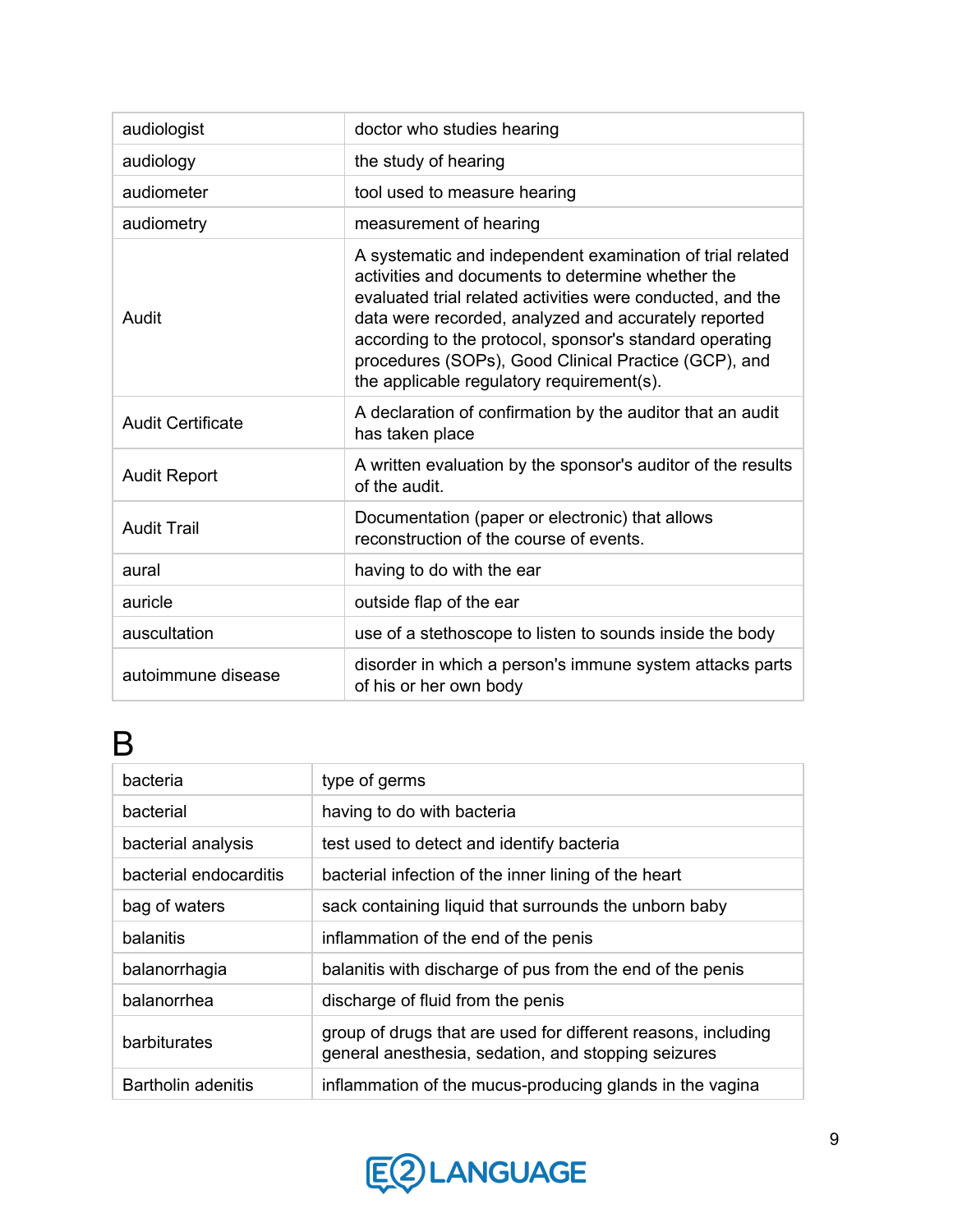| audiologist              | doctor who studies hearing                                                                                                                                                                                                                                                                                                                                                                           |
|--------------------------|------------------------------------------------------------------------------------------------------------------------------------------------------------------------------------------------------------------------------------------------------------------------------------------------------------------------------------------------------------------------------------------------------|
| audiology                | the study of hearing                                                                                                                                                                                                                                                                                                                                                                                 |
| audiometer               | tool used to measure hearing                                                                                                                                                                                                                                                                                                                                                                         |
| audiometry               | measurement of hearing                                                                                                                                                                                                                                                                                                                                                                               |
| Audit                    | A systematic and independent examination of trial related<br>activities and documents to determine whether the<br>evaluated trial related activities were conducted, and the<br>data were recorded, analyzed and accurately reported<br>according to the protocol, sponsor's standard operating<br>procedures (SOPs), Good Clinical Practice (GCP), and<br>the applicable regulatory requirement(s). |
| <b>Audit Certificate</b> | A declaration of confirmation by the auditor that an audit<br>has taken place                                                                                                                                                                                                                                                                                                                        |
| <b>Audit Report</b>      | A written evaluation by the sponsor's auditor of the results<br>of the audit.                                                                                                                                                                                                                                                                                                                        |
| <b>Audit Trail</b>       | Documentation (paper or electronic) that allows<br>reconstruction of the course of events.                                                                                                                                                                                                                                                                                                           |
| aural                    | having to do with the ear                                                                                                                                                                                                                                                                                                                                                                            |
| auricle                  | outside flap of the ear                                                                                                                                                                                                                                                                                                                                                                              |
| auscultation             | use of a stethoscope to listen to sounds inside the body                                                                                                                                                                                                                                                                                                                                             |
| autoimmune disease       | disorder in which a person's immune system attacks parts<br>of his or her own body                                                                                                                                                                                                                                                                                                                   |

### B

| bacteria               | type of germs                                                                                                        |
|------------------------|----------------------------------------------------------------------------------------------------------------------|
| bacterial              | having to do with bacteria                                                                                           |
| bacterial analysis     | test used to detect and identify bacteria                                                                            |
| bacterial endocarditis | bacterial infection of the inner lining of the heart                                                                 |
| bag of waters          | sack containing liquid that surrounds the unborn baby                                                                |
| balanitis              | inflammation of the end of the penis                                                                                 |
| balanorrhagia          | balanitis with discharge of pus from the end of the penis                                                            |
| balanorrhea            | discharge of fluid from the penis                                                                                    |
| barbiturates           | group of drugs that are used for different reasons, including<br>general anesthesia, sedation, and stopping seizures |
| Bartholin adenitis     | inflammation of the mucus-producing glands in the vagina                                                             |

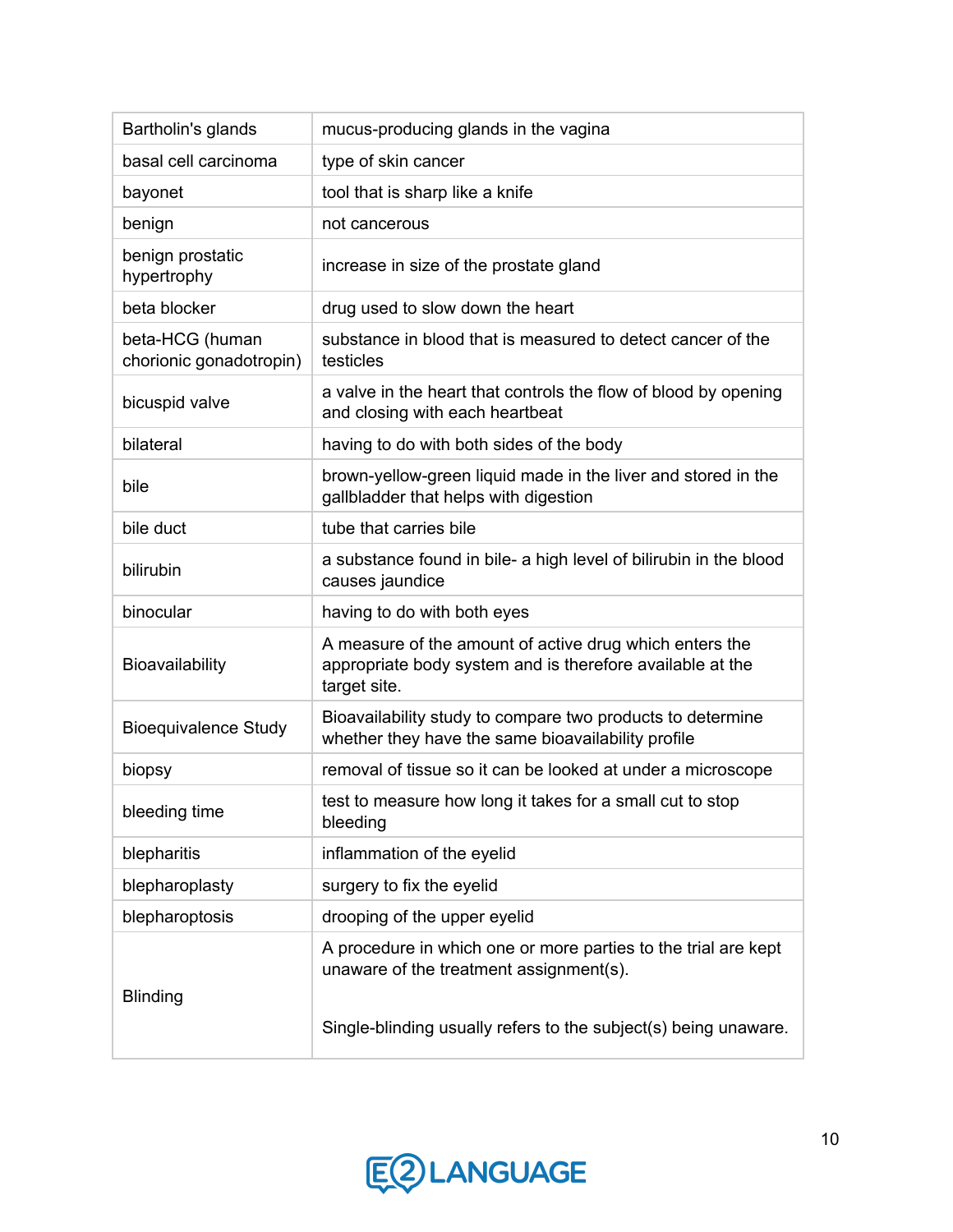| Bartholin's glands                         | mucus-producing glands in the vagina                                                                                                 |
|--------------------------------------------|--------------------------------------------------------------------------------------------------------------------------------------|
| basal cell carcinoma                       | type of skin cancer                                                                                                                  |
| bayonet                                    | tool that is sharp like a knife                                                                                                      |
| benign                                     | not cancerous                                                                                                                        |
| benign prostatic<br>hypertrophy            | increase in size of the prostate gland                                                                                               |
| beta blocker                               | drug used to slow down the heart                                                                                                     |
| beta-HCG (human<br>chorionic gonadotropin) | substance in blood that is measured to detect cancer of the<br>testicles                                                             |
| bicuspid valve                             | a valve in the heart that controls the flow of blood by opening<br>and closing with each heartbeat                                   |
| bilateral                                  | having to do with both sides of the body                                                                                             |
| bile                                       | brown-yellow-green liquid made in the liver and stored in the<br>gallbladder that helps with digestion                               |
| bile duct                                  | tube that carries bile                                                                                                               |
| bilirubin                                  | a substance found in bile- a high level of bilirubin in the blood<br>causes jaundice                                                 |
| binocular                                  | having to do with both eyes                                                                                                          |
| Bioavailability                            | A measure of the amount of active drug which enters the<br>appropriate body system and is therefore available at the<br>target site. |
| <b>Bioequivalence Study</b>                | Bioavailability study to compare two products to determine<br>whether they have the same bioavailability profile                     |
| biopsy                                     | removal of tissue so it can be looked at under a microscope                                                                          |
| bleeding time                              | test to measure how long it takes for a small cut to stop<br>bleeding                                                                |
| blepharitis                                | inflammation of the eyelid                                                                                                           |
| blepharoplasty                             | surgery to fix the eyelid                                                                                                            |
| blepharoptosis                             | drooping of the upper eyelid                                                                                                         |
| <b>Blinding</b>                            | A procedure in which one or more parties to the trial are kept<br>unaware of the treatment assignment(s).                            |
|                                            | Single-blinding usually refers to the subject(s) being unaware.                                                                      |

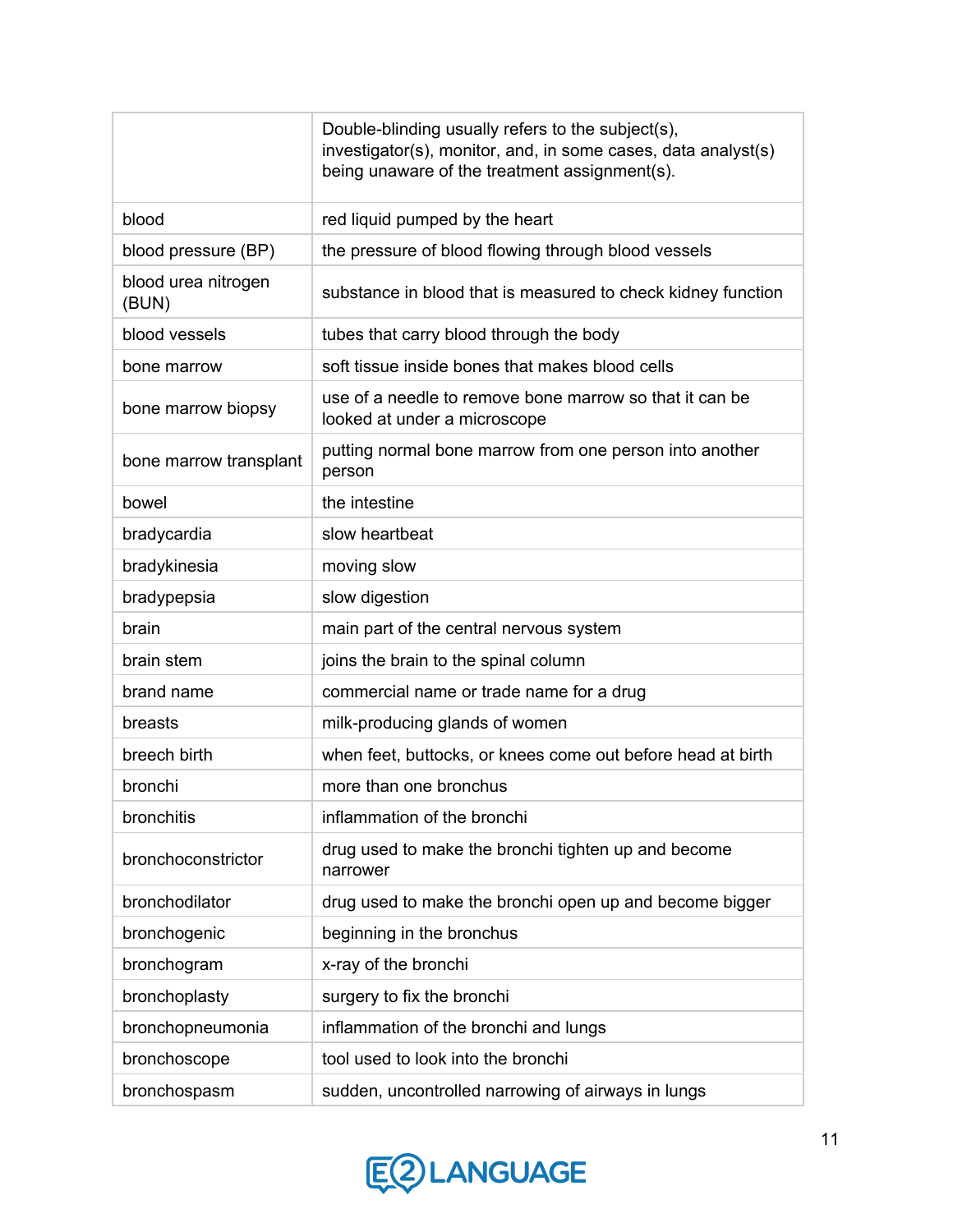|                              | Double-blinding usually refers to the subject(s),<br>investigator(s), monitor, and, in some cases, data analyst(s)<br>being unaware of the treatment assignment(s). |
|------------------------------|---------------------------------------------------------------------------------------------------------------------------------------------------------------------|
| blood                        | red liquid pumped by the heart                                                                                                                                      |
| blood pressure (BP)          | the pressure of blood flowing through blood vessels                                                                                                                 |
| blood urea nitrogen<br>(BUN) | substance in blood that is measured to check kidney function                                                                                                        |
| blood vessels                | tubes that carry blood through the body                                                                                                                             |
| bone marrow                  | soft tissue inside bones that makes blood cells                                                                                                                     |
| bone marrow biopsy           | use of a needle to remove bone marrow so that it can be<br>looked at under a microscope                                                                             |
| bone marrow transplant       | putting normal bone marrow from one person into another<br>person                                                                                                   |
| bowel                        | the intestine                                                                                                                                                       |
| bradycardia                  | slow heartbeat                                                                                                                                                      |
| bradykinesia                 | moving slow                                                                                                                                                         |
| bradypepsia                  | slow digestion                                                                                                                                                      |
| brain                        | main part of the central nervous system                                                                                                                             |
| brain stem                   | joins the brain to the spinal column                                                                                                                                |
| brand name                   | commercial name or trade name for a drug                                                                                                                            |
| breasts                      | milk-producing glands of women                                                                                                                                      |
| breech birth                 | when feet, buttocks, or knees come out before head at birth                                                                                                         |
| bronchi                      | more than one bronchus                                                                                                                                              |
| bronchitis                   | inflammation of the bronchi                                                                                                                                         |
| bronchoconstrictor           | drug used to make the bronchi tighten up and become<br>narrower                                                                                                     |
| bronchodilator               | drug used to make the bronchi open up and become bigger                                                                                                             |
| bronchogenic                 | beginning in the bronchus                                                                                                                                           |
| bronchogram                  | x-ray of the bronchi                                                                                                                                                |
| bronchoplasty                | surgery to fix the bronchi                                                                                                                                          |
| bronchopneumonia             | inflammation of the bronchi and lungs                                                                                                                               |
| bronchoscope                 | tool used to look into the bronchi                                                                                                                                  |
| bronchospasm                 | sudden, uncontrolled narrowing of airways in lungs                                                                                                                  |

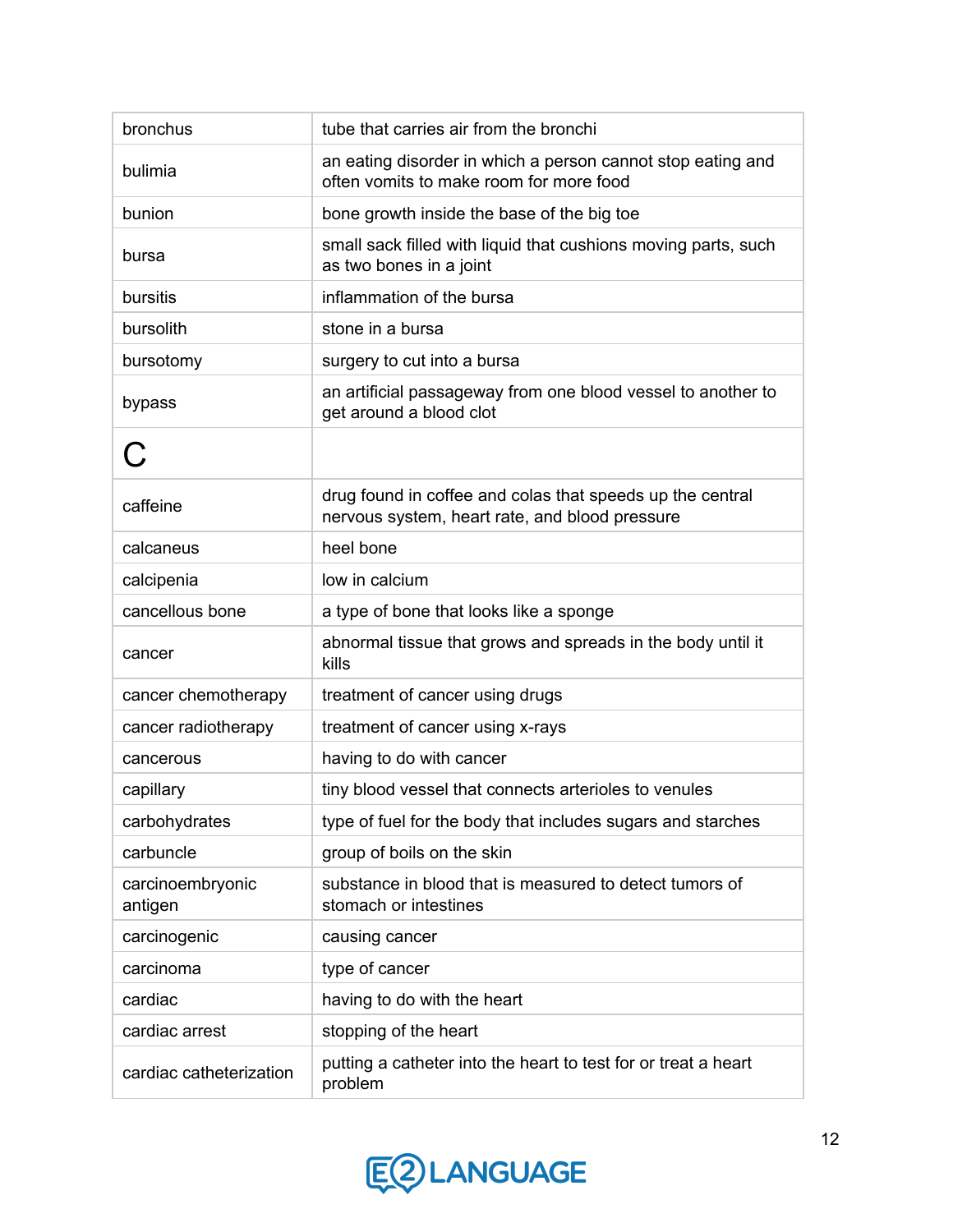| bronchus                    | tube that carries air from the bronchi                                                                      |
|-----------------------------|-------------------------------------------------------------------------------------------------------------|
| bulimia                     | an eating disorder in which a person cannot stop eating and<br>often vomits to make room for more food      |
| bunion                      | bone growth inside the base of the big toe                                                                  |
| bursa                       | small sack filled with liquid that cushions moving parts, such<br>as two bones in a joint                   |
| bursitis                    | inflammation of the bursa                                                                                   |
| bursolith                   | stone in a bursa                                                                                            |
| bursotomy                   | surgery to cut into a bursa                                                                                 |
| bypass                      | an artificial passageway from one blood vessel to another to<br>get around a blood clot                     |
|                             |                                                                                                             |
| caffeine                    | drug found in coffee and colas that speeds up the central<br>nervous system, heart rate, and blood pressure |
| calcaneus                   | heel bone                                                                                                   |
| calcipenia                  | low in calcium                                                                                              |
| cancellous bone             | a type of bone that looks like a sponge                                                                     |
| cancer                      | abnormal tissue that grows and spreads in the body until it<br>kills                                        |
| cancer chemotherapy         | treatment of cancer using drugs                                                                             |
| cancer radiotherapy         | treatment of cancer using x-rays                                                                            |
| cancerous                   | having to do with cancer                                                                                    |
| capillary                   | tiny blood vessel that connects arterioles to venules                                                       |
| carbohydrates               | type of fuel for the body that includes sugars and starches                                                 |
| carbuncle                   | group of boils on the skin                                                                                  |
| carcinoembryonic<br>antigen | substance in blood that is measured to detect tumors of<br>stomach or intestines                            |
| carcinogenic                | causing cancer                                                                                              |
| carcinoma                   | type of cancer                                                                                              |
| cardiac                     | having to do with the heart                                                                                 |
| cardiac arrest              | stopping of the heart                                                                                       |
| cardiac catheterization     | putting a catheter into the heart to test for or treat a heart<br>problem                                   |

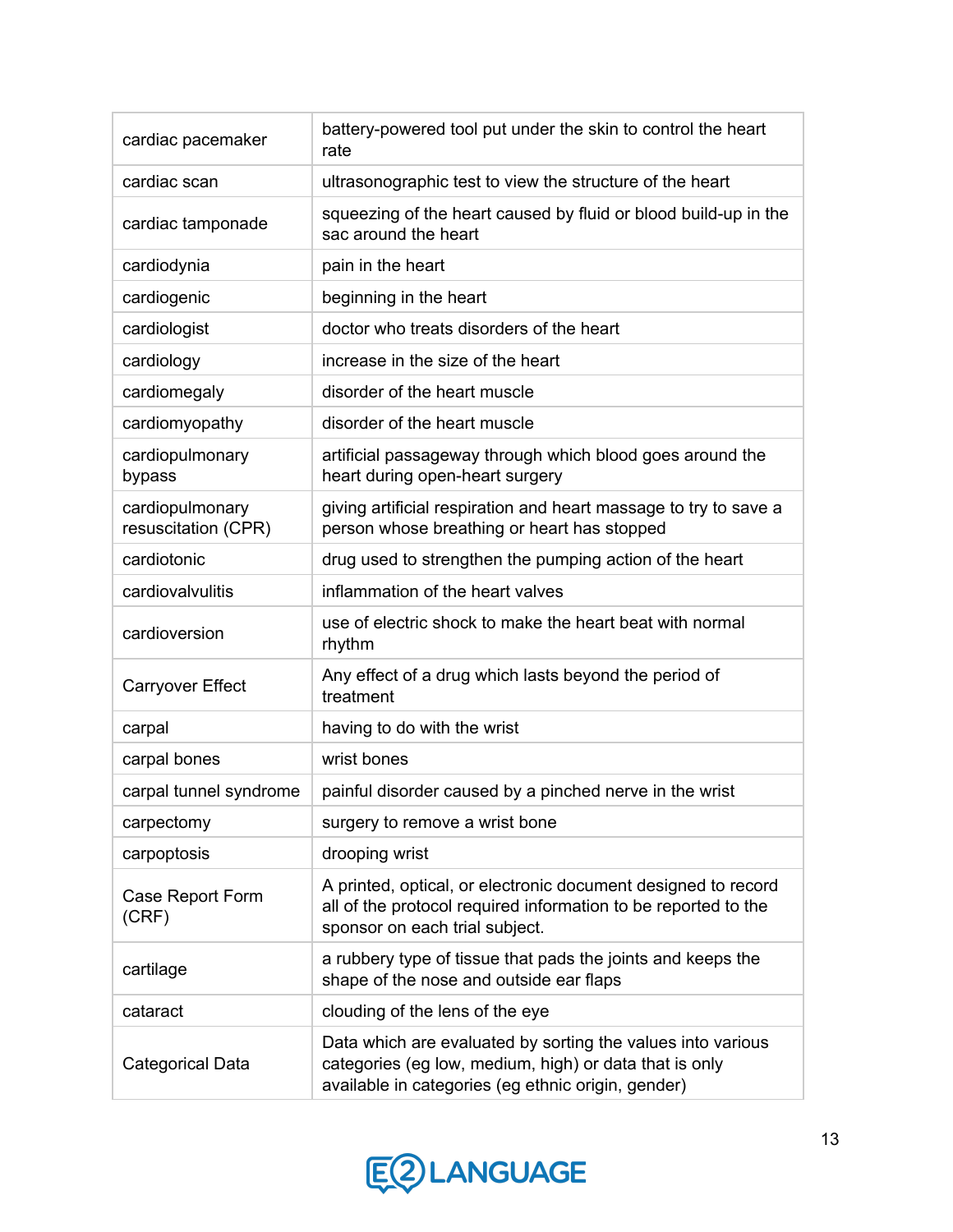| cardiac pacemaker                      | battery-powered tool put under the skin to control the heart<br>rate                                                                                                        |
|----------------------------------------|-----------------------------------------------------------------------------------------------------------------------------------------------------------------------------|
| cardiac scan                           | ultrasonographic test to view the structure of the heart                                                                                                                    |
| cardiac tamponade                      | squeezing of the heart caused by fluid or blood build-up in the<br>sac around the heart                                                                                     |
| cardiodynia                            | pain in the heart                                                                                                                                                           |
| cardiogenic                            | beginning in the heart                                                                                                                                                      |
| cardiologist                           | doctor who treats disorders of the heart                                                                                                                                    |
| cardiology                             | increase in the size of the heart                                                                                                                                           |
| cardiomegaly                           | disorder of the heart muscle                                                                                                                                                |
| cardiomyopathy                         | disorder of the heart muscle                                                                                                                                                |
| cardiopulmonary<br>bypass              | artificial passageway through which blood goes around the<br>heart during open-heart surgery                                                                                |
| cardiopulmonary<br>resuscitation (CPR) | giving artificial respiration and heart massage to try to save a<br>person whose breathing or heart has stopped                                                             |
| cardiotonic                            | drug used to strengthen the pumping action of the heart                                                                                                                     |
| cardiovalvulitis                       | inflammation of the heart valves                                                                                                                                            |
| cardioversion                          | use of electric shock to make the heart beat with normal<br>rhythm                                                                                                          |
| <b>Carryover Effect</b>                | Any effect of a drug which lasts beyond the period of<br>treatment                                                                                                          |
| carpal                                 | having to do with the wrist                                                                                                                                                 |
| carpal bones                           | wrist bones                                                                                                                                                                 |
| carpal tunnel syndrome                 | painful disorder caused by a pinched nerve in the wrist                                                                                                                     |
| carpectomy                             | surgery to remove a wrist bone                                                                                                                                              |
| carpoptosis                            | drooping wrist                                                                                                                                                              |
| Case Report Form<br>(CRF)              | A printed, optical, or electronic document designed to record<br>all of the protocol required information to be reported to the<br>sponsor on each trial subject.           |
| cartilage                              | a rubbery type of tissue that pads the joints and keeps the<br>shape of the nose and outside ear flaps                                                                      |
| cataract                               | clouding of the lens of the eye                                                                                                                                             |
| <b>Categorical Data</b>                | Data which are evaluated by sorting the values into various<br>categories (eg low, medium, high) or data that is only<br>available in categories (eg ethnic origin, gender) |

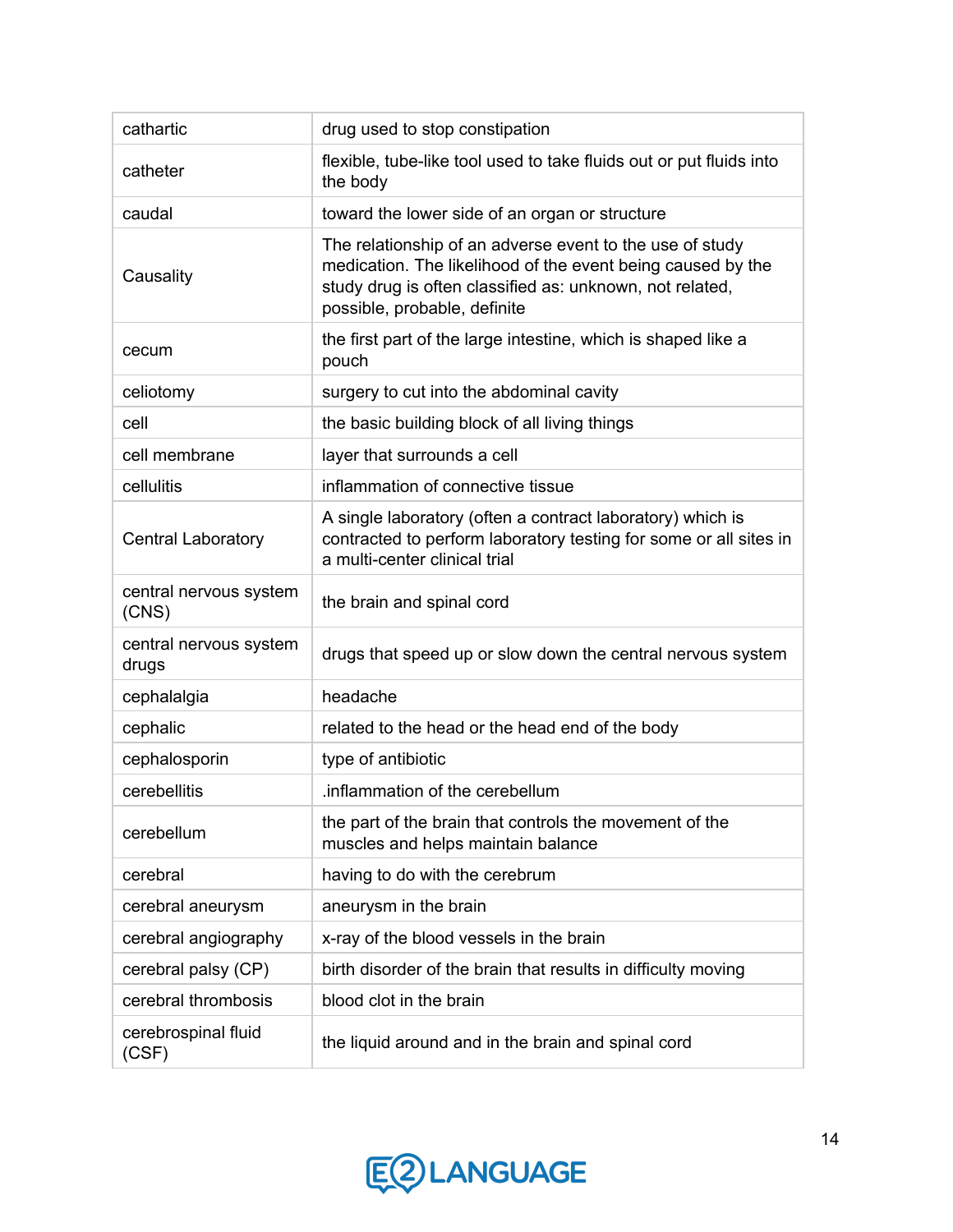| cathartic                       | drug used to stop constipation                                                                                                                                                                                      |
|---------------------------------|---------------------------------------------------------------------------------------------------------------------------------------------------------------------------------------------------------------------|
| catheter                        | flexible, tube-like tool used to take fluids out or put fluids into<br>the body                                                                                                                                     |
| caudal                          | toward the lower side of an organ or structure                                                                                                                                                                      |
| Causality                       | The relationship of an adverse event to the use of study<br>medication. The likelihood of the event being caused by the<br>study drug is often classified as: unknown, not related,<br>possible, probable, definite |
| cecum                           | the first part of the large intestine, which is shaped like a<br>pouch                                                                                                                                              |
| celiotomy                       | surgery to cut into the abdominal cavity                                                                                                                                                                            |
| cell                            | the basic building block of all living things                                                                                                                                                                       |
| cell membrane                   | layer that surrounds a cell                                                                                                                                                                                         |
| cellulitis                      | inflammation of connective tissue                                                                                                                                                                                   |
| <b>Central Laboratory</b>       | A single laboratory (often a contract laboratory) which is<br>contracted to perform laboratory testing for some or all sites in<br>a multi-center clinical trial                                                    |
| central nervous system<br>(CNS) | the brain and spinal cord                                                                                                                                                                                           |
| central nervous system<br>drugs | drugs that speed up or slow down the central nervous system                                                                                                                                                         |
| cephalalgia                     | headache                                                                                                                                                                                                            |
| cephalic                        | related to the head or the head end of the body                                                                                                                                                                     |
| cephalosporin                   | type of antibiotic                                                                                                                                                                                                  |
| cerebellitis                    | .inflammation of the cerebellum                                                                                                                                                                                     |
| cerebellum                      | the part of the brain that controls the movement of the<br>muscles and helps maintain balance                                                                                                                       |
| cerebral                        | having to do with the cerebrum                                                                                                                                                                                      |
| cerebral aneurysm               | aneurysm in the brain                                                                                                                                                                                               |
| cerebral angiography            | x-ray of the blood vessels in the brain                                                                                                                                                                             |
| cerebral palsy (CP)             | birth disorder of the brain that results in difficulty moving                                                                                                                                                       |
| cerebral thrombosis             | blood clot in the brain                                                                                                                                                                                             |
| cerebrospinal fluid<br>(CSF)    | the liquid around and in the brain and spinal cord                                                                                                                                                                  |

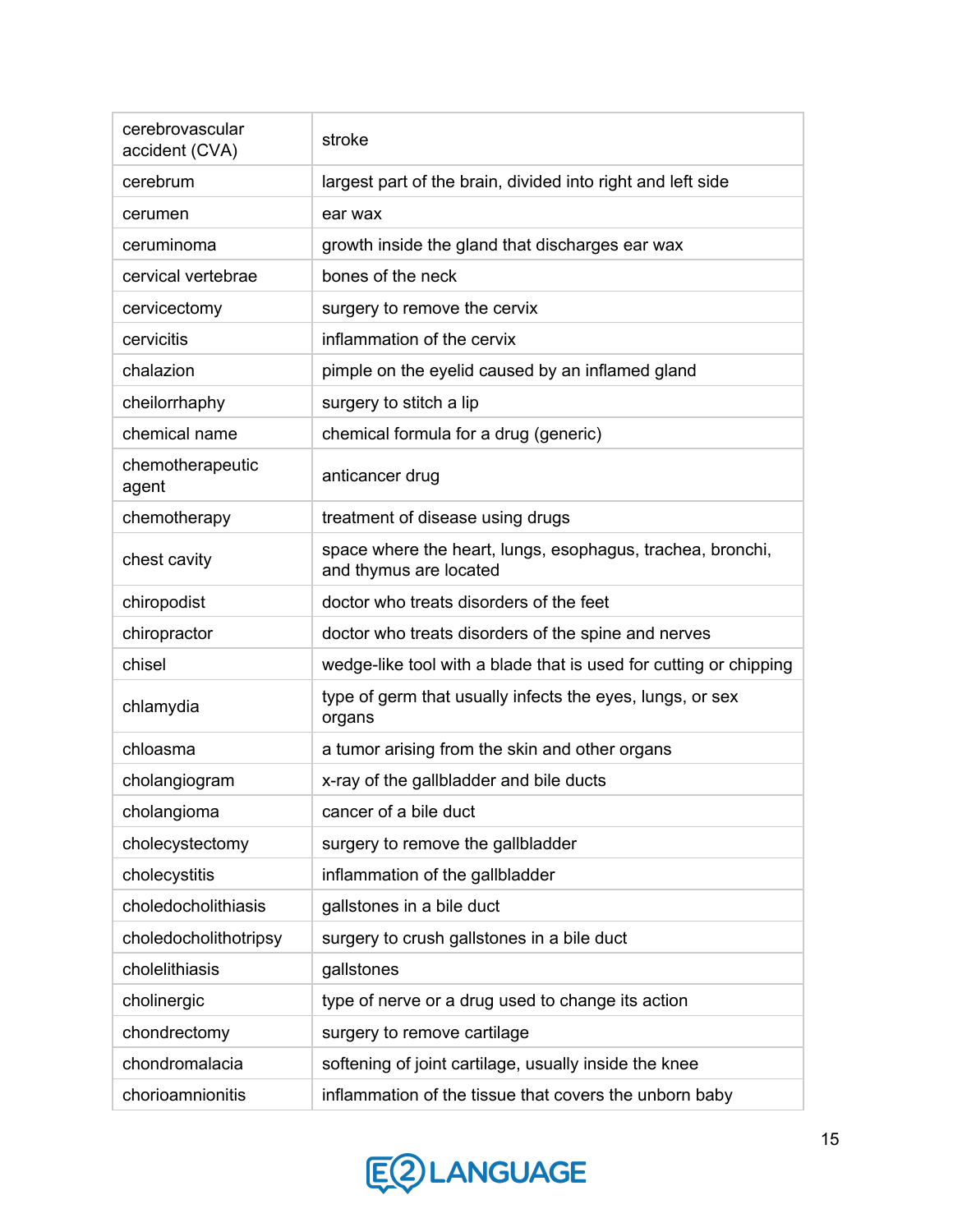| cerebrovascular<br>accident (CVA) | stroke                                                                               |
|-----------------------------------|--------------------------------------------------------------------------------------|
| cerebrum                          | largest part of the brain, divided into right and left side                          |
| cerumen                           | ear wax                                                                              |
| ceruminoma                        | growth inside the gland that discharges ear wax                                      |
| cervical vertebrae                | bones of the neck                                                                    |
| cervicectomy                      | surgery to remove the cervix                                                         |
| cervicitis                        | inflammation of the cervix                                                           |
| chalazion                         | pimple on the eyelid caused by an inflamed gland                                     |
| cheilorrhaphy                     | surgery to stitch a lip                                                              |
| chemical name                     | chemical formula for a drug (generic)                                                |
| chemotherapeutic<br>agent         | anticancer drug                                                                      |
| chemotherapy                      | treatment of disease using drugs                                                     |
| chest cavity                      | space where the heart, lungs, esophagus, trachea, bronchi,<br>and thymus are located |
| chiropodist                       | doctor who treats disorders of the feet                                              |
| chiropractor                      | doctor who treats disorders of the spine and nerves                                  |
| chisel                            | wedge-like tool with a blade that is used for cutting or chipping                    |
| chlamydia                         | type of germ that usually infects the eyes, lungs, or sex<br>organs                  |
| chloasma                          | a tumor arising from the skin and other organs                                       |
| cholangiogram                     | x-ray of the gallbladder and bile ducts                                              |
| cholangioma                       | cancer of a bile duct                                                                |
| cholecystectomy                   | surgery to remove the gallbladder                                                    |
| cholecystitis                     | inflammation of the gallbladder                                                      |
| choledocholithiasis               | gallstones in a bile duct                                                            |
| choledocholithotripsy             | surgery to crush gallstones in a bile duct                                           |
| cholelithiasis                    | gallstones                                                                           |
| cholinergic                       | type of nerve or a drug used to change its action                                    |
| chondrectomy                      | surgery to remove cartilage                                                          |
| chondromalacia                    | softening of joint cartilage, usually inside the knee                                |
| chorioamnionitis                  | inflammation of the tissue that covers the unborn baby                               |

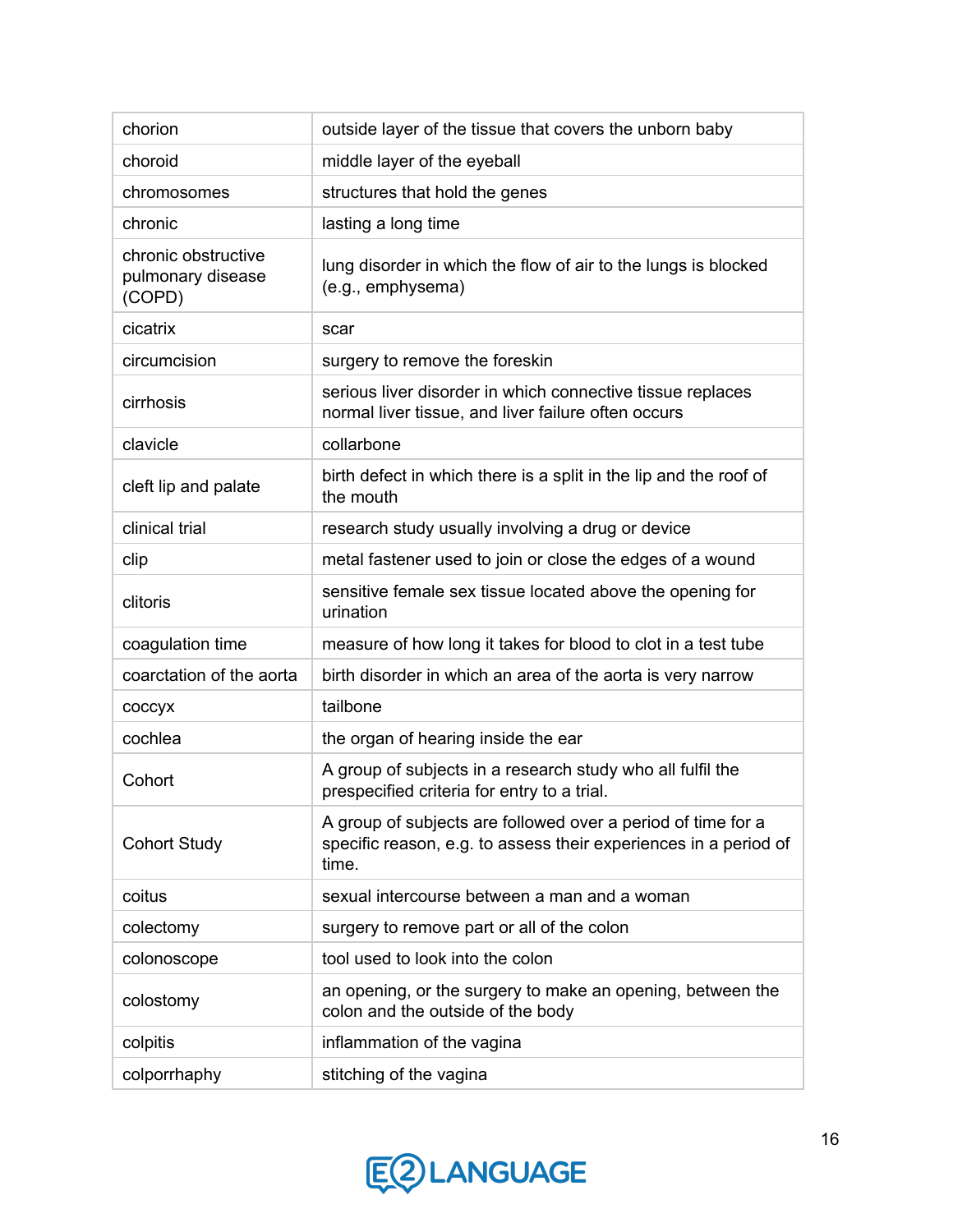| chorion                                            | outside layer of the tissue that covers the unborn baby                                                                                   |
|----------------------------------------------------|-------------------------------------------------------------------------------------------------------------------------------------------|
| choroid                                            | middle layer of the eyeball                                                                                                               |
| chromosomes                                        | structures that hold the genes                                                                                                            |
| chronic                                            | lasting a long time                                                                                                                       |
| chronic obstructive<br>pulmonary disease<br>(COPD) | lung disorder in which the flow of air to the lungs is blocked<br>(e.g., emphysema)                                                       |
| cicatrix                                           | scar                                                                                                                                      |
| circumcision                                       | surgery to remove the foreskin                                                                                                            |
| cirrhosis                                          | serious liver disorder in which connective tissue replaces<br>normal liver tissue, and liver failure often occurs                         |
| clavicle                                           | collarbone                                                                                                                                |
| cleft lip and palate                               | birth defect in which there is a split in the lip and the roof of<br>the mouth                                                            |
| clinical trial                                     | research study usually involving a drug or device                                                                                         |
| clip                                               | metal fastener used to join or close the edges of a wound                                                                                 |
| clitoris                                           | sensitive female sex tissue located above the opening for<br>urination                                                                    |
| coagulation time                                   | measure of how long it takes for blood to clot in a test tube                                                                             |
| coarctation of the aorta                           | birth disorder in which an area of the aorta is very narrow                                                                               |
| coccyx                                             | tailbone                                                                                                                                  |
| cochlea                                            | the organ of hearing inside the ear                                                                                                       |
| Cohort                                             | A group of subjects in a research study who all fulfil the<br>prespecified criteria for entry to a trial.                                 |
| <b>Cohort Study</b>                                | A group of subjects are followed over a period of time for a<br>specific reason, e.g. to assess their experiences in a period of<br>time. |
| coitus                                             | sexual intercourse between a man and a woman                                                                                              |
| colectomy                                          | surgery to remove part or all of the colon                                                                                                |
| colonoscope                                        | tool used to look into the colon                                                                                                          |
| colostomy                                          | an opening, or the surgery to make an opening, between the<br>colon and the outside of the body                                           |
| colpitis                                           | inflammation of the vagina                                                                                                                |
| colporrhaphy                                       | stitching of the vagina                                                                                                                   |

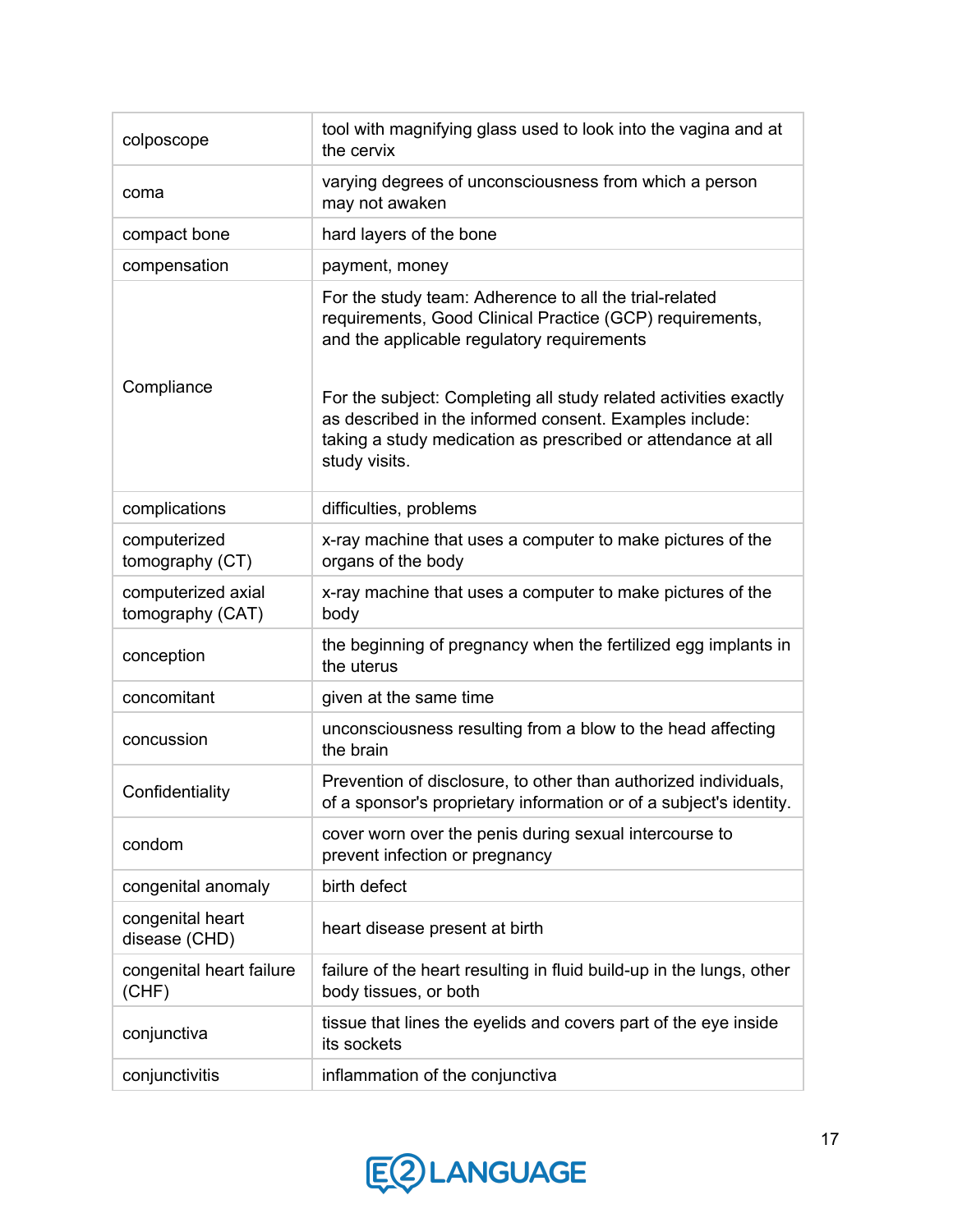| colposcope                             | tool with magnifying glass used to look into the vagina and at<br>the cervix                                                                                                                                 |
|----------------------------------------|--------------------------------------------------------------------------------------------------------------------------------------------------------------------------------------------------------------|
| coma                                   | varying degrees of unconsciousness from which a person<br>may not awaken                                                                                                                                     |
| compact bone                           | hard layers of the bone                                                                                                                                                                                      |
| compensation                           | payment, money                                                                                                                                                                                               |
| Compliance                             | For the study team: Adherence to all the trial-related<br>requirements, Good Clinical Practice (GCP) requirements,<br>and the applicable regulatory requirements                                             |
|                                        | For the subject: Completing all study related activities exactly<br>as described in the informed consent. Examples include:<br>taking a study medication as prescribed or attendance at all<br>study visits. |
| complications                          | difficulties, problems                                                                                                                                                                                       |
| computerized<br>tomography (CT)        | x-ray machine that uses a computer to make pictures of the<br>organs of the body                                                                                                                             |
| computerized axial<br>tomography (CAT) | x-ray machine that uses a computer to make pictures of the<br>body                                                                                                                                           |
| conception                             | the beginning of pregnancy when the fertilized egg implants in<br>the uterus                                                                                                                                 |
| concomitant                            | given at the same time                                                                                                                                                                                       |
| concussion                             | unconsciousness resulting from a blow to the head affecting<br>the brain                                                                                                                                     |
| Confidentiality                        | Prevention of disclosure, to other than authorized individuals,<br>of a sponsor's proprietary information or of a subject's identity.                                                                        |
| condom                                 | cover worn over the penis during sexual intercourse to<br>prevent infection or pregnancy                                                                                                                     |
| congenital anomaly                     | birth defect                                                                                                                                                                                                 |
| congenital heart<br>disease (CHD)      | heart disease present at birth                                                                                                                                                                               |
| congenital heart failure<br>(CHF)      | failure of the heart resulting in fluid build-up in the lungs, other<br>body tissues, or both                                                                                                                |
| conjunctiva                            | tissue that lines the eyelids and covers part of the eye inside<br>its sockets                                                                                                                               |
| conjunctivitis                         | inflammation of the conjunctiva                                                                                                                                                                              |

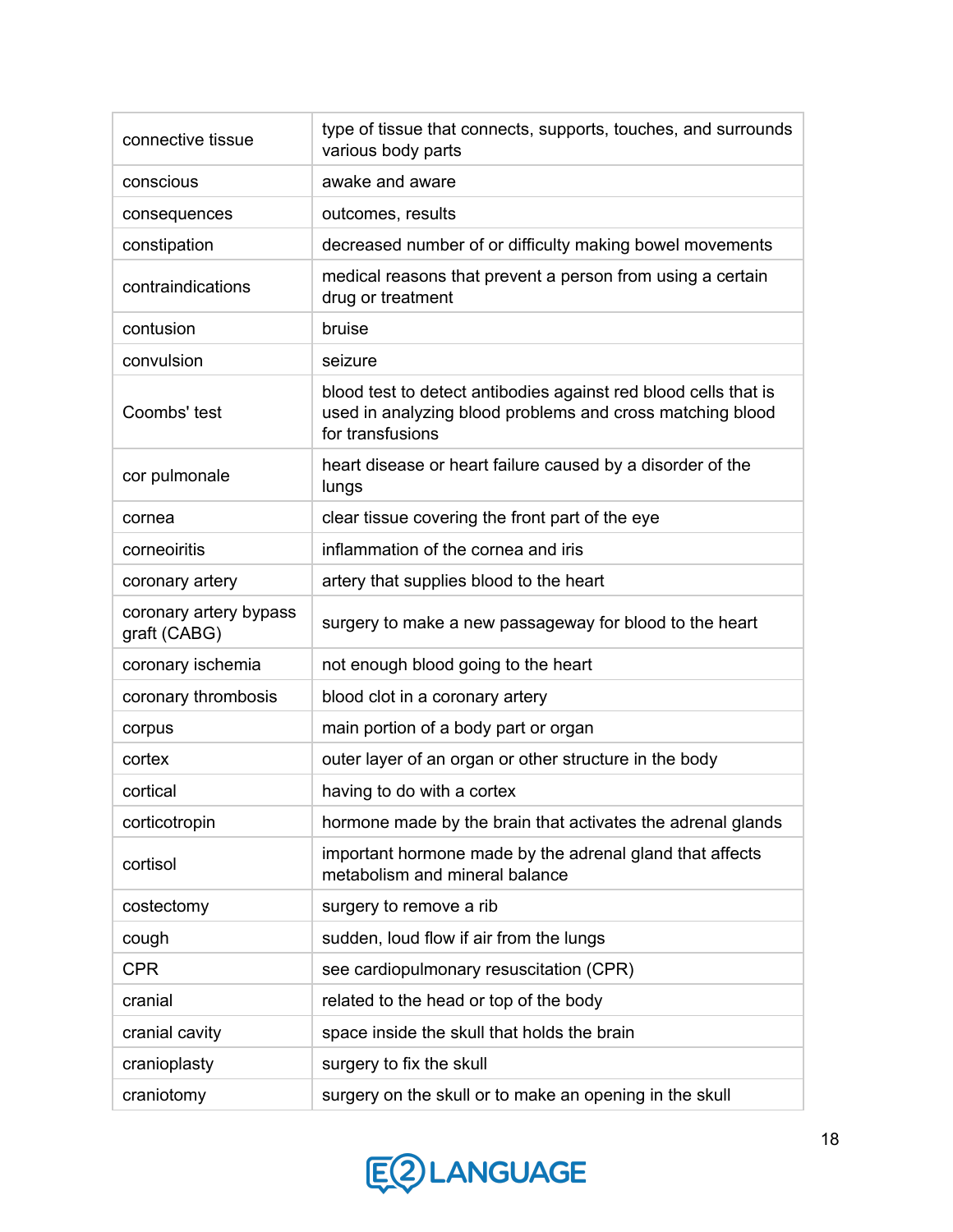| connective tissue                      | type of tissue that connects, supports, touches, and surrounds<br>various body parts                                                             |
|----------------------------------------|--------------------------------------------------------------------------------------------------------------------------------------------------|
| conscious                              | awake and aware                                                                                                                                  |
| consequences                           | outcomes, results                                                                                                                                |
| constipation                           | decreased number of or difficulty making bowel movements                                                                                         |
| contraindications                      | medical reasons that prevent a person from using a certain<br>drug or treatment                                                                  |
| contusion                              | bruise                                                                                                                                           |
| convulsion                             | seizure                                                                                                                                          |
| Coombs' test                           | blood test to detect antibodies against red blood cells that is<br>used in analyzing blood problems and cross matching blood<br>for transfusions |
| cor pulmonale                          | heart disease or heart failure caused by a disorder of the<br>lungs                                                                              |
| cornea                                 | clear tissue covering the front part of the eye                                                                                                  |
| corneoiritis                           | inflammation of the cornea and iris                                                                                                              |
| coronary artery                        | artery that supplies blood to the heart                                                                                                          |
| coronary artery bypass<br>graft (CABG) | surgery to make a new passageway for blood to the heart                                                                                          |
| coronary ischemia                      | not enough blood going to the heart                                                                                                              |
| coronary thrombosis                    | blood clot in a coronary artery                                                                                                                  |
| corpus                                 | main portion of a body part or organ                                                                                                             |
| cortex                                 | outer layer of an organ or other structure in the body                                                                                           |
| cortical                               | having to do with a cortex                                                                                                                       |
| corticotropin                          | hormone made by the brain that activates the adrenal glands                                                                                      |
| cortisol                               | important hormone made by the adrenal gland that affects<br>metabolism and mineral balance                                                       |
| costectomy                             | surgery to remove a rib                                                                                                                          |
| cough                                  | sudden, loud flow if air from the lungs                                                                                                          |
| <b>CPR</b>                             | see cardiopulmonary resuscitation (CPR)                                                                                                          |
| cranial                                | related to the head or top of the body                                                                                                           |
| cranial cavity                         | space inside the skull that holds the brain                                                                                                      |
| cranioplasty                           | surgery to fix the skull                                                                                                                         |
| craniotomy                             | surgery on the skull or to make an opening in the skull                                                                                          |

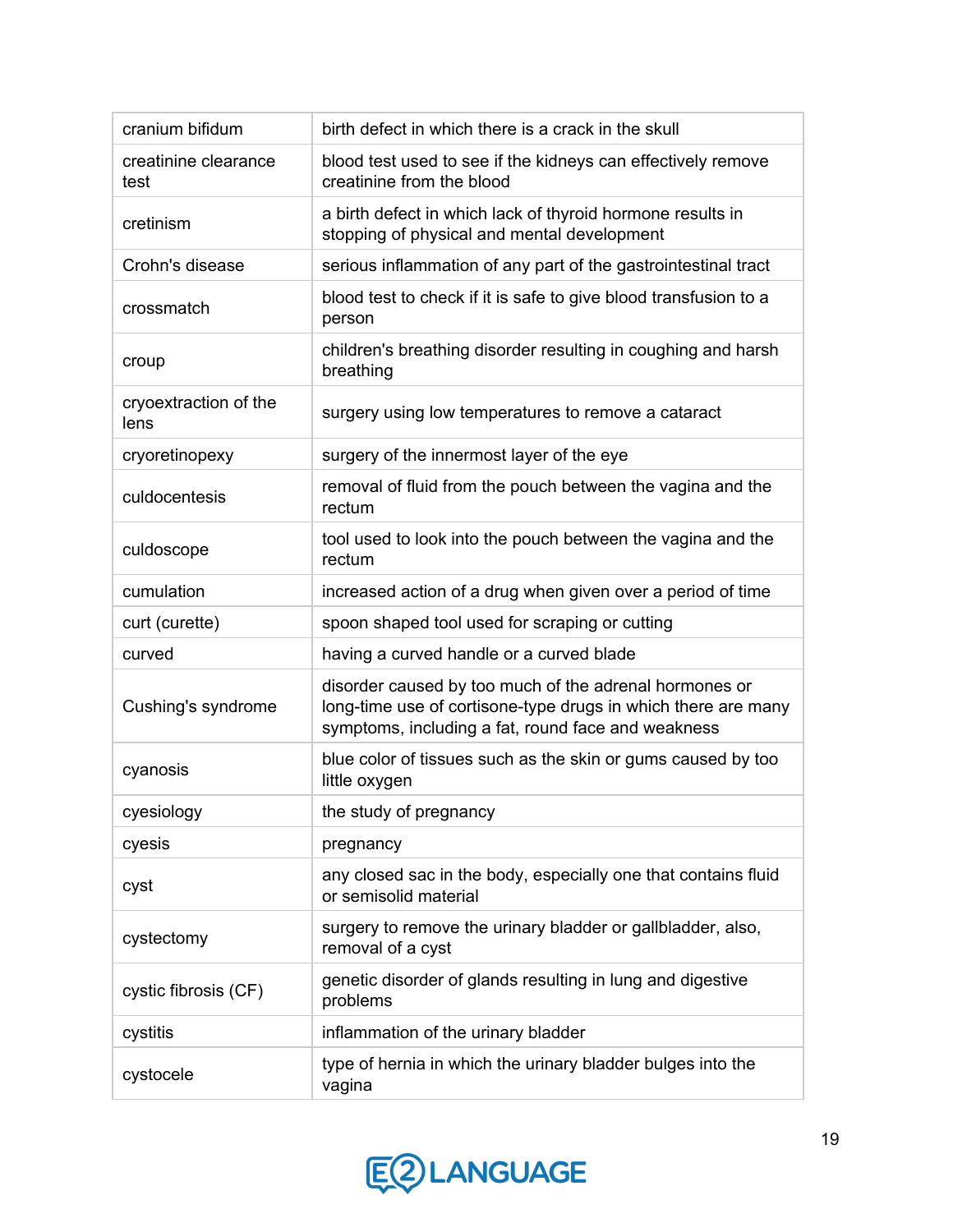| cranium bifidum               | birth defect in which there is a crack in the skull                                                                                                                           |
|-------------------------------|-------------------------------------------------------------------------------------------------------------------------------------------------------------------------------|
| creatinine clearance<br>test  | blood test used to see if the kidneys can effectively remove<br>creatinine from the blood                                                                                     |
| cretinism                     | a birth defect in which lack of thyroid hormone results in<br>stopping of physical and mental development                                                                     |
| Crohn's disease               | serious inflammation of any part of the gastrointestinal tract                                                                                                                |
| crossmatch                    | blood test to check if it is safe to give blood transfusion to a<br>person                                                                                                    |
| croup                         | children's breathing disorder resulting in coughing and harsh<br>breathing                                                                                                    |
| cryoextraction of the<br>lens | surgery using low temperatures to remove a cataract                                                                                                                           |
| cryoretinopexy                | surgery of the innermost layer of the eye                                                                                                                                     |
| culdocentesis                 | removal of fluid from the pouch between the vagina and the<br>rectum                                                                                                          |
| culdoscope                    | tool used to look into the pouch between the vagina and the<br>rectum                                                                                                         |
| cumulation                    | increased action of a drug when given over a period of time                                                                                                                   |
| curt (curette)                | spoon shaped tool used for scraping or cutting                                                                                                                                |
| curved                        | having a curved handle or a curved blade                                                                                                                                      |
| Cushing's syndrome            | disorder caused by too much of the adrenal hormones or<br>long-time use of cortisone-type drugs in which there are many<br>symptoms, including a fat, round face and weakness |
| cyanosis                      | blue color of tissues such as the skin or gums caused by too<br>little oxygen                                                                                                 |
| cyesiology                    | the study of pregnancy                                                                                                                                                        |
| cyesis                        | pregnancy                                                                                                                                                                     |
| cyst                          | any closed sac in the body, especially one that contains fluid<br>or semisolid material                                                                                       |
| cystectomy                    | surgery to remove the urinary bladder or gallbladder, also,<br>removal of a cyst                                                                                              |
| cystic fibrosis (CF)          | genetic disorder of glands resulting in lung and digestive<br>problems                                                                                                        |
| cystitis                      | inflammation of the urinary bladder                                                                                                                                           |
| cystocele                     | type of hernia in which the urinary bladder bulges into the<br>vagina                                                                                                         |

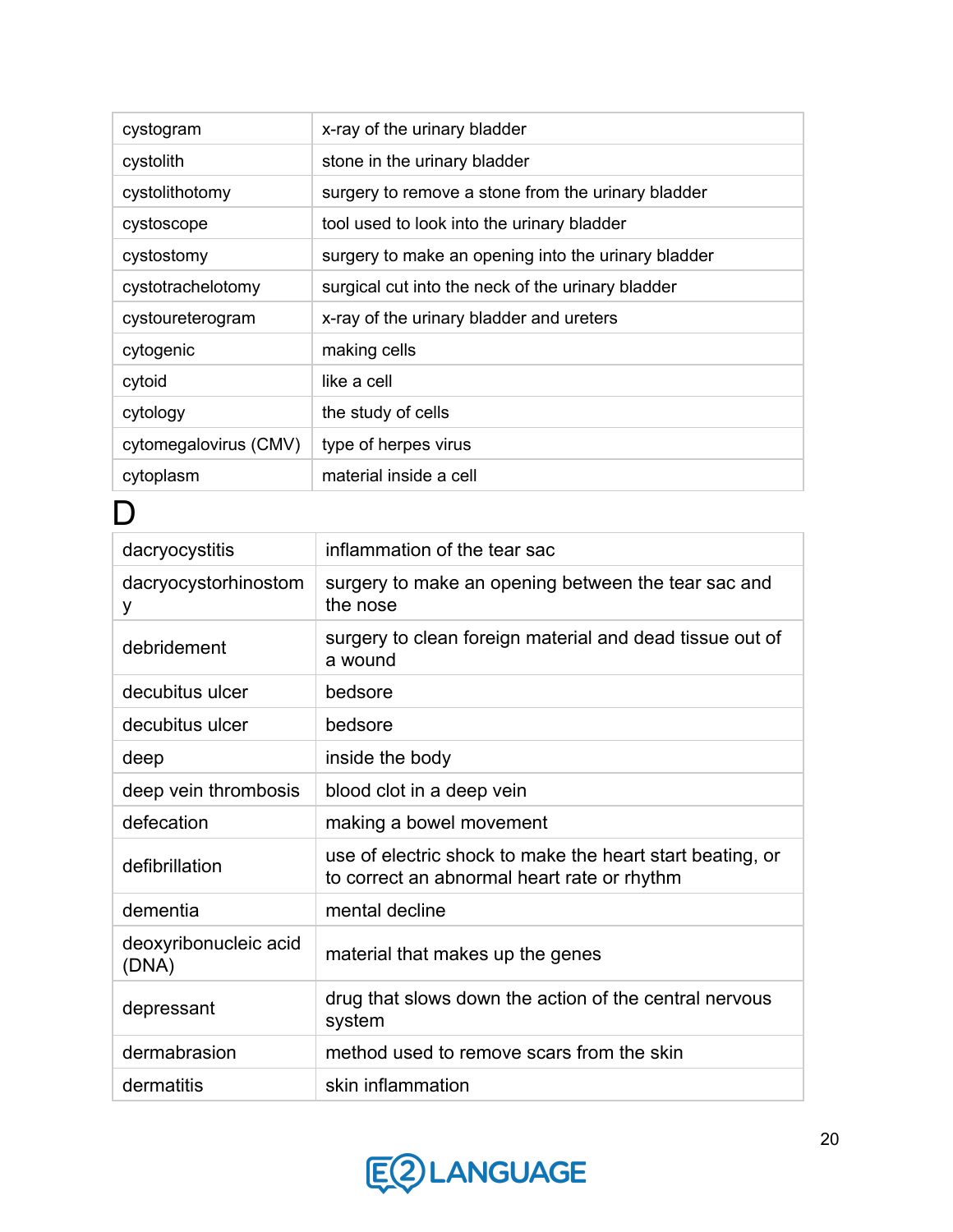| cystogram             | x-ray of the urinary bladder                        |
|-----------------------|-----------------------------------------------------|
| cystolith             | stone in the urinary bladder                        |
| cystolithotomy        | surgery to remove a stone from the urinary bladder  |
| cystoscope            | tool used to look into the urinary bladder          |
| cystostomy            | surgery to make an opening into the urinary bladder |
| cystotrachelotomy     | surgical cut into the neck of the urinary bladder   |
| cystoureterogram      | x-ray of the urinary bladder and ureters            |
| cytogenic             | making cells                                        |
| cytoid                | like a cell                                         |
| cytology              | the study of cells                                  |
| cytomegalovirus (CMV) | type of herpes virus                                |
| cytoplasm             | material inside a cell                              |

#### $\overline{D}$

| dacryocystitis                 | inflammation of the tear sac                                                                             |
|--------------------------------|----------------------------------------------------------------------------------------------------------|
| dacryocystorhinostom<br>у      | surgery to make an opening between the tear sac and<br>the nose                                          |
| debridement                    | surgery to clean foreign material and dead tissue out of<br>a wound                                      |
| decubitus ulcer                | bedsore                                                                                                  |
| decubitus ulcer                | bedsore                                                                                                  |
| deep                           | inside the body                                                                                          |
| deep vein thrombosis           | blood clot in a deep vein                                                                                |
| defecation                     | making a bowel movement                                                                                  |
| defibrillation                 | use of electric shock to make the heart start beating, or<br>to correct an abnormal heart rate or rhythm |
| dementia                       | mental decline                                                                                           |
| deoxyribonucleic acid<br>(DNA) | material that makes up the genes                                                                         |
| depressant                     | drug that slows down the action of the central nervous<br>system                                         |
| dermabrasion                   | method used to remove scars from the skin                                                                |
| dermatitis                     | skin inflammation                                                                                        |

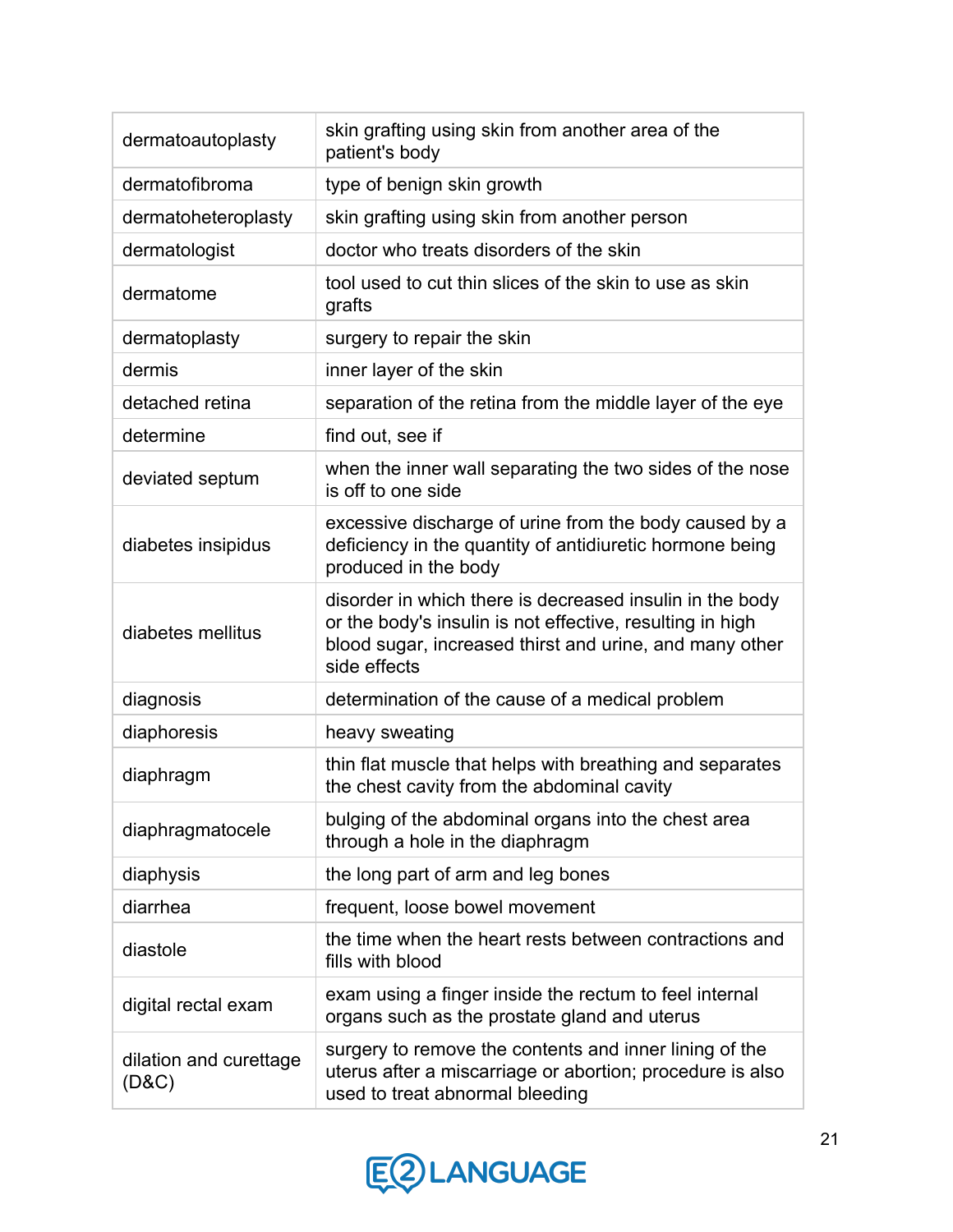| dermatoautoplasty               | skin grafting using skin from another area of the<br>patient's body                                                                                                                              |
|---------------------------------|--------------------------------------------------------------------------------------------------------------------------------------------------------------------------------------------------|
| dermatofibroma                  | type of benign skin growth                                                                                                                                                                       |
| dermatoheteroplasty             | skin grafting using skin from another person                                                                                                                                                     |
| dermatologist                   | doctor who treats disorders of the skin                                                                                                                                                          |
| dermatome                       | tool used to cut thin slices of the skin to use as skin<br>grafts                                                                                                                                |
| dermatoplasty                   | surgery to repair the skin                                                                                                                                                                       |
| dermis                          | inner layer of the skin                                                                                                                                                                          |
| detached retina                 | separation of the retina from the middle layer of the eye                                                                                                                                        |
| determine                       | find out, see if                                                                                                                                                                                 |
| deviated septum                 | when the inner wall separating the two sides of the nose<br>is off to one side                                                                                                                   |
| diabetes insipidus              | excessive discharge of urine from the body caused by a<br>deficiency in the quantity of antidiuretic hormone being<br>produced in the body                                                       |
| diabetes mellitus               | disorder in which there is decreased insulin in the body<br>or the body's insulin is not effective, resulting in high<br>blood sugar, increased thirst and urine, and many other<br>side effects |
| diagnosis                       | determination of the cause of a medical problem                                                                                                                                                  |
| diaphoresis                     | heavy sweating                                                                                                                                                                                   |
| diaphragm                       | thin flat muscle that helps with breathing and separates<br>the chest cavity from the abdominal cavity                                                                                           |
| diaphragmatocele                | bulging of the abdominal organs into the chest area<br>through a hole in the diaphragm                                                                                                           |
| diaphysis                       | the long part of arm and leg bones                                                                                                                                                               |
| diarrhea                        | frequent, loose bowel movement                                                                                                                                                                   |
| diastole                        | the time when the heart rests between contractions and<br>fills with blood                                                                                                                       |
| digital rectal exam             | exam using a finger inside the rectum to feel internal<br>organs such as the prostate gland and uterus                                                                                           |
| dilation and curettage<br>(D&C) | surgery to remove the contents and inner lining of the<br>uterus after a miscarriage or abortion; procedure is also<br>used to treat abnormal bleeding                                           |

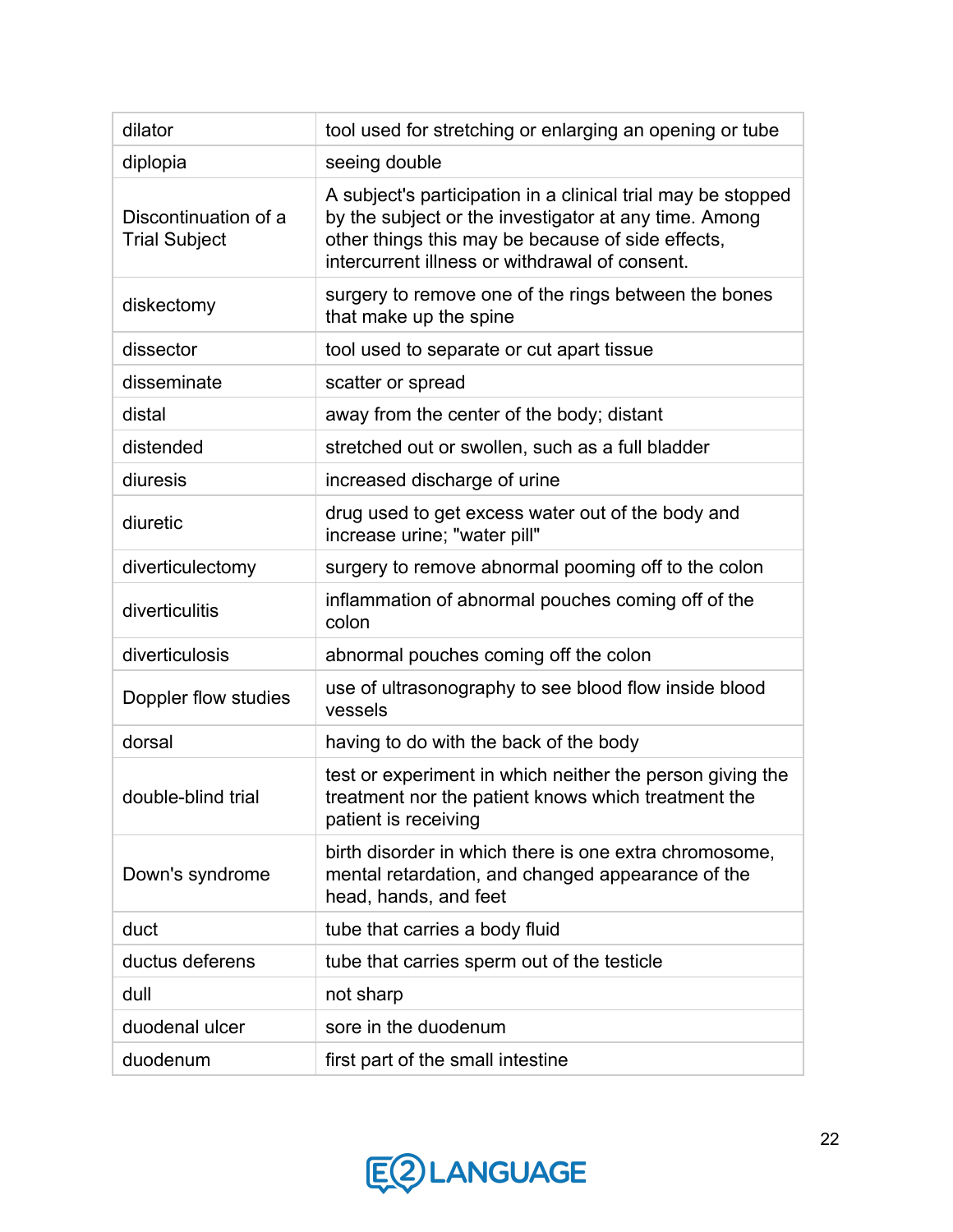| dilator                                      | tool used for stretching or enlarging an opening or tube                                                                                                                                                                     |
|----------------------------------------------|------------------------------------------------------------------------------------------------------------------------------------------------------------------------------------------------------------------------------|
| diplopia                                     | seeing double                                                                                                                                                                                                                |
| Discontinuation of a<br><b>Trial Subject</b> | A subject's participation in a clinical trial may be stopped<br>by the subject or the investigator at any time. Among<br>other things this may be because of side effects,<br>intercurrent illness or withdrawal of consent. |
| diskectomy                                   | surgery to remove one of the rings between the bones<br>that make up the spine                                                                                                                                               |
| dissector                                    | tool used to separate or cut apart tissue                                                                                                                                                                                    |
| disseminate                                  | scatter or spread                                                                                                                                                                                                            |
| distal                                       | away from the center of the body; distant                                                                                                                                                                                    |
| distended                                    | stretched out or swollen, such as a full bladder                                                                                                                                                                             |
| diuresis                                     | increased discharge of urine                                                                                                                                                                                                 |
| diuretic                                     | drug used to get excess water out of the body and<br>increase urine; "water pill"                                                                                                                                            |
| diverticulectomy                             | surgery to remove abnormal pooming off to the colon                                                                                                                                                                          |
| diverticulitis                               | inflammation of abnormal pouches coming off of the<br>colon                                                                                                                                                                  |
| diverticulosis                               | abnormal pouches coming off the colon                                                                                                                                                                                        |
| Doppler flow studies                         | use of ultrasonography to see blood flow inside blood<br>vessels                                                                                                                                                             |
| dorsal                                       | having to do with the back of the body                                                                                                                                                                                       |
| double-blind trial                           | test or experiment in which neither the person giving the<br>treatment nor the patient knows which treatment the<br>patient is receiving                                                                                     |
| Down's syndrome                              | birth disorder in which there is one extra chromosome,<br>mental retardation, and changed appearance of the<br>head, hands, and feet                                                                                         |
| duct                                         | tube that carries a body fluid                                                                                                                                                                                               |
| ductus deferens                              | tube that carries sperm out of the testicle                                                                                                                                                                                  |
| dull                                         | not sharp                                                                                                                                                                                                                    |
| duodenal ulcer                               | sore in the duodenum                                                                                                                                                                                                         |
| duodenum                                     | first part of the small intestine                                                                                                                                                                                            |

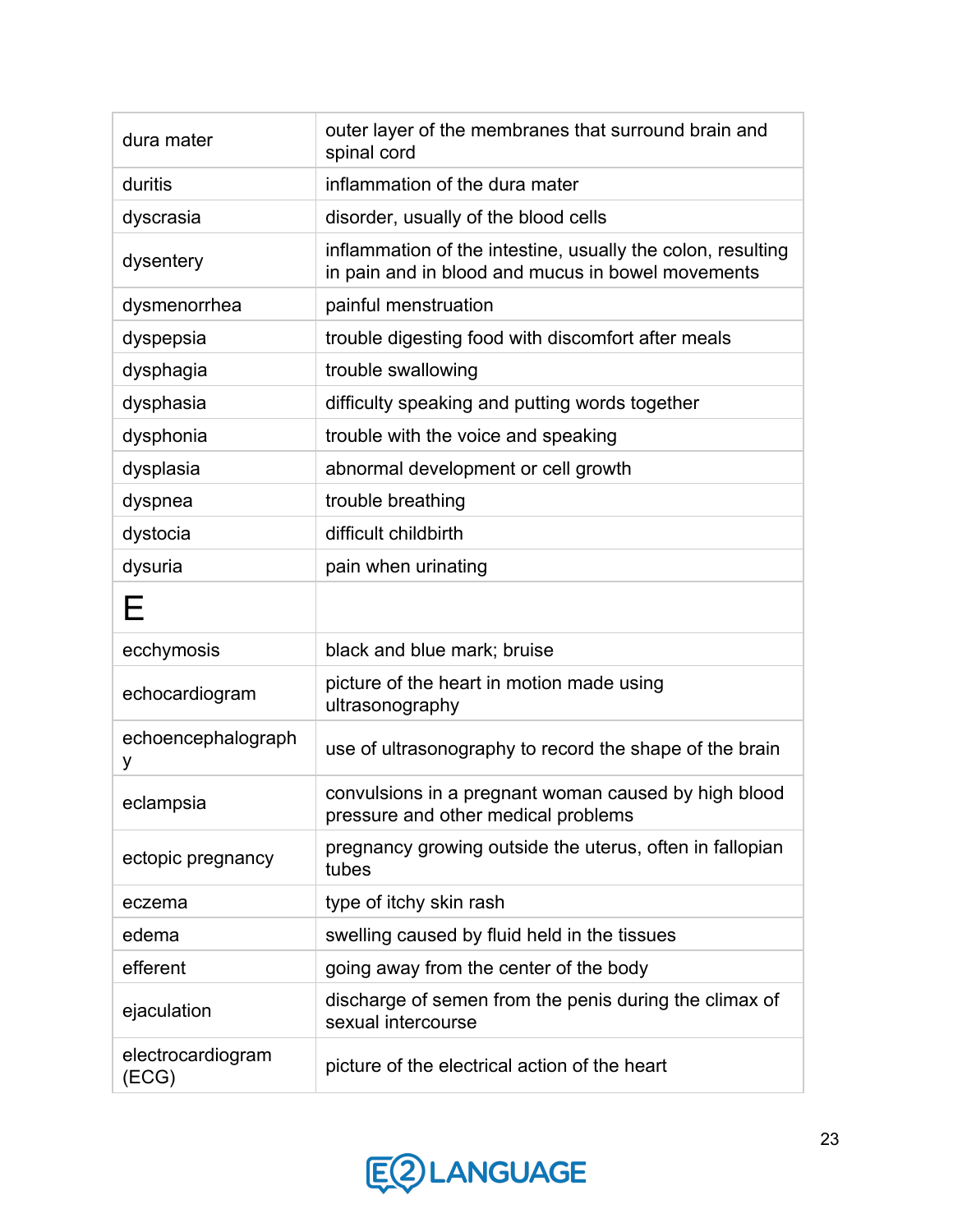| dura mater                 | outer layer of the membranes that surround brain and<br>spinal cord                                              |
|----------------------------|------------------------------------------------------------------------------------------------------------------|
| duritis                    | inflammation of the dura mater                                                                                   |
| dyscrasia                  | disorder, usually of the blood cells                                                                             |
| dysentery                  | inflammation of the intestine, usually the colon, resulting<br>in pain and in blood and mucus in bowel movements |
| dysmenorrhea               | painful menstruation                                                                                             |
| dyspepsia                  | trouble digesting food with discomfort after meals                                                               |
| dysphagia                  | trouble swallowing                                                                                               |
| dysphasia                  | difficulty speaking and putting words together                                                                   |
| dysphonia                  | trouble with the voice and speaking                                                                              |
| dysplasia                  | abnormal development or cell growth                                                                              |
| dyspnea                    | trouble breathing                                                                                                |
| dystocia                   | difficult childbirth                                                                                             |
| dysuria                    | pain when urinating                                                                                              |
| Е                          |                                                                                                                  |
| ecchymosis                 | black and blue mark; bruise                                                                                      |
| echocardiogram             | picture of the heart in motion made using<br>ultrasonography                                                     |
| echoencephalograph<br>у    | use of ultrasonography to record the shape of the brain                                                          |
| eclampsia                  | convulsions in a pregnant woman caused by high blood<br>pressure and other medical problems                      |
| ectopic pregnancy          | pregnancy growing outside the uterus, often in fallopian<br>tubes                                                |
| eczema                     | type of itchy skin rash                                                                                          |
| edema                      | swelling caused by fluid held in the tissues                                                                     |
| efferent                   | going away from the center of the body                                                                           |
| ejaculation                | discharge of semen from the penis during the climax of<br>sexual intercourse                                     |
| electrocardiogram<br>(ECG) | picture of the electrical action of the heart                                                                    |

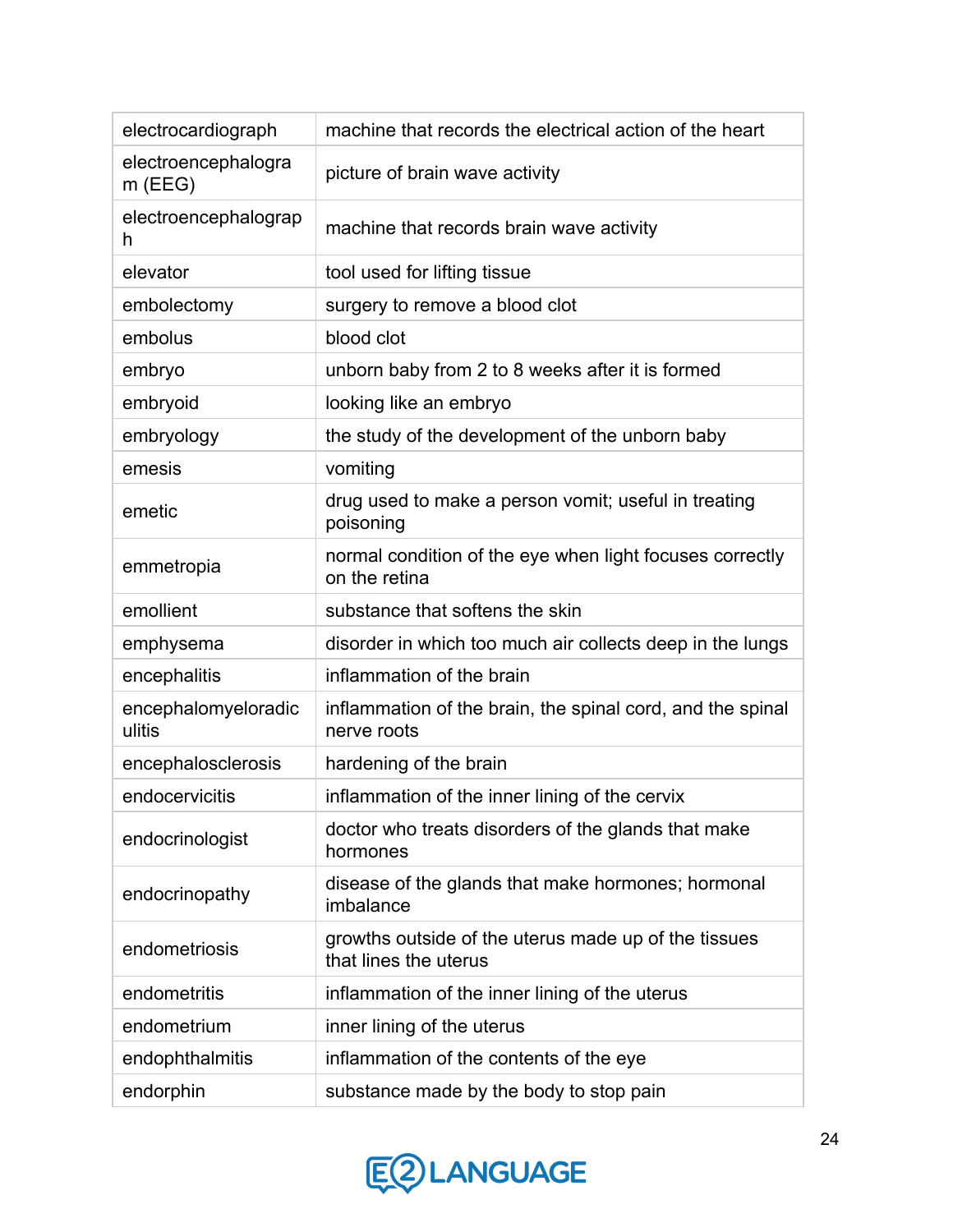| electrocardiograph               | machine that records the electrical action of the heart                       |
|----------------------------------|-------------------------------------------------------------------------------|
| electroencephalogra<br>$m$ (EEG) | picture of brain wave activity                                                |
| electroencephalograp<br>h        | machine that records brain wave activity                                      |
| elevator                         | tool used for lifting tissue                                                  |
| embolectomy                      | surgery to remove a blood clot                                                |
| embolus                          | blood clot                                                                    |
| embryo                           | unborn baby from 2 to 8 weeks after it is formed                              |
| embryoid                         | looking like an embryo                                                        |
| embryology                       | the study of the development of the unborn baby                               |
| emesis                           | vomiting                                                                      |
| emetic                           | drug used to make a person vomit; useful in treating<br>poisoning             |
| emmetropia                       | normal condition of the eye when light focuses correctly<br>on the retina     |
| emollient                        | substance that softens the skin                                               |
| emphysema                        | disorder in which too much air collects deep in the lungs                     |
| encephalitis                     | inflammation of the brain                                                     |
| encephalomyeloradic<br>ulitis    | inflammation of the brain, the spinal cord, and the spinal<br>nerve roots     |
| encephalosclerosis               | hardening of the brain                                                        |
| endocervicitis                   | inflammation of the inner lining of the cervix                                |
| endocrinologist                  | doctor who treats disorders of the glands that make<br>hormones               |
| endocrinopathy                   | disease of the glands that make hormones; hormonal<br>imbalance               |
| endometriosis                    | growths outside of the uterus made up of the tissues<br>that lines the uterus |
| endometritis                     | inflammation of the inner lining of the uterus                                |
| endometrium                      | inner lining of the uterus                                                    |
| endophthalmitis                  | inflammation of the contents of the eye                                       |
| endorphin                        | substance made by the body to stop pain                                       |

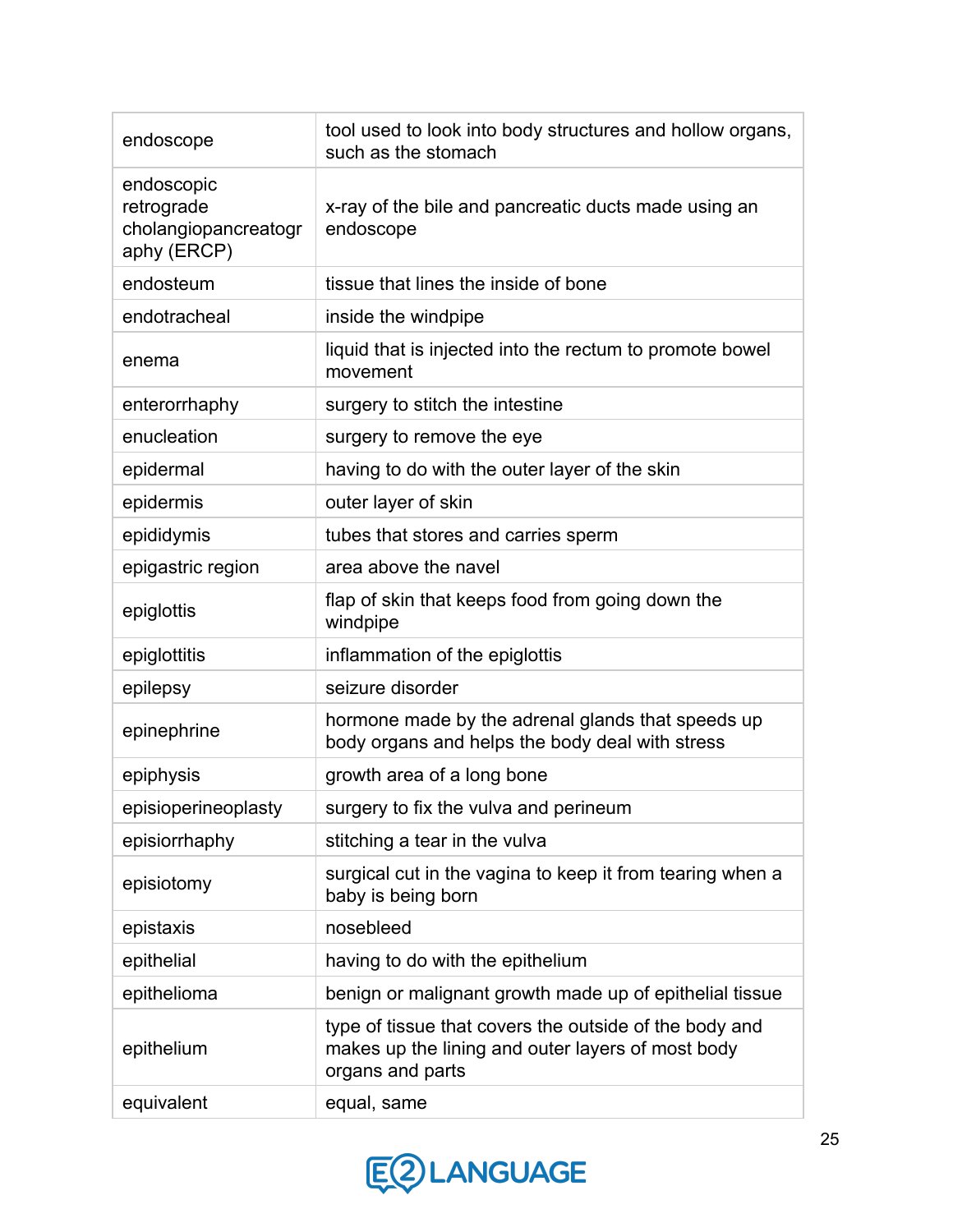| endoscope                                                       | tool used to look into body structures and hollow organs,<br>such as the stomach                                                |
|-----------------------------------------------------------------|---------------------------------------------------------------------------------------------------------------------------------|
| endoscopic<br>retrograde<br>cholangiopancreatogr<br>aphy (ERCP) | x-ray of the bile and pancreatic ducts made using an<br>endoscope                                                               |
| endosteum                                                       | tissue that lines the inside of bone                                                                                            |
| endotracheal                                                    | inside the windpipe                                                                                                             |
| enema                                                           | liquid that is injected into the rectum to promote bowel<br>movement                                                            |
| enterorrhaphy                                                   | surgery to stitch the intestine                                                                                                 |
| enucleation                                                     | surgery to remove the eye                                                                                                       |
| epidermal                                                       | having to do with the outer layer of the skin                                                                                   |
| epidermis                                                       | outer layer of skin                                                                                                             |
| epididymis                                                      | tubes that stores and carries sperm                                                                                             |
| epigastric region                                               | area above the navel                                                                                                            |
| epiglottis                                                      | flap of skin that keeps food from going down the<br>windpipe                                                                    |
| epiglottitis                                                    | inflammation of the epiglottis                                                                                                  |
| epilepsy                                                        | seizure disorder                                                                                                                |
| epinephrine                                                     | hormone made by the adrenal glands that speeds up<br>body organs and helps the body deal with stress                            |
| epiphysis                                                       | growth area of a long bone                                                                                                      |
| episioperineoplasty                                             | surgery to fix the vulva and perineum                                                                                           |
| episiorrhaphy                                                   | stitching a tear in the vulva                                                                                                   |
| episiotomy                                                      | surgical cut in the vagina to keep it from tearing when a<br>baby is being born                                                 |
| epistaxis                                                       | nosebleed                                                                                                                       |
| epithelial                                                      | having to do with the epithelium                                                                                                |
| epithelioma                                                     | benign or malignant growth made up of epithelial tissue                                                                         |
| epithelium                                                      | type of tissue that covers the outside of the body and<br>makes up the lining and outer layers of most body<br>organs and parts |
| equivalent                                                      | equal, same                                                                                                                     |

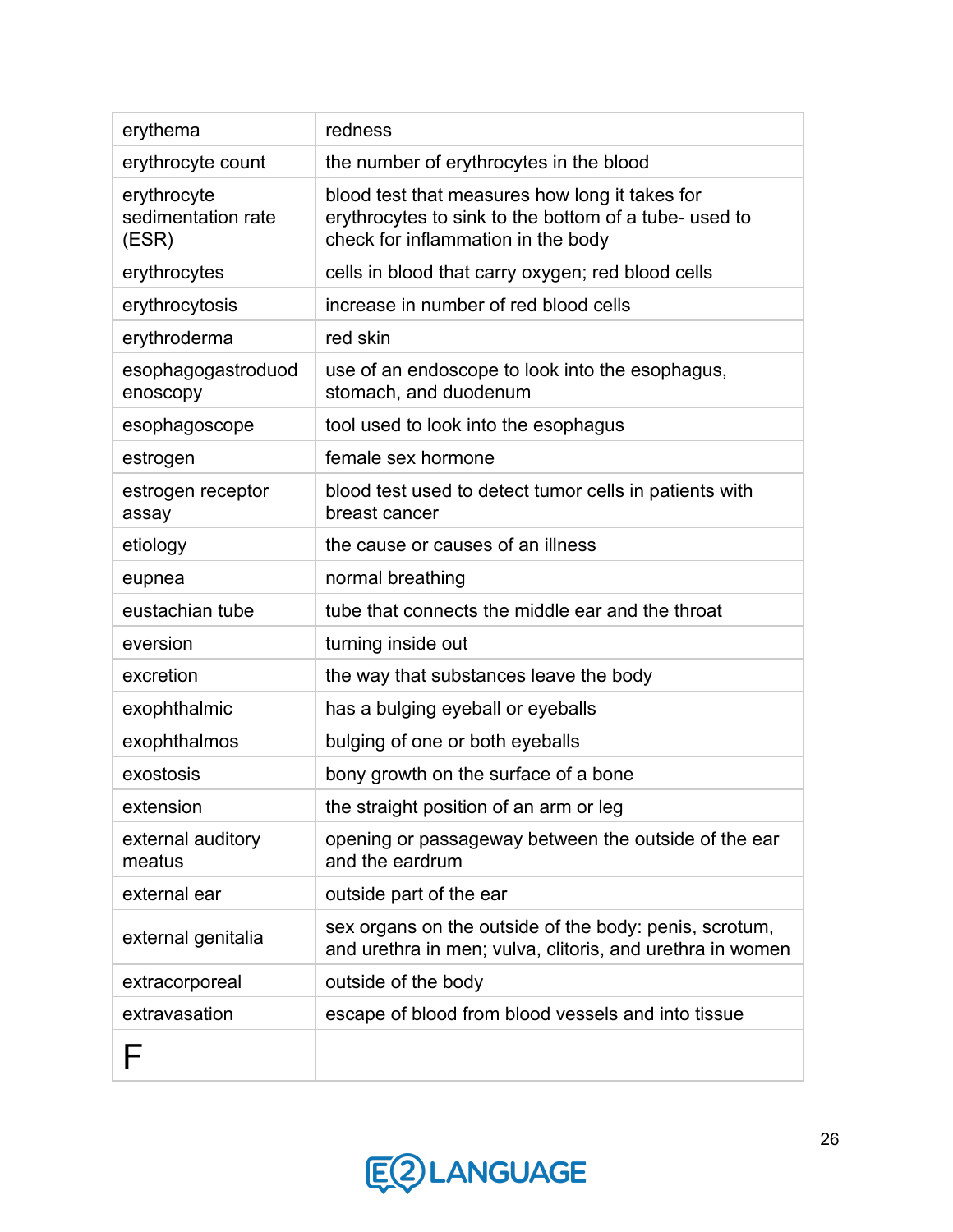| erythema                                   | redness                                                                                                                                       |
|--------------------------------------------|-----------------------------------------------------------------------------------------------------------------------------------------------|
| erythrocyte count                          | the number of erythrocytes in the blood                                                                                                       |
| erythrocyte<br>sedimentation rate<br>(ESR) | blood test that measures how long it takes for<br>erythrocytes to sink to the bottom of a tube- used to<br>check for inflammation in the body |
| erythrocytes                               | cells in blood that carry oxygen; red blood cells                                                                                             |
| erythrocytosis                             | increase in number of red blood cells                                                                                                         |
| erythroderma                               | red skin                                                                                                                                      |
| esophagogastroduod<br>enoscopy             | use of an endoscope to look into the esophagus,<br>stomach, and duodenum                                                                      |
| esophagoscope                              | tool used to look into the esophagus                                                                                                          |
| estrogen                                   | female sex hormone                                                                                                                            |
| estrogen receptor<br>assay                 | blood test used to detect tumor cells in patients with<br>breast cancer                                                                       |
| etiology                                   | the cause or causes of an illness                                                                                                             |
| eupnea                                     | normal breathing                                                                                                                              |
| eustachian tube                            | tube that connects the middle ear and the throat                                                                                              |
| eversion                                   | turning inside out                                                                                                                            |
| excretion                                  | the way that substances leave the body                                                                                                        |
| exophthalmic                               | has a bulging eyeball or eyeballs                                                                                                             |
| exophthalmos                               | bulging of one or both eyeballs                                                                                                               |
| exostosis                                  | bony growth on the surface of a bone                                                                                                          |
| extension                                  | the straight position of an arm or leg                                                                                                        |
| external auditory<br>meatus                | opening or passageway between the outside of the ear<br>and the eardrum                                                                       |
| external ear                               | outside part of the ear                                                                                                                       |
| external genitalia                         | sex organs on the outside of the body: penis, scrotum,<br>and urethra in men; vulva, clitoris, and urethra in women                           |
| extracorporeal                             | outside of the body                                                                                                                           |
| extravasation                              | escape of blood from blood vessels and into tissue                                                                                            |
| F                                          |                                                                                                                                               |

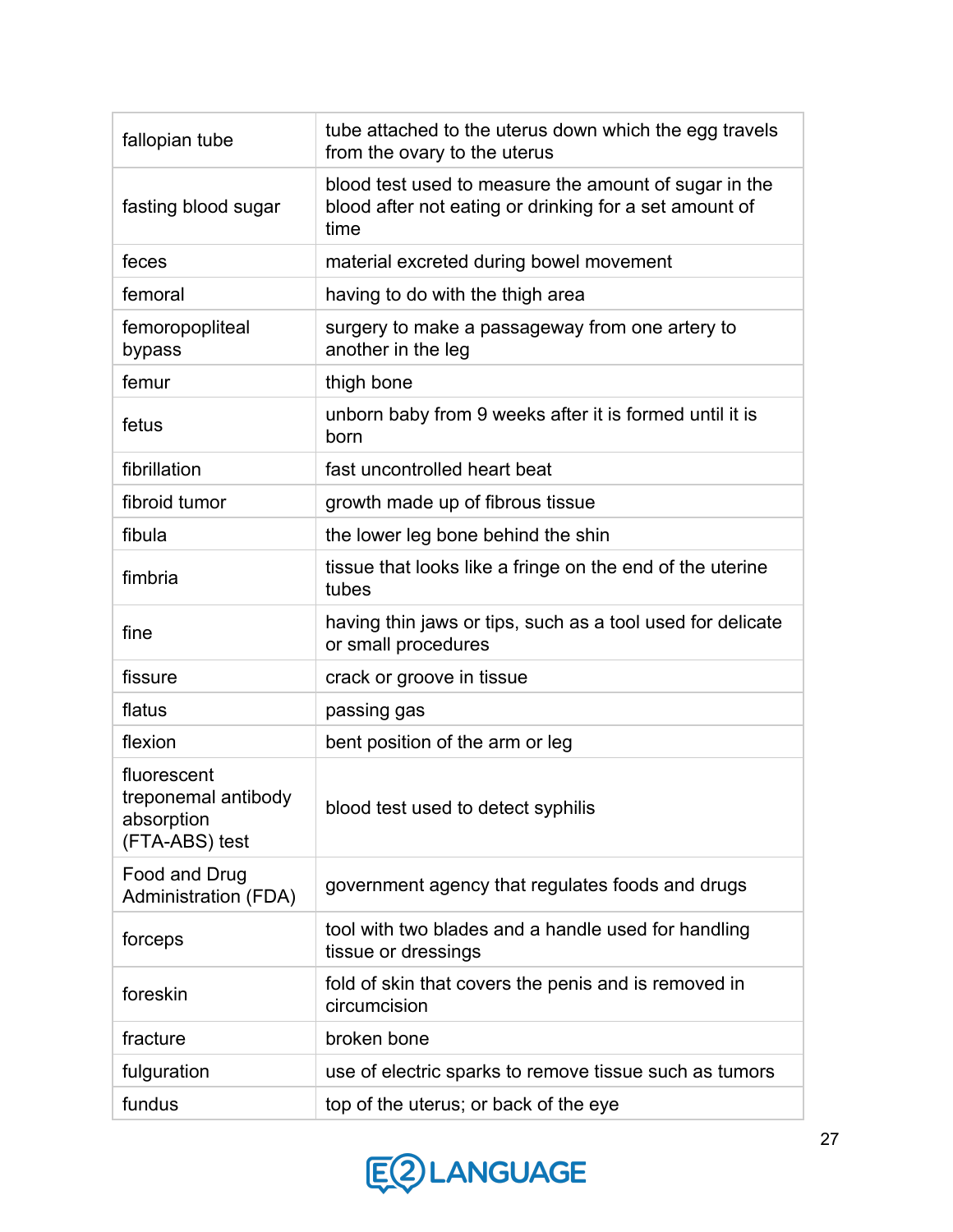| fallopian tube                                                     | tube attached to the uterus down which the egg travels<br>from the ovary to the uterus                                  |
|--------------------------------------------------------------------|-------------------------------------------------------------------------------------------------------------------------|
| fasting blood sugar                                                | blood test used to measure the amount of sugar in the<br>blood after not eating or drinking for a set amount of<br>time |
| feces                                                              | material excreted during bowel movement                                                                                 |
| femoral                                                            | having to do with the thigh area                                                                                        |
| femoropopliteal<br>bypass                                          | surgery to make a passageway from one artery to<br>another in the leg                                                   |
| femur                                                              | thigh bone                                                                                                              |
| fetus                                                              | unborn baby from 9 weeks after it is formed until it is<br>born                                                         |
| fibrillation                                                       | fast uncontrolled heart beat                                                                                            |
| fibroid tumor                                                      | growth made up of fibrous tissue                                                                                        |
| fibula                                                             | the lower leg bone behind the shin                                                                                      |
| fimbria                                                            | tissue that looks like a fringe on the end of the uterine<br>tubes                                                      |
| fine                                                               | having thin jaws or tips, such as a tool used for delicate<br>or small procedures                                       |
| fissure                                                            | crack or groove in tissue                                                                                               |
| flatus                                                             | passing gas                                                                                                             |
| flexion                                                            | bent position of the arm or leg                                                                                         |
| fluorescent<br>treponemal antibody<br>absorption<br>(FTA-ABS) test | blood test used to detect syphilis                                                                                      |
| Food and Drug<br><b>Administration (FDA)</b>                       | government agency that regulates foods and drugs                                                                        |
| forceps                                                            | tool with two blades and a handle used for handling<br>tissue or dressings                                              |
| foreskin                                                           | fold of skin that covers the penis and is removed in<br>circumcision                                                    |
| fracture                                                           | broken bone                                                                                                             |
| fulguration                                                        | use of electric sparks to remove tissue such as tumors                                                                  |
| fundus                                                             | top of the uterus; or back of the eye                                                                                   |

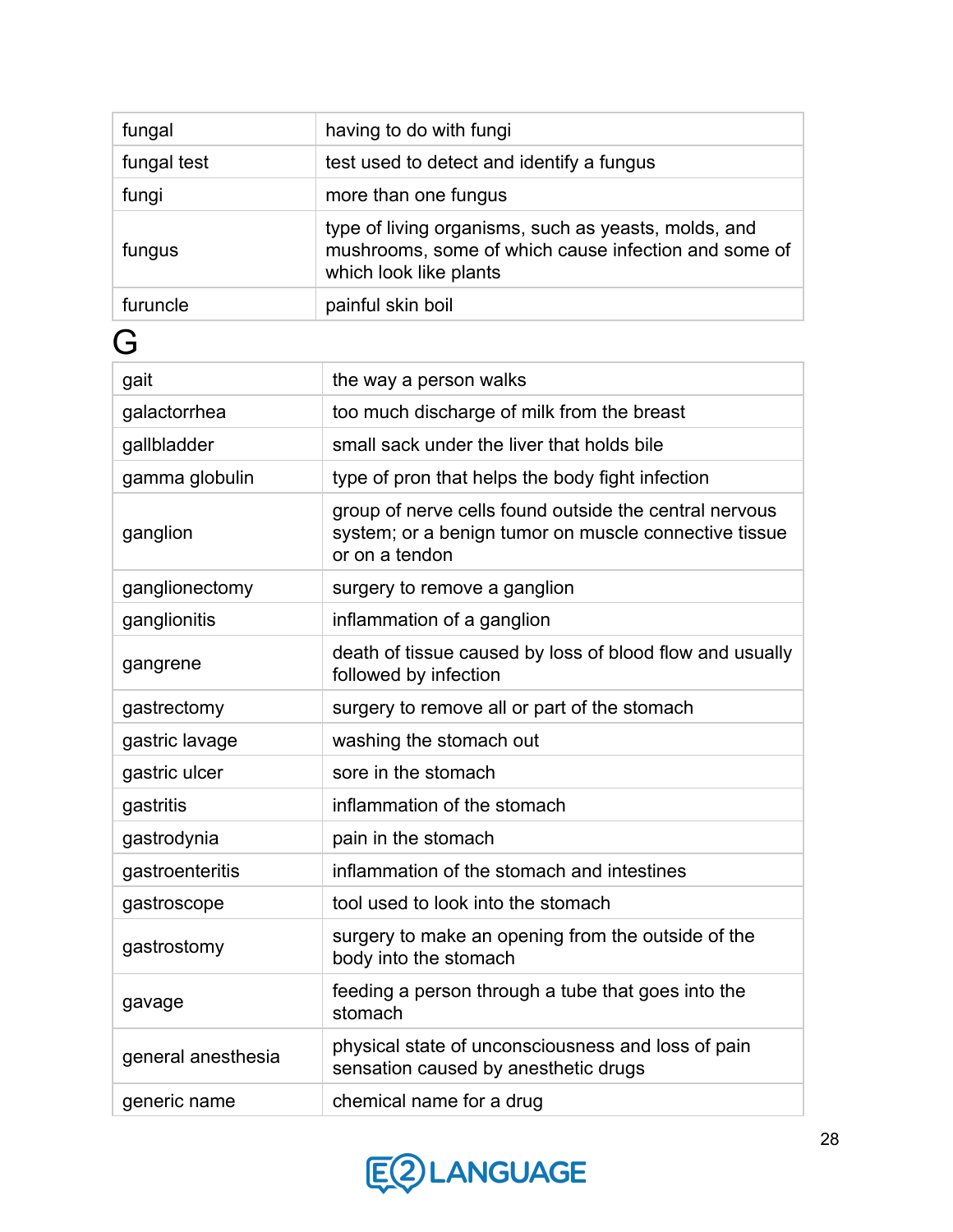| fungal             | having to do with fungi                                                                                                                |
|--------------------|----------------------------------------------------------------------------------------------------------------------------------------|
| fungal test        | test used to detect and identify a fungus                                                                                              |
| fungi              | more than one fungus                                                                                                                   |
| fungus             | type of living organisms, such as yeasts, molds, and<br>mushrooms, some of which cause infection and some of<br>which look like plants |
| furuncle           | painful skin boil                                                                                                                      |
| G                  |                                                                                                                                        |
| gait               | the way a person walks                                                                                                                 |
| galactorrhea       | too much discharge of milk from the breast                                                                                             |
| gallbladder        | small sack under the liver that holds bile                                                                                             |
| gamma globulin     | type of pron that helps the body fight infection                                                                                       |
| ganglion           | group of nerve cells found outside the central nervous<br>system; or a benign tumor on muscle connective tissue<br>or on a tendon      |
| ganglionectomy     | surgery to remove a ganglion                                                                                                           |
| ganglionitis       | inflammation of a ganglion                                                                                                             |
| gangrene           | death of tissue caused by loss of blood flow and usually<br>followed by infection                                                      |
| gastrectomy        | surgery to remove all or part of the stomach                                                                                           |
| gastric lavage     | washing the stomach out                                                                                                                |
| gastric ulcer      | sore in the stomach                                                                                                                    |
| gastritis          | inflammation of the stomach                                                                                                            |
| gastrodynia        | pain in the stomach                                                                                                                    |
| gastroenteritis    | inflammation of the stomach and intestines                                                                                             |
| gastroscope        | tool used to look into the stomach                                                                                                     |
| gastrostomy        | surgery to make an opening from the outside of the<br>body into the stomach                                                            |
| gavage             | feeding a person through a tube that goes into the<br>stomach                                                                          |
| general anesthesia | physical state of unconsciousness and loss of pain<br>sensation caused by anesthetic drugs                                             |
| generic name       | chemical name for a drug                                                                                                               |

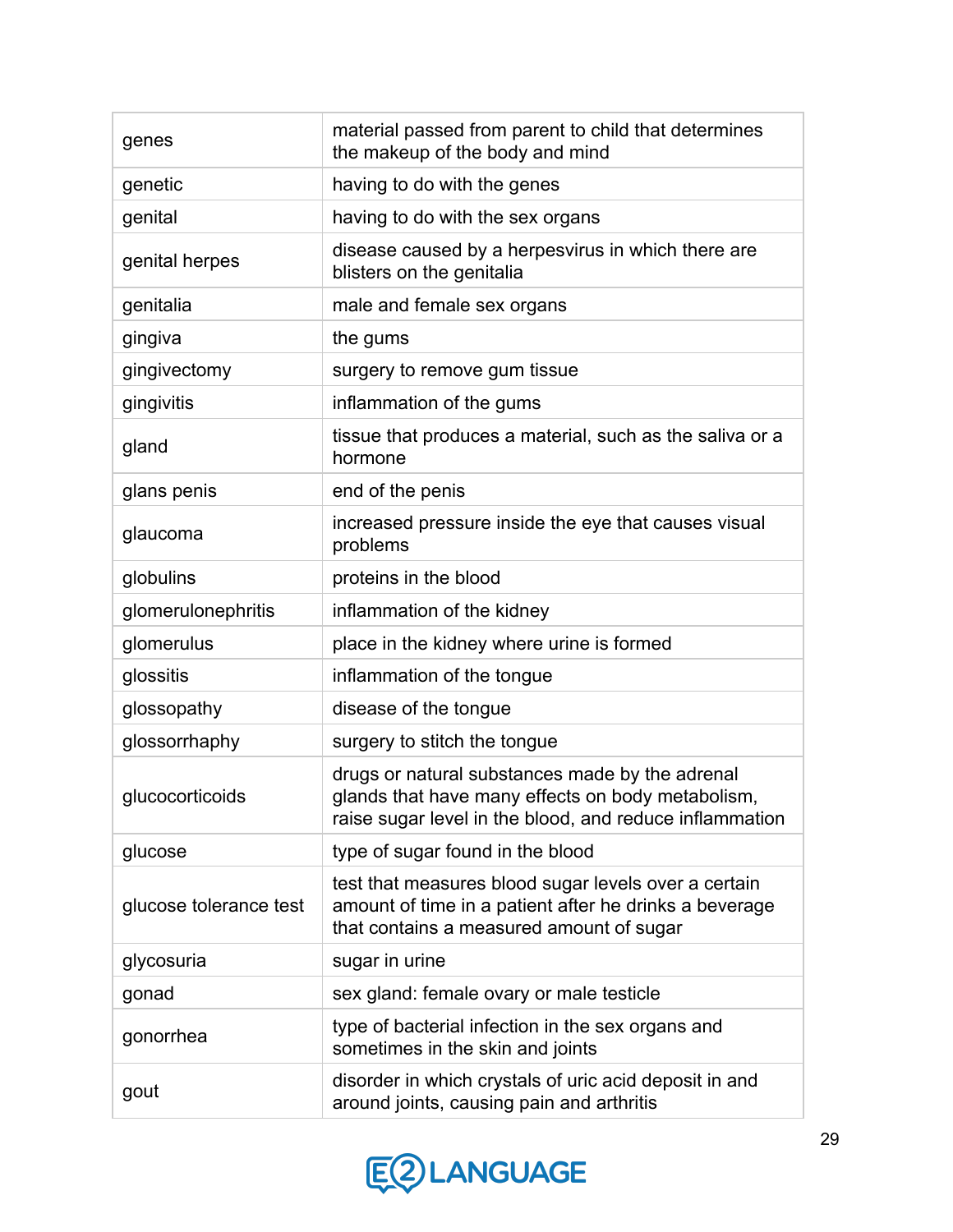| genes                  | material passed from parent to child that determines<br>the makeup of the body and mind                                                                         |
|------------------------|-----------------------------------------------------------------------------------------------------------------------------------------------------------------|
| genetic                | having to do with the genes                                                                                                                                     |
| genital                | having to do with the sex organs                                                                                                                                |
| genital herpes         | disease caused by a herpesvirus in which there are<br>blisters on the genitalia                                                                                 |
| genitalia              | male and female sex organs                                                                                                                                      |
| gingiva                | the gums                                                                                                                                                        |
| gingivectomy           | surgery to remove gum tissue                                                                                                                                    |
| gingivitis             | inflammation of the gums                                                                                                                                        |
| gland                  | tissue that produces a material, such as the saliva or a<br>hormone                                                                                             |
| glans penis            | end of the penis                                                                                                                                                |
| glaucoma               | increased pressure inside the eye that causes visual<br>problems                                                                                                |
| globulins              | proteins in the blood                                                                                                                                           |
| glomerulonephritis     | inflammation of the kidney                                                                                                                                      |
| glomerulus             | place in the kidney where urine is formed                                                                                                                       |
| glossitis              | inflammation of the tongue                                                                                                                                      |
| glossopathy            | disease of the tongue                                                                                                                                           |
| glossorrhaphy          | surgery to stitch the tongue                                                                                                                                    |
| glucocorticoids        | drugs or natural substances made by the adrenal<br>glands that have many effects on body metabolism,<br>raise sugar level in the blood, and reduce inflammation |
| glucose                | type of sugar found in the blood                                                                                                                                |
| glucose tolerance test | test that measures blood sugar levels over a certain<br>amount of time in a patient after he drinks a beverage<br>that contains a measured amount of sugar      |
| glycosuria             | sugar in urine                                                                                                                                                  |
| gonad                  | sex gland: female ovary or male testicle                                                                                                                        |
| gonorrhea              | type of bacterial infection in the sex organs and<br>sometimes in the skin and joints                                                                           |
| gout                   | disorder in which crystals of uric acid deposit in and<br>around joints, causing pain and arthritis                                                             |

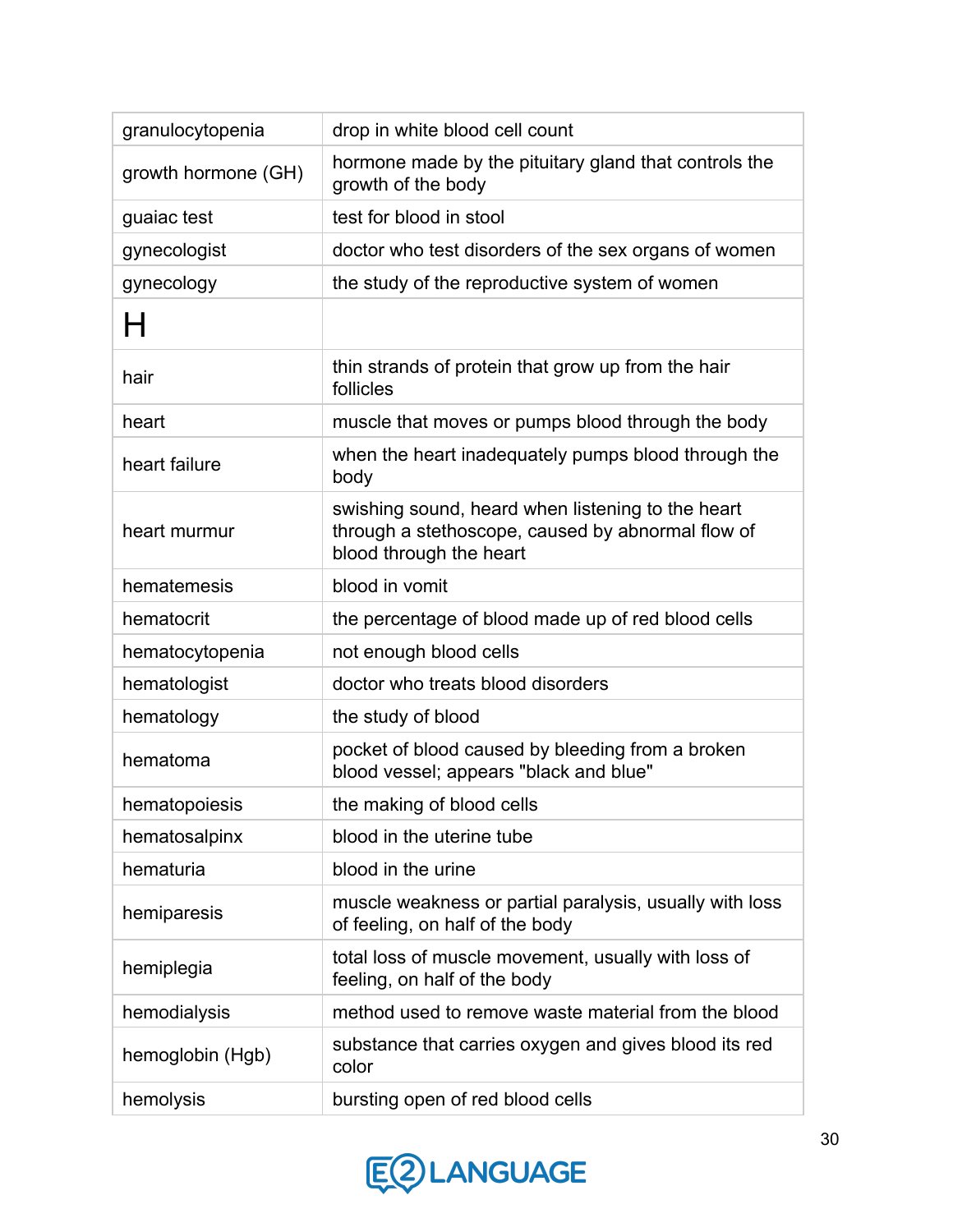| granulocytopenia    | drop in white blood cell count                                                                                                    |
|---------------------|-----------------------------------------------------------------------------------------------------------------------------------|
| growth hormone (GH) | hormone made by the pituitary gland that controls the<br>growth of the body                                                       |
| guaiac test         | test for blood in stool                                                                                                           |
| gynecologist        | doctor who test disorders of the sex organs of women                                                                              |
| gynecology          | the study of the reproductive system of women                                                                                     |
| н                   |                                                                                                                                   |
| hair                | thin strands of protein that grow up from the hair<br>follicles                                                                   |
| heart               | muscle that moves or pumps blood through the body                                                                                 |
| heart failure       | when the heart inadequately pumps blood through the<br>body                                                                       |
| heart murmur        | swishing sound, heard when listening to the heart<br>through a stethoscope, caused by abnormal flow of<br>blood through the heart |
| hematemesis         | blood in vomit                                                                                                                    |
| hematocrit          | the percentage of blood made up of red blood cells                                                                                |
| hematocytopenia     | not enough blood cells                                                                                                            |
| hematologist        | doctor who treats blood disorders                                                                                                 |
| hematology          | the study of blood                                                                                                                |
| hematoma            | pocket of blood caused by bleeding from a broken<br>blood vessel; appears "black and blue"                                        |
| hematopoiesis       | the making of blood cells                                                                                                         |
| hematosalpinx       | blood in the uterine tube                                                                                                         |
| hematuria           | blood in the urine                                                                                                                |
| hemiparesis         | muscle weakness or partial paralysis, usually with loss<br>of feeling, on half of the body                                        |
| hemiplegia          | total loss of muscle movement, usually with loss of<br>feeling, on half of the body                                               |
| hemodialysis        | method used to remove waste material from the blood                                                                               |
| hemoglobin (Hgb)    | substance that carries oxygen and gives blood its red<br>color                                                                    |
| hemolysis           | bursting open of red blood cells                                                                                                  |

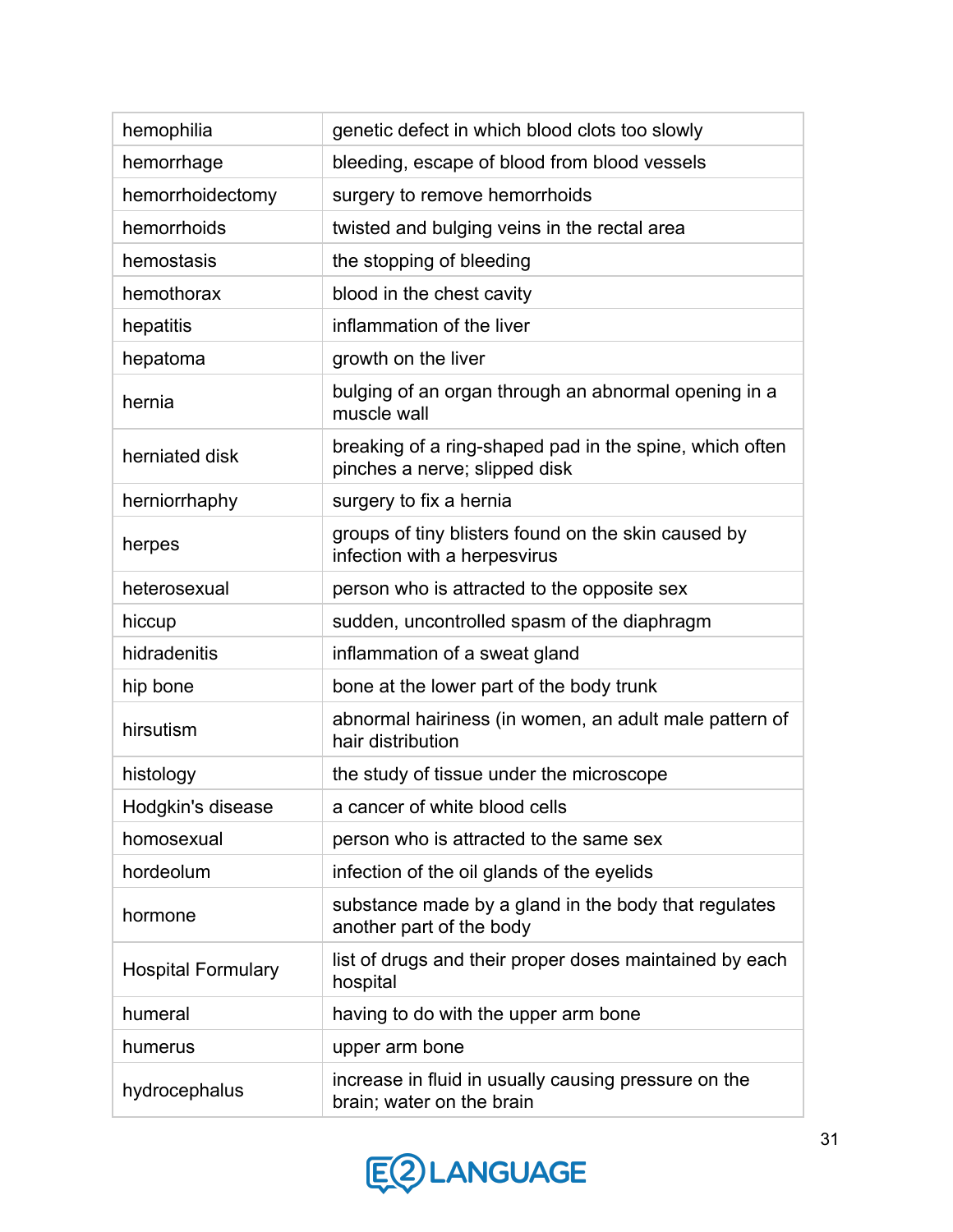| hemophilia                | genetic defect in which blood clots too slowly                                           |
|---------------------------|------------------------------------------------------------------------------------------|
| hemorrhage                | bleeding, escape of blood from blood vessels                                             |
| hemorrhoidectomy          | surgery to remove hemorrhoids                                                            |
| hemorrhoids               | twisted and bulging veins in the rectal area                                             |
| hemostasis                | the stopping of bleeding                                                                 |
| hemothorax                | blood in the chest cavity                                                                |
| hepatitis                 | inflammation of the liver                                                                |
| hepatoma                  | growth on the liver                                                                      |
| hernia                    | bulging of an organ through an abnormal opening in a<br>muscle wall                      |
| herniated disk            | breaking of a ring-shaped pad in the spine, which often<br>pinches a nerve; slipped disk |
| herniorrhaphy             | surgery to fix a hernia                                                                  |
| herpes                    | groups of tiny blisters found on the skin caused by<br>infection with a herpesvirus      |
| heterosexual              | person who is attracted to the opposite sex                                              |
| hiccup                    | sudden, uncontrolled spasm of the diaphragm                                              |
| hidradenitis              | inflammation of a sweat gland                                                            |
| hip bone                  | bone at the lower part of the body trunk                                                 |
| hirsutism                 | abnormal hairiness (in women, an adult male pattern of<br>hair distribution              |
| histology                 | the study of tissue under the microscope                                                 |
| Hodgkin's disease         | a cancer of white blood cells                                                            |
| homosexual                | person who is attracted to the same sex                                                  |
| hordeolum                 | infection of the oil glands of the eyelids                                               |
| hormone                   | substance made by a gland in the body that regulates<br>another part of the body         |
| <b>Hospital Formulary</b> | list of drugs and their proper doses maintained by each<br>hospital                      |
| humeral                   | having to do with the upper arm bone                                                     |
| humerus                   | upper arm bone                                                                           |
| hydrocephalus             | increase in fluid in usually causing pressure on the<br>brain; water on the brain        |

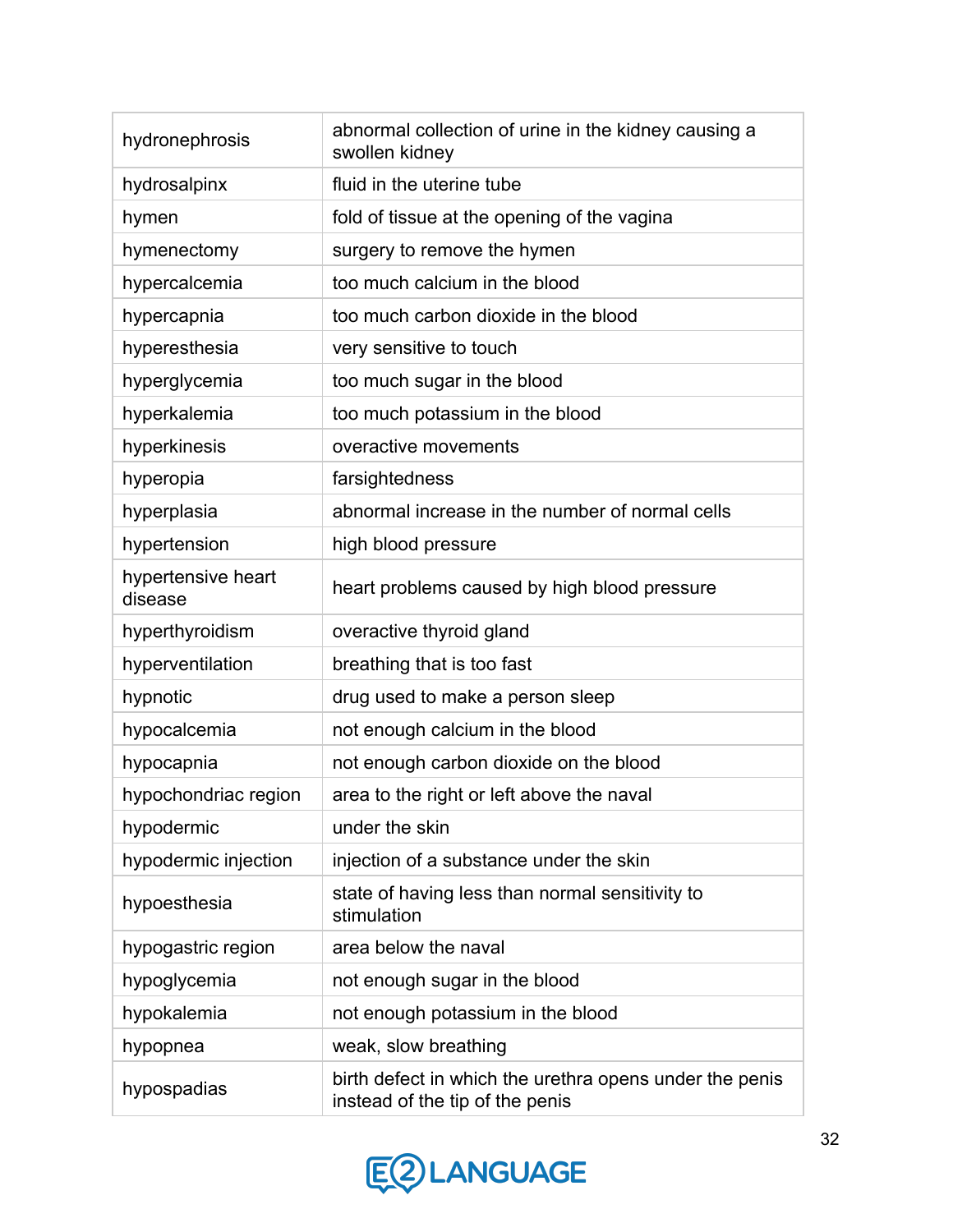| hydronephrosis                | abnormal collection of urine in the kidney causing a<br>swollen kidney                     |
|-------------------------------|--------------------------------------------------------------------------------------------|
| hydrosalpinx                  | fluid in the uterine tube                                                                  |
| hymen                         | fold of tissue at the opening of the vagina                                                |
| hymenectomy                   | surgery to remove the hymen                                                                |
| hypercalcemia                 | too much calcium in the blood                                                              |
| hypercapnia                   | too much carbon dioxide in the blood                                                       |
| hyperesthesia                 | very sensitive to touch                                                                    |
| hyperglycemia                 | too much sugar in the blood                                                                |
| hyperkalemia                  | too much potassium in the blood                                                            |
| hyperkinesis                  | overactive movements                                                                       |
| hyperopia                     | farsightedness                                                                             |
| hyperplasia                   | abnormal increase in the number of normal cells                                            |
| hypertension                  | high blood pressure                                                                        |
| hypertensive heart<br>disease | heart problems caused by high blood pressure                                               |
| hyperthyroidism               | overactive thyroid gland                                                                   |
| hyperventilation              | breathing that is too fast                                                                 |
| hypnotic                      | drug used to make a person sleep                                                           |
| hypocalcemia                  | not enough calcium in the blood                                                            |
| hypocapnia                    | not enough carbon dioxide on the blood                                                     |
| hypochondriac region          | area to the right or left above the naval                                                  |
| hypodermic                    | under the skin                                                                             |
| hypodermic injection          | injection of a substance under the skin                                                    |
| hypoesthesia                  | state of having less than normal sensitivity to<br>stimulation                             |
| hypogastric region            | area below the naval                                                                       |
| hypoglycemia                  | not enough sugar in the blood                                                              |
| hypokalemia                   | not enough potassium in the blood                                                          |
| hypopnea                      | weak, slow breathing                                                                       |
| hypospadias                   | birth defect in which the urethra opens under the penis<br>instead of the tip of the penis |

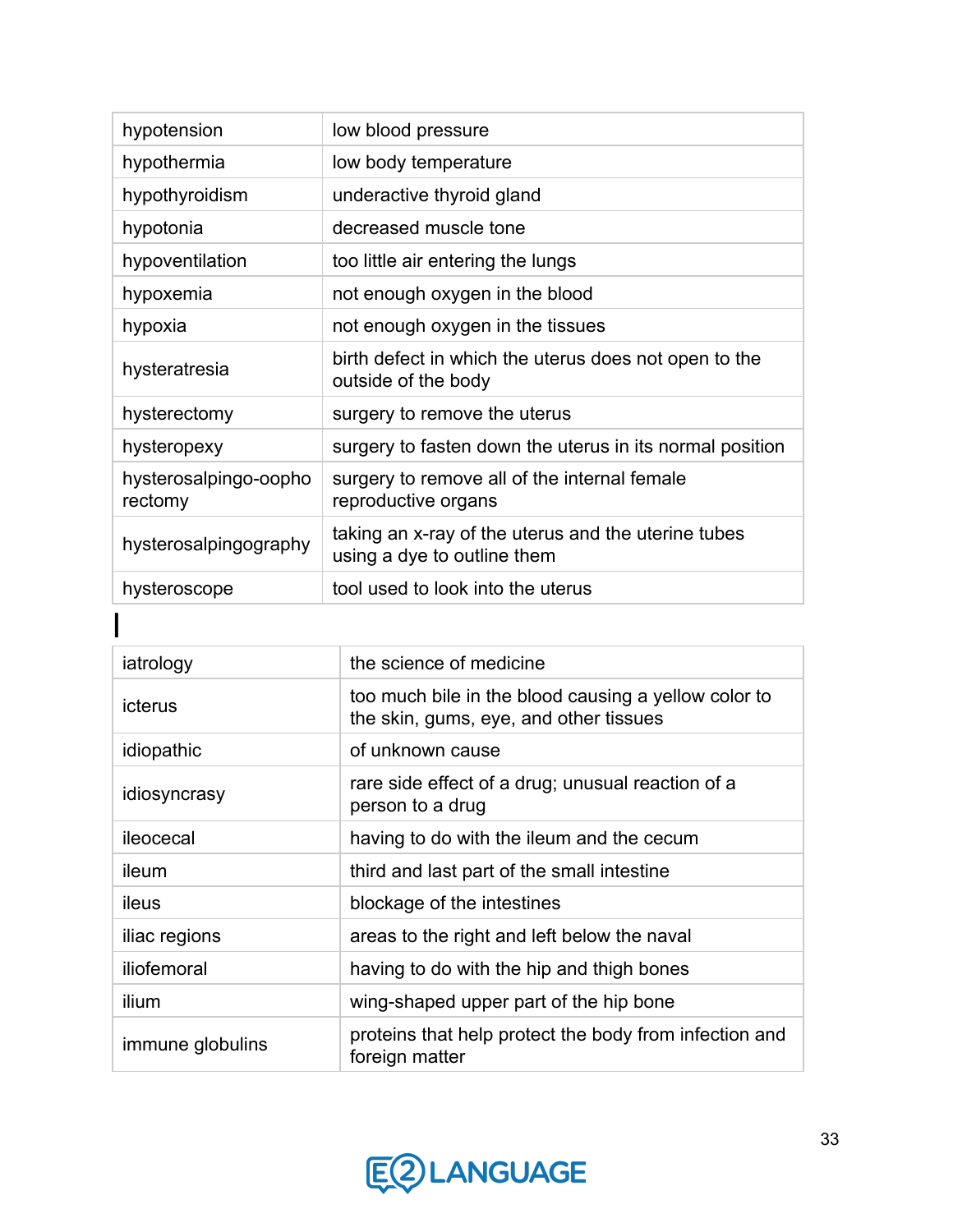| hypotension                      | low blood pressure                                                                 |
|----------------------------------|------------------------------------------------------------------------------------|
| hypothermia                      | low body temperature                                                               |
| hypothyroidism                   | underactive thyroid gland                                                          |
| hypotonia                        | decreased muscle tone                                                              |
| hypoventilation                  | too little air entering the lungs                                                  |
| hypoxemia                        | not enough oxygen in the blood                                                     |
| hypoxia                          | not enough oxygen in the tissues                                                   |
| hysteratresia                    | birth defect in which the uterus does not open to the<br>outside of the body       |
| hysterectomy                     | surgery to remove the uterus                                                       |
| hysteropexy                      | surgery to fasten down the uterus in its normal position                           |
| hysterosalpingo-oopho<br>rectomy | surgery to remove all of the internal female<br>reproductive organs                |
| hysterosalpingography            | taking an x-ray of the uterus and the uterine tubes<br>using a dye to outline them |
| hysteroscope                     | tool used to look into the uterus                                                  |

| iatrology        | the science of medicine                                                                        |
|------------------|------------------------------------------------------------------------------------------------|
| icterus          | too much bile in the blood causing a yellow color to<br>the skin, gums, eye, and other tissues |
| idiopathic       | of unknown cause                                                                               |
| idiosyncrasy     | rare side effect of a drug; unusual reaction of a<br>person to a drug                          |
| ileocecal        | having to do with the ileum and the cecum                                                      |
| ileum            | third and last part of the small intestine                                                     |
| ileus            | blockage of the intestines                                                                     |
| iliac regions    | areas to the right and left below the naval                                                    |
| iliofemoral      | having to do with the hip and thigh bones                                                      |
| ilium            | wing-shaped upper part of the hip bone                                                         |
| immune globulins | proteins that help protect the body from infection and<br>foreign matter                       |

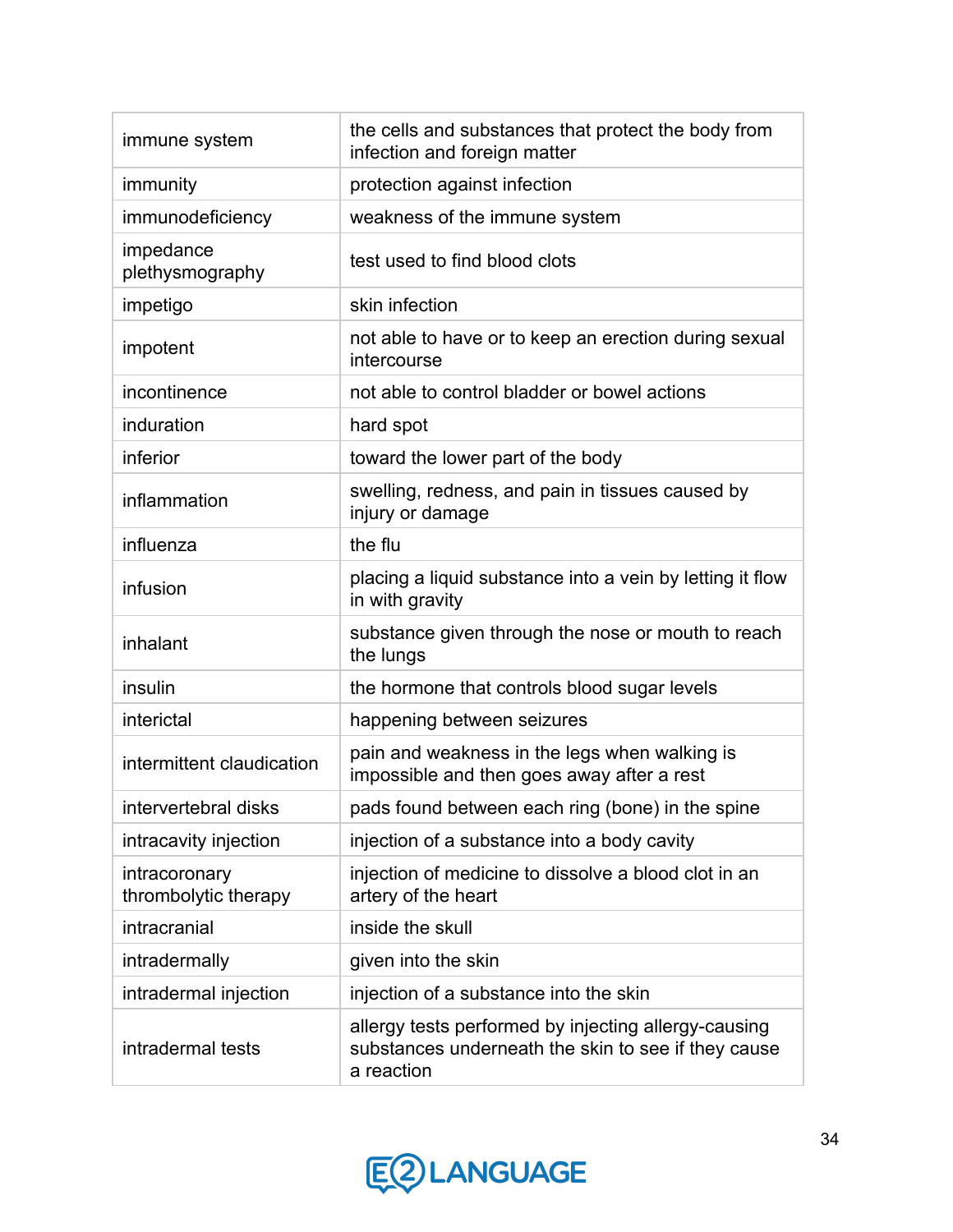| immune system                         | the cells and substances that protect the body from<br>infection and foreign matter                                       |
|---------------------------------------|---------------------------------------------------------------------------------------------------------------------------|
| immunity                              | protection against infection                                                                                              |
| immunodeficiency                      | weakness of the immune system                                                                                             |
| impedance<br>plethysmography          | test used to find blood clots                                                                                             |
| impetigo                              | skin infection                                                                                                            |
| impotent                              | not able to have or to keep an erection during sexual<br>intercourse                                                      |
| incontinence                          | not able to control bladder or bowel actions                                                                              |
| induration                            | hard spot                                                                                                                 |
| inferior                              | toward the lower part of the body                                                                                         |
| inflammation                          | swelling, redness, and pain in tissues caused by<br>injury or damage                                                      |
| influenza                             | the flu                                                                                                                   |
| infusion                              | placing a liquid substance into a vein by letting it flow<br>in with gravity                                              |
| inhalant                              | substance given through the nose or mouth to reach<br>the lungs                                                           |
| insulin                               | the hormone that controls blood sugar levels                                                                              |
| interictal                            | happening between seizures                                                                                                |
| intermittent claudication             | pain and weakness in the legs when walking is<br>impossible and then goes away after a rest                               |
| intervertebral disks                  | pads found between each ring (bone) in the spine                                                                          |
| intracavity injection                 | injection of a substance into a body cavity                                                                               |
| intracoronary<br>thrombolytic therapy | injection of medicine to dissolve a blood clot in an<br>artery of the heart                                               |
| intracranial                          | inside the skull                                                                                                          |
| intradermally                         | given into the skin                                                                                                       |
| intradermal injection                 | injection of a substance into the skin                                                                                    |
| intradermal tests                     | allergy tests performed by injecting allergy-causing<br>substances underneath the skin to see if they cause<br>a reaction |

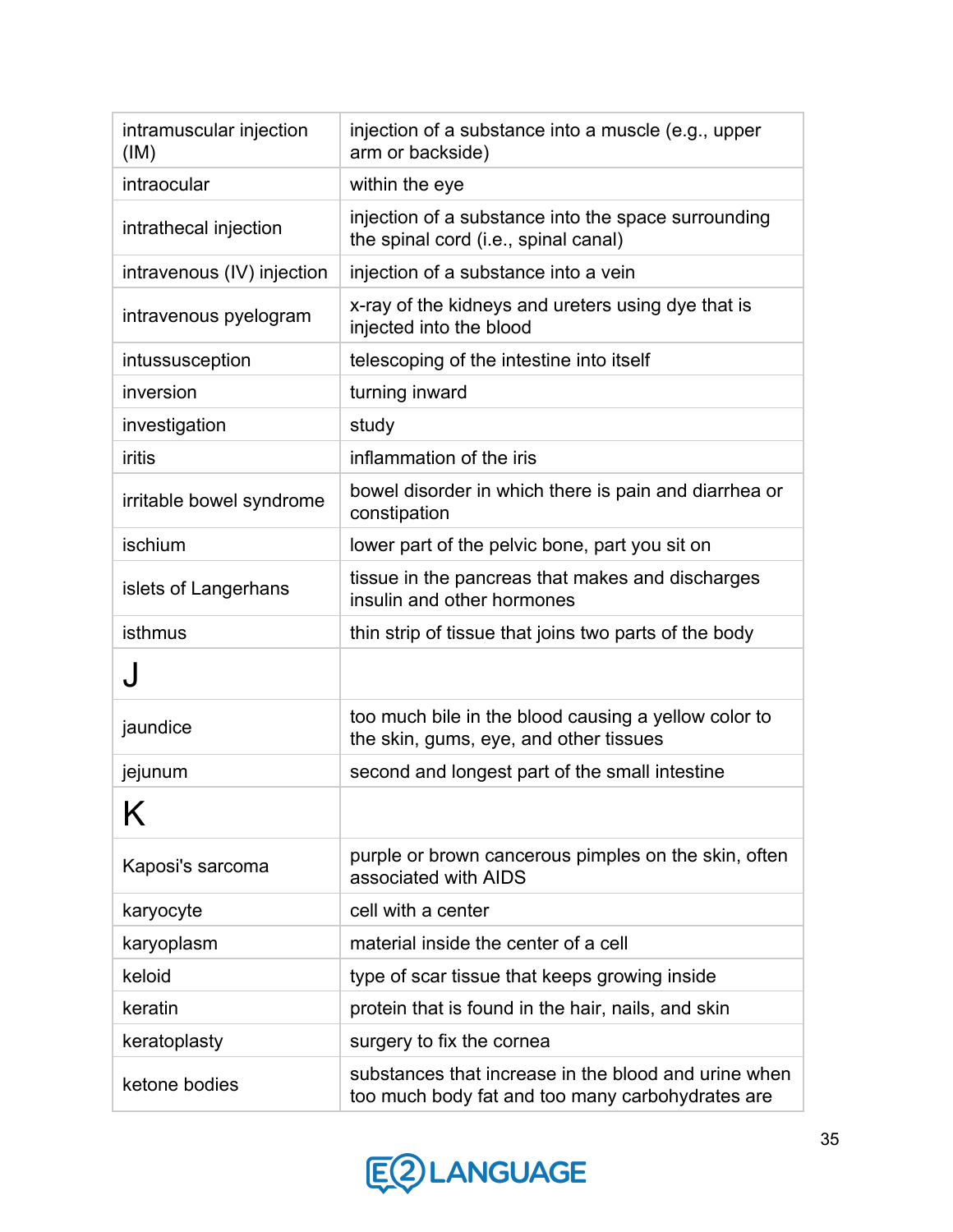| intramuscular injection<br>(IM) | injection of a substance into a muscle (e.g., upper<br>arm or backside)                                  |
|---------------------------------|----------------------------------------------------------------------------------------------------------|
| intraocular                     | within the eye                                                                                           |
| intrathecal injection           | injection of a substance into the space surrounding<br>the spinal cord (i.e., spinal canal)              |
| intravenous (IV) injection      | injection of a substance into a vein                                                                     |
| intravenous pyelogram           | x-ray of the kidneys and ureters using dye that is<br>injected into the blood                            |
| intussusception                 | telescoping of the intestine into itself                                                                 |
| inversion                       | turning inward                                                                                           |
| investigation                   | study                                                                                                    |
| <b>iritis</b>                   | inflammation of the iris                                                                                 |
| irritable bowel syndrome        | bowel disorder in which there is pain and diarrhea or<br>constipation                                    |
| ischium                         | lower part of the pelvic bone, part you sit on                                                           |
| islets of Langerhans            | tissue in the pancreas that makes and discharges<br>insulin and other hormones                           |
| isthmus                         | thin strip of tissue that joins two parts of the body                                                    |
| J                               |                                                                                                          |
| jaundice                        | too much bile in the blood causing a yellow color to<br>the skin, gums, eye, and other tissues           |
| jejunum                         | second and longest part of the small intestine                                                           |
| IZ.<br>N                        |                                                                                                          |
| Kaposi's sarcoma                | purple or brown cancerous pimples on the skin, often<br>associated with AIDS                             |
| karyocyte                       | cell with a center                                                                                       |
| karyoplasm                      | material inside the center of a cell                                                                     |
| keloid                          | type of scar tissue that keeps growing inside                                                            |
| keratin                         | protein that is found in the hair, nails, and skin                                                       |
| keratoplasty                    | surgery to fix the cornea                                                                                |
| ketone bodies                   | substances that increase in the blood and urine when<br>too much body fat and too many carbohydrates are |

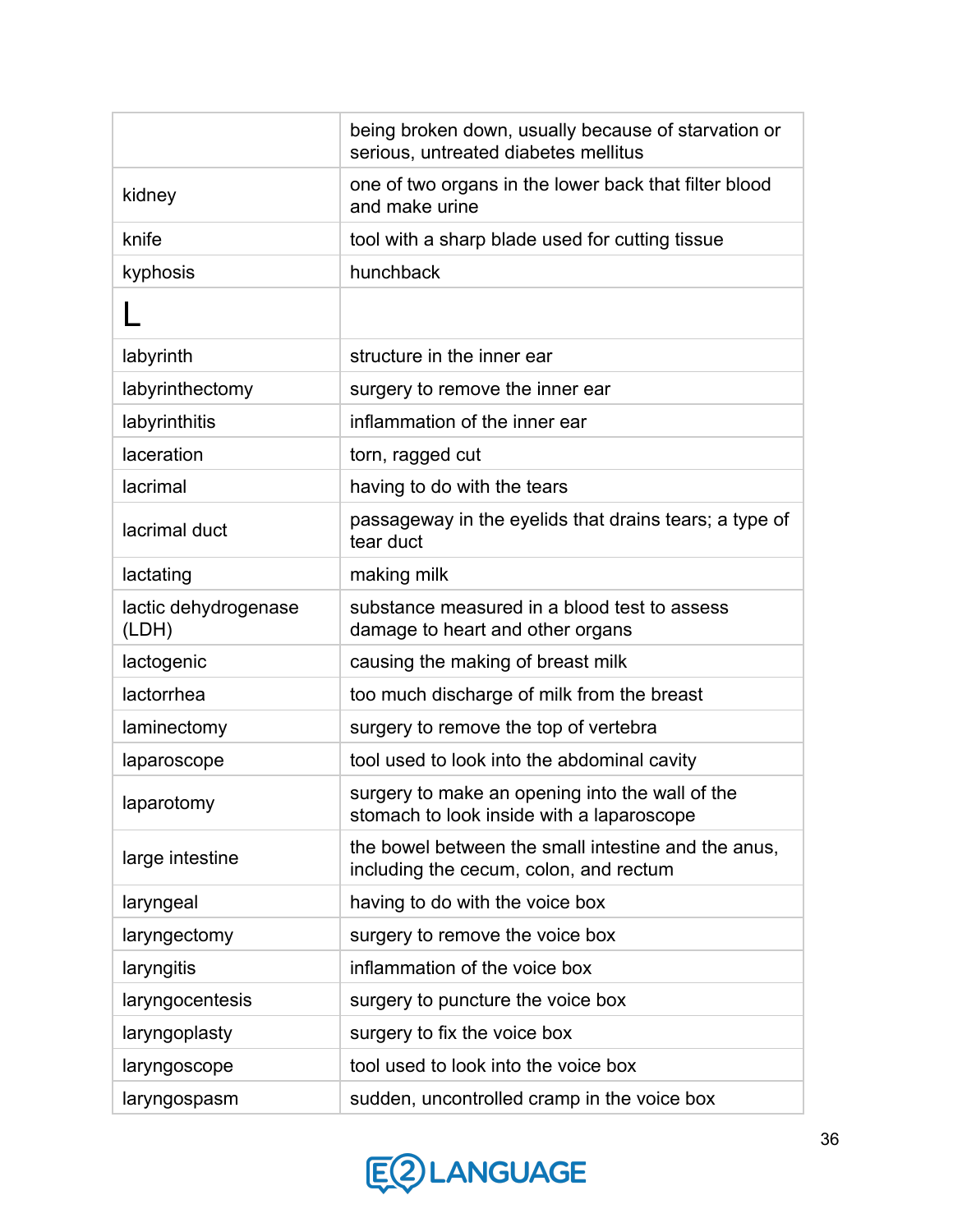|                               | being broken down, usually because of starvation or<br>serious, untreated diabetes mellitus   |
|-------------------------------|-----------------------------------------------------------------------------------------------|
| kidney                        | one of two organs in the lower back that filter blood<br>and make urine                       |
| knife                         | tool with a sharp blade used for cutting tissue                                               |
| kyphosis                      | hunchback                                                                                     |
|                               |                                                                                               |
| labyrinth                     | structure in the inner ear                                                                    |
| labyrinthectomy               | surgery to remove the inner ear                                                               |
| labyrinthitis                 | inflammation of the inner ear                                                                 |
| laceration                    | torn, ragged cut                                                                              |
| lacrimal                      | having to do with the tears                                                                   |
| lacrimal duct                 | passageway in the eyelids that drains tears; a type of<br>tear duct                           |
| lactating                     | making milk                                                                                   |
| lactic dehydrogenase<br>(LDH) | substance measured in a blood test to assess<br>damage to heart and other organs              |
| lactogenic                    | causing the making of breast milk                                                             |
| lactorrhea                    | too much discharge of milk from the breast                                                    |
| laminectomy                   | surgery to remove the top of vertebra                                                         |
| laparoscope                   | tool used to look into the abdominal cavity                                                   |
| laparotomy                    | surgery to make an opening into the wall of the<br>stomach to look inside with a laparoscope  |
| large intestine               | the bowel between the small intestine and the anus,<br>including the cecum, colon, and rectum |
| laryngeal                     | having to do with the voice box                                                               |
| laryngectomy                  | surgery to remove the voice box                                                               |
| laryngitis                    | inflammation of the voice box                                                                 |
| laryngocentesis               | surgery to puncture the voice box                                                             |
| laryngoplasty                 | surgery to fix the voice box                                                                  |
| laryngoscope                  | tool used to look into the voice box                                                          |
| laryngospasm                  | sudden, uncontrolled cramp in the voice box                                                   |

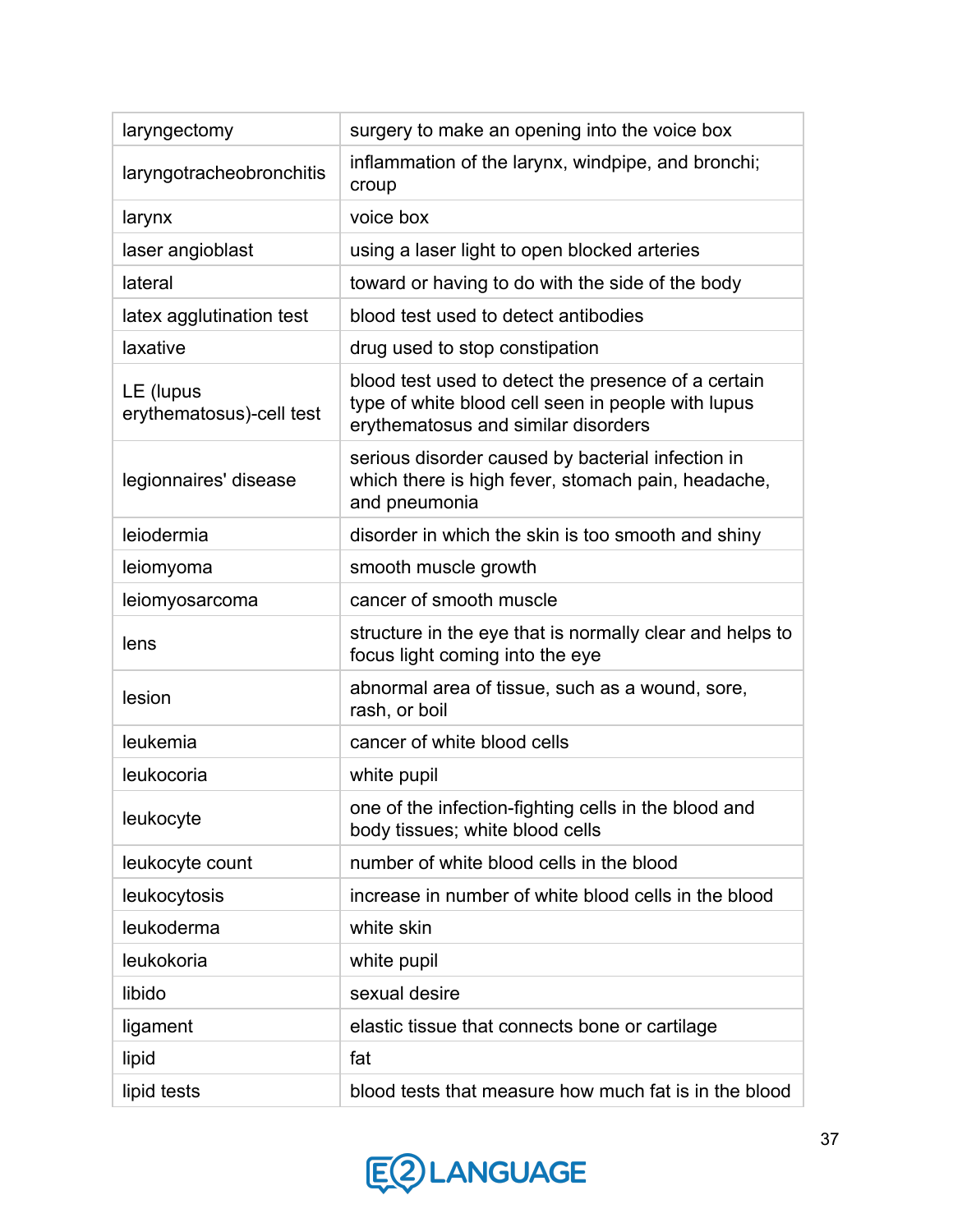| laryngectomy                          | surgery to make an opening into the voice box                                                                                                    |
|---------------------------------------|--------------------------------------------------------------------------------------------------------------------------------------------------|
| laryngotracheobronchitis              | inflammation of the larynx, windpipe, and bronchi;<br>croup                                                                                      |
| larynx                                | voice box                                                                                                                                        |
| laser angioblast                      | using a laser light to open blocked arteries                                                                                                     |
| lateral                               | toward or having to do with the side of the body                                                                                                 |
| latex agglutination test              | blood test used to detect antibodies                                                                                                             |
| laxative                              | drug used to stop constipation                                                                                                                   |
| LE (lupus<br>erythematosus)-cell test | blood test used to detect the presence of a certain<br>type of white blood cell seen in people with lupus<br>erythematosus and similar disorders |
| legionnaires' disease                 | serious disorder caused by bacterial infection in<br>which there is high fever, stomach pain, headache,<br>and pneumonia                         |
| leiodermia                            | disorder in which the skin is too smooth and shiny                                                                                               |
| leiomyoma                             | smooth muscle growth                                                                                                                             |
| leiomyosarcoma                        | cancer of smooth muscle                                                                                                                          |
| lens                                  | structure in the eye that is normally clear and helps to<br>focus light coming into the eye                                                      |
| lesion                                | abnormal area of tissue, such as a wound, sore,<br>rash, or boil                                                                                 |
| leukemia                              | cancer of white blood cells                                                                                                                      |
| leukocoria                            | white pupil                                                                                                                                      |
| leukocyte                             | one of the infection-fighting cells in the blood and<br>body tissues; white blood cells                                                          |
| leukocyte count                       | number of white blood cells in the blood                                                                                                         |
| leukocytosis                          | increase in number of white blood cells in the blood                                                                                             |
| leukoderma                            | white skin                                                                                                                                       |
| leukokoria                            | white pupil                                                                                                                                      |
| libido                                | sexual desire                                                                                                                                    |
| ligament                              | elastic tissue that connects bone or cartilage                                                                                                   |
| lipid                                 | fat                                                                                                                                              |
| lipid tests                           | blood tests that measure how much fat is in the blood                                                                                            |

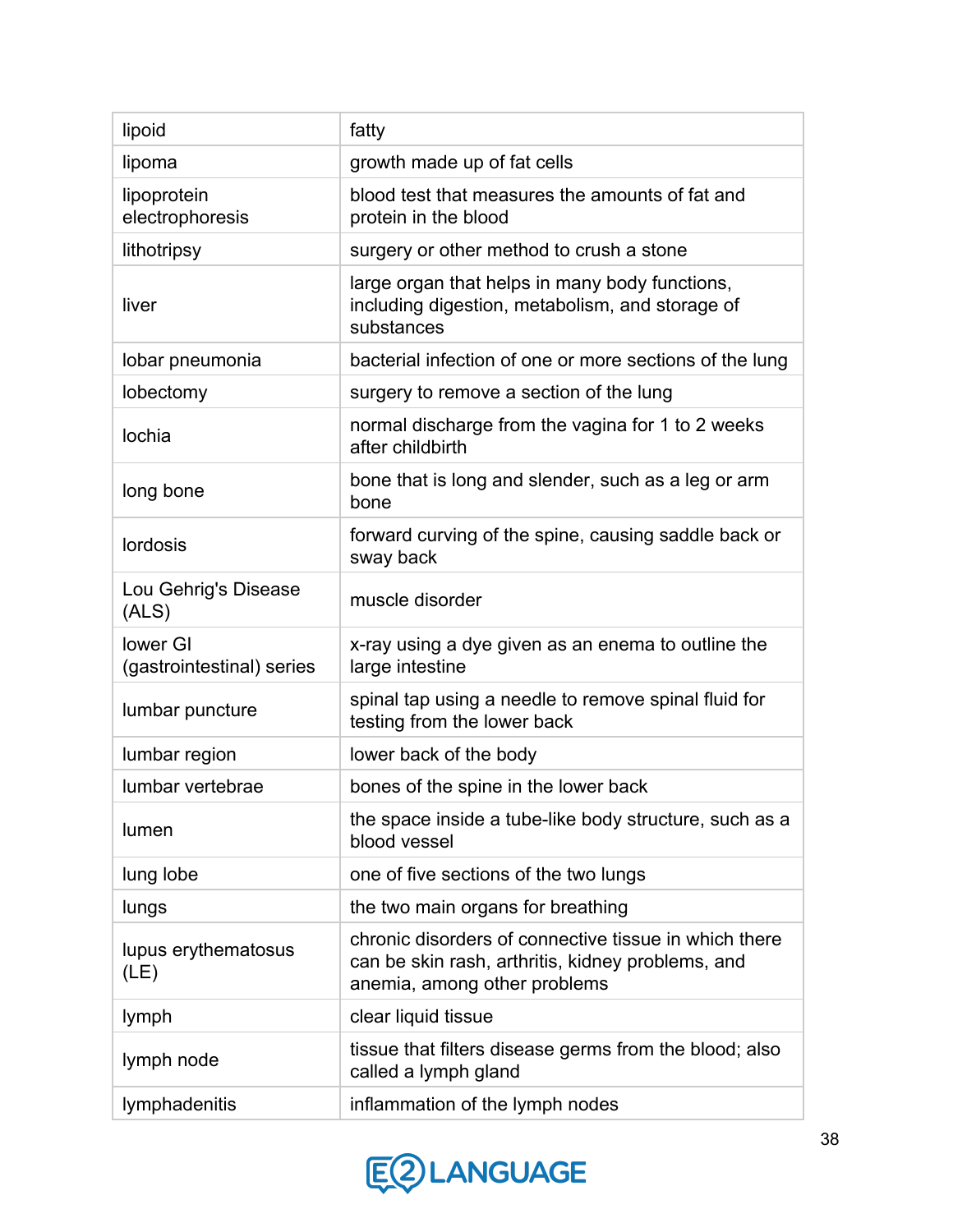| lipoid                                | fatty                                                                                                                                      |
|---------------------------------------|--------------------------------------------------------------------------------------------------------------------------------------------|
| lipoma                                | growth made up of fat cells                                                                                                                |
| lipoprotein<br>electrophoresis        | blood test that measures the amounts of fat and<br>protein in the blood                                                                    |
| lithotripsy                           | surgery or other method to crush a stone                                                                                                   |
| liver                                 | large organ that helps in many body functions,<br>including digestion, metabolism, and storage of<br>substances                            |
| lobar pneumonia                       | bacterial infection of one or more sections of the lung                                                                                    |
| lobectomy                             | surgery to remove a section of the lung                                                                                                    |
| lochia                                | normal discharge from the vagina for 1 to 2 weeks<br>after childbirth                                                                      |
| long bone                             | bone that is long and slender, such as a leg or arm<br>bone                                                                                |
| lordosis                              | forward curving of the spine, causing saddle back or<br>sway back                                                                          |
| Lou Gehrig's Disease<br>(ALS)         | muscle disorder                                                                                                                            |
| lower GI<br>(gastrointestinal) series | x-ray using a dye given as an enema to outline the<br>large intestine                                                                      |
| lumbar puncture                       | spinal tap using a needle to remove spinal fluid for<br>testing from the lower back                                                        |
| lumbar region                         | lower back of the body                                                                                                                     |
| lumbar vertebrae                      | bones of the spine in the lower back                                                                                                       |
| lumen                                 | the space inside a tube-like body structure, such as a<br>blood vessel                                                                     |
| lung lobe                             | one of five sections of the two lungs                                                                                                      |
| lungs                                 | the two main organs for breathing                                                                                                          |
| lupus erythematosus<br>(LE)           | chronic disorders of connective tissue in which there<br>can be skin rash, arthritis, kidney problems, and<br>anemia, among other problems |
| lymph                                 | clear liquid tissue                                                                                                                        |
| lymph node                            | tissue that filters disease germs from the blood; also<br>called a lymph gland                                                             |
| lymphadenitis                         | inflammation of the lymph nodes                                                                                                            |

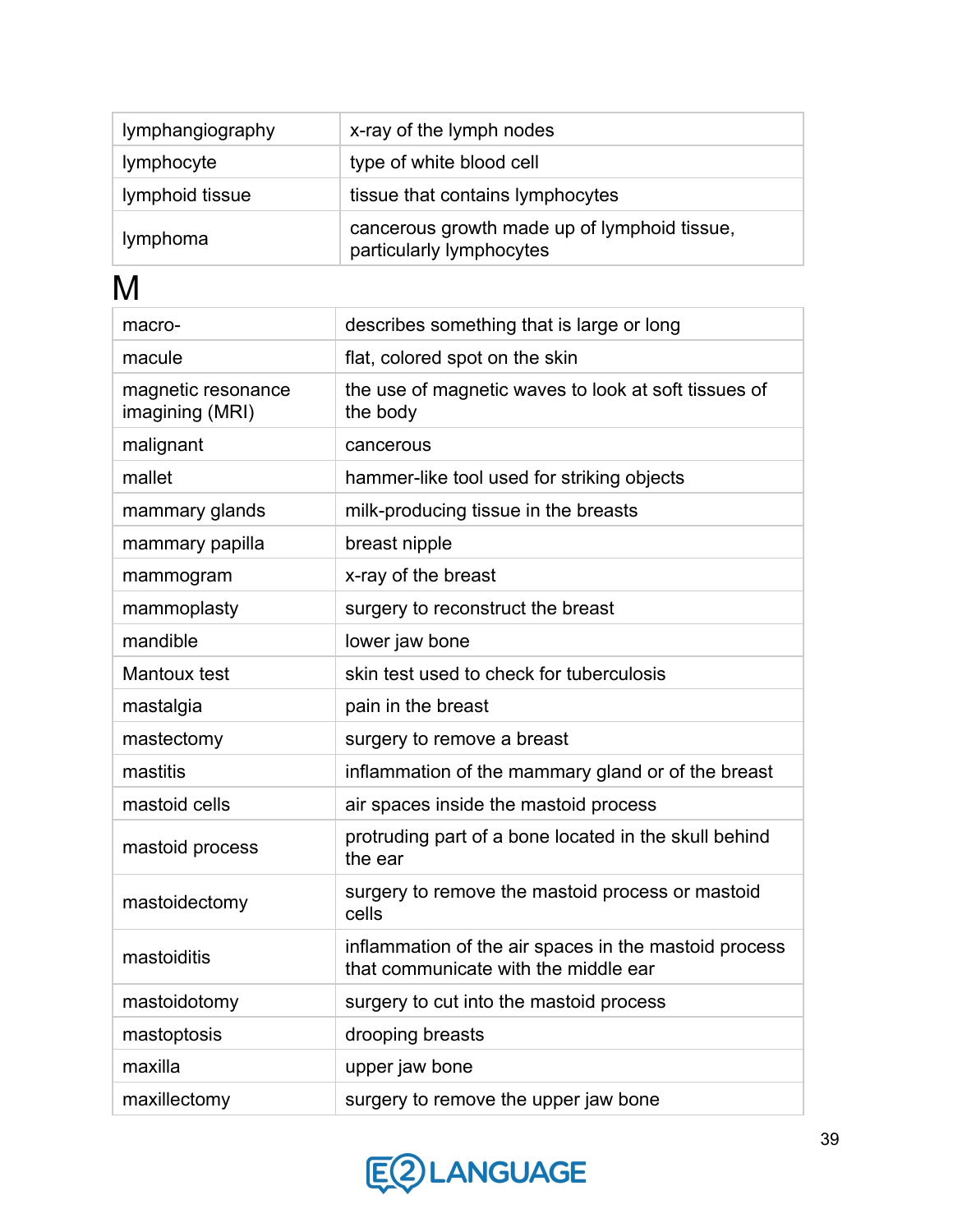| lymphangiography | x-ray of the lymph nodes                                                 |
|------------------|--------------------------------------------------------------------------|
| lymphocyte       | type of white blood cell                                                 |
| lymphoid tissue  | tissue that contains lymphocytes                                         |
| lymphoma         | cancerous growth made up of lymphoid tissue,<br>particularly lymphocytes |

M

| macro-                                | describes something that is large or long                                                     |
|---------------------------------------|-----------------------------------------------------------------------------------------------|
| macule                                | flat, colored spot on the skin                                                                |
| magnetic resonance<br>imagining (MRI) | the use of magnetic waves to look at soft tissues of<br>the body                              |
| malignant                             | cancerous                                                                                     |
| mallet                                | hammer-like tool used for striking objects                                                    |
| mammary glands                        | milk-producing tissue in the breasts                                                          |
| mammary papilla                       | breast nipple                                                                                 |
| mammogram                             | x-ray of the breast                                                                           |
| mammoplasty                           | surgery to reconstruct the breast                                                             |
| mandible                              | lower jaw bone                                                                                |
| Mantoux test                          | skin test used to check for tuberculosis                                                      |
| mastalgia                             | pain in the breast                                                                            |
| mastectomy                            | surgery to remove a breast                                                                    |
| mastitis                              | inflammation of the mammary gland or of the breast                                            |
| mastoid cells                         | air spaces inside the mastoid process                                                         |
| mastoid process                       | protruding part of a bone located in the skull behind<br>the ear                              |
| mastoidectomy                         | surgery to remove the mastoid process or mastoid<br>cells                                     |
| mastoiditis                           | inflammation of the air spaces in the mastoid process<br>that communicate with the middle ear |
| mastoidotomy                          | surgery to cut into the mastoid process                                                       |
| mastoptosis                           | drooping breasts                                                                              |
| maxilla                               | upper jaw bone                                                                                |
| maxillectomy                          | surgery to remove the upper jaw bone                                                          |

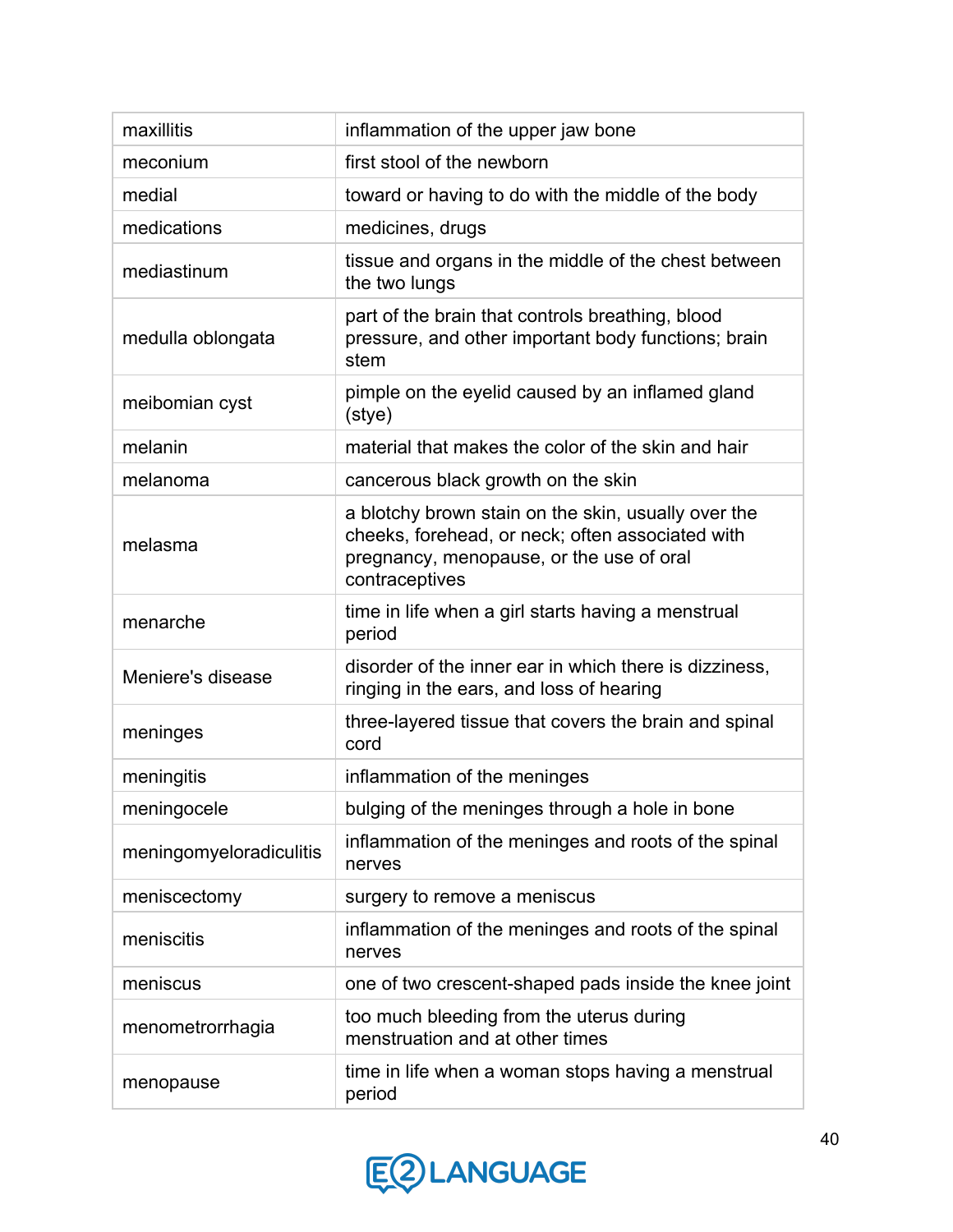| maxillitis              | inflammation of the upper jaw bone                                                                                                                                    |
|-------------------------|-----------------------------------------------------------------------------------------------------------------------------------------------------------------------|
| meconium                | first stool of the newborn                                                                                                                                            |
| medial                  | toward or having to do with the middle of the body                                                                                                                    |
| medications             | medicines, drugs                                                                                                                                                      |
| mediastinum             | tissue and organs in the middle of the chest between<br>the two lungs                                                                                                 |
| medulla oblongata       | part of the brain that controls breathing, blood<br>pressure, and other important body functions; brain<br>stem                                                       |
| meibomian cyst          | pimple on the eyelid caused by an inflamed gland<br>(stye)                                                                                                            |
| melanin                 | material that makes the color of the skin and hair                                                                                                                    |
| melanoma                | cancerous black growth on the skin                                                                                                                                    |
| melasma                 | a blotchy brown stain on the skin, usually over the<br>cheeks, forehead, or neck; often associated with<br>pregnancy, menopause, or the use of oral<br>contraceptives |
| menarche                | time in life when a girl starts having a menstrual<br>period                                                                                                          |
| Meniere's disease       | disorder of the inner ear in which there is dizziness,<br>ringing in the ears, and loss of hearing                                                                    |
| meninges                | three-layered tissue that covers the brain and spinal<br>cord                                                                                                         |
| meningitis              | inflammation of the meninges                                                                                                                                          |
| meningocele             | bulging of the meninges through a hole in bone                                                                                                                        |
| meningomyeloradiculitis | inflammation of the meninges and roots of the spinal<br>nerves                                                                                                        |
| meniscectomy            | surgery to remove a meniscus                                                                                                                                          |
| meniscitis              | inflammation of the meninges and roots of the spinal<br>nerves                                                                                                        |
| meniscus                | one of two crescent-shaped pads inside the knee joint                                                                                                                 |
| menometrorrhagia        | too much bleeding from the uterus during<br>menstruation and at other times                                                                                           |
| menopause               | time in life when a woman stops having a menstrual<br>period                                                                                                          |

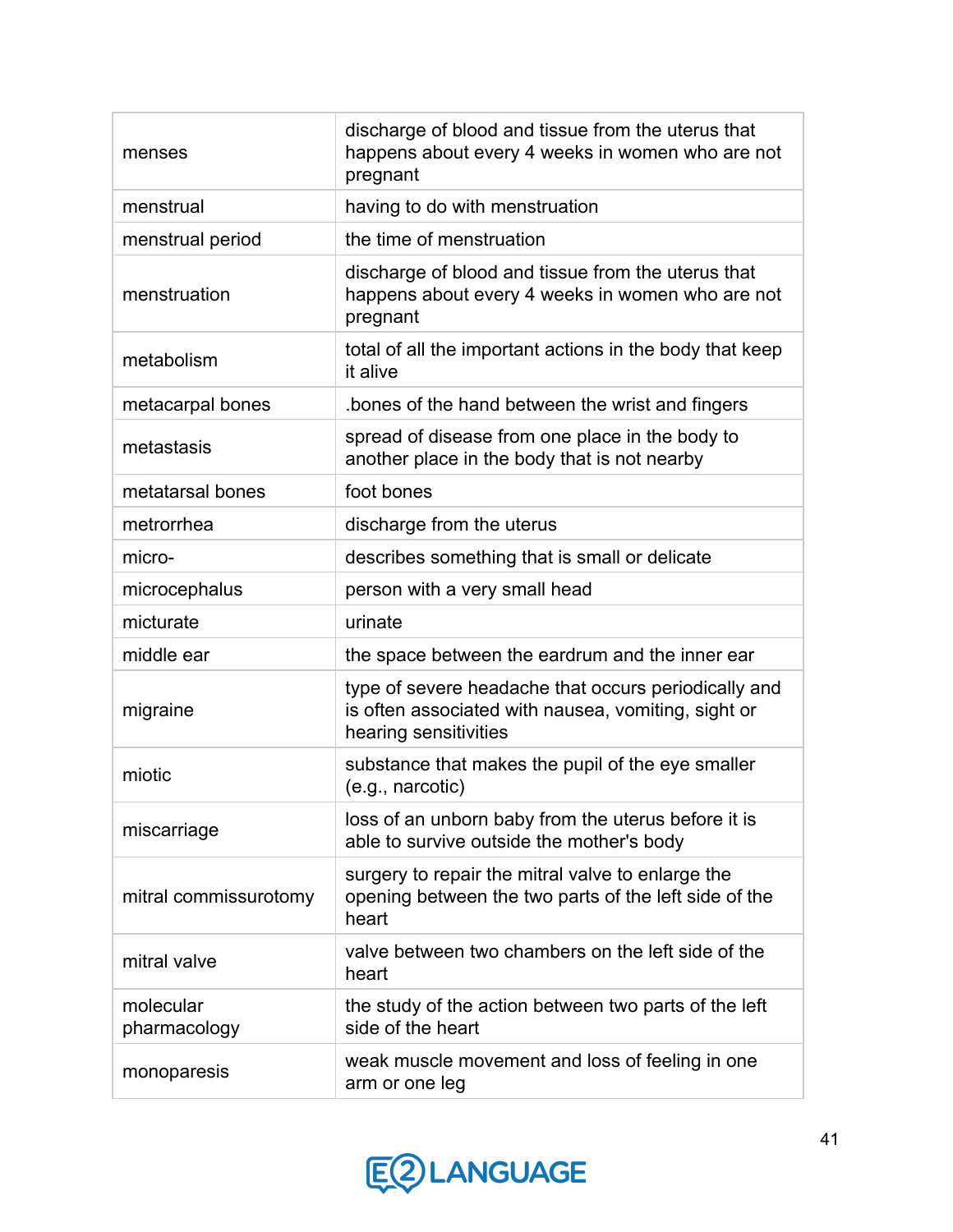| menses                    | discharge of blood and tissue from the uterus that<br>happens about every 4 weeks in women who are not<br>pregnant                   |
|---------------------------|--------------------------------------------------------------------------------------------------------------------------------------|
| menstrual                 | having to do with menstruation                                                                                                       |
| menstrual period          | the time of menstruation                                                                                                             |
| menstruation              | discharge of blood and tissue from the uterus that<br>happens about every 4 weeks in women who are not<br>pregnant                   |
| metabolism                | total of all the important actions in the body that keep<br>it alive                                                                 |
| metacarpal bones          | bones of the hand between the wrist and fingers                                                                                      |
| metastasis                | spread of disease from one place in the body to<br>another place in the body that is not nearby                                      |
| metatarsal bones          | foot bones                                                                                                                           |
| metrorrhea                | discharge from the uterus                                                                                                            |
| micro-                    | describes something that is small or delicate                                                                                        |
| microcephalus             | person with a very small head                                                                                                        |
| micturate                 | urinate                                                                                                                              |
| middle ear                | the space between the eardrum and the inner ear                                                                                      |
| migraine                  | type of severe headache that occurs periodically and<br>is often associated with nausea, vomiting, sight or<br>hearing sensitivities |
| miotic                    | substance that makes the pupil of the eye smaller<br>(e.g., narcotic)                                                                |
| miscarriage               | loss of an unborn baby from the uterus before it is<br>able to survive outside the mother's body                                     |
| mitral commissurotomy     | surgery to repair the mitral valve to enlarge the<br>opening between the two parts of the left side of the<br>heart                  |
| mitral valve              | valve between two chambers on the left side of the<br>heart                                                                          |
| molecular<br>pharmacology | the study of the action between two parts of the left<br>side of the heart                                                           |
| monoparesis               | weak muscle movement and loss of feeling in one<br>arm or one leg                                                                    |

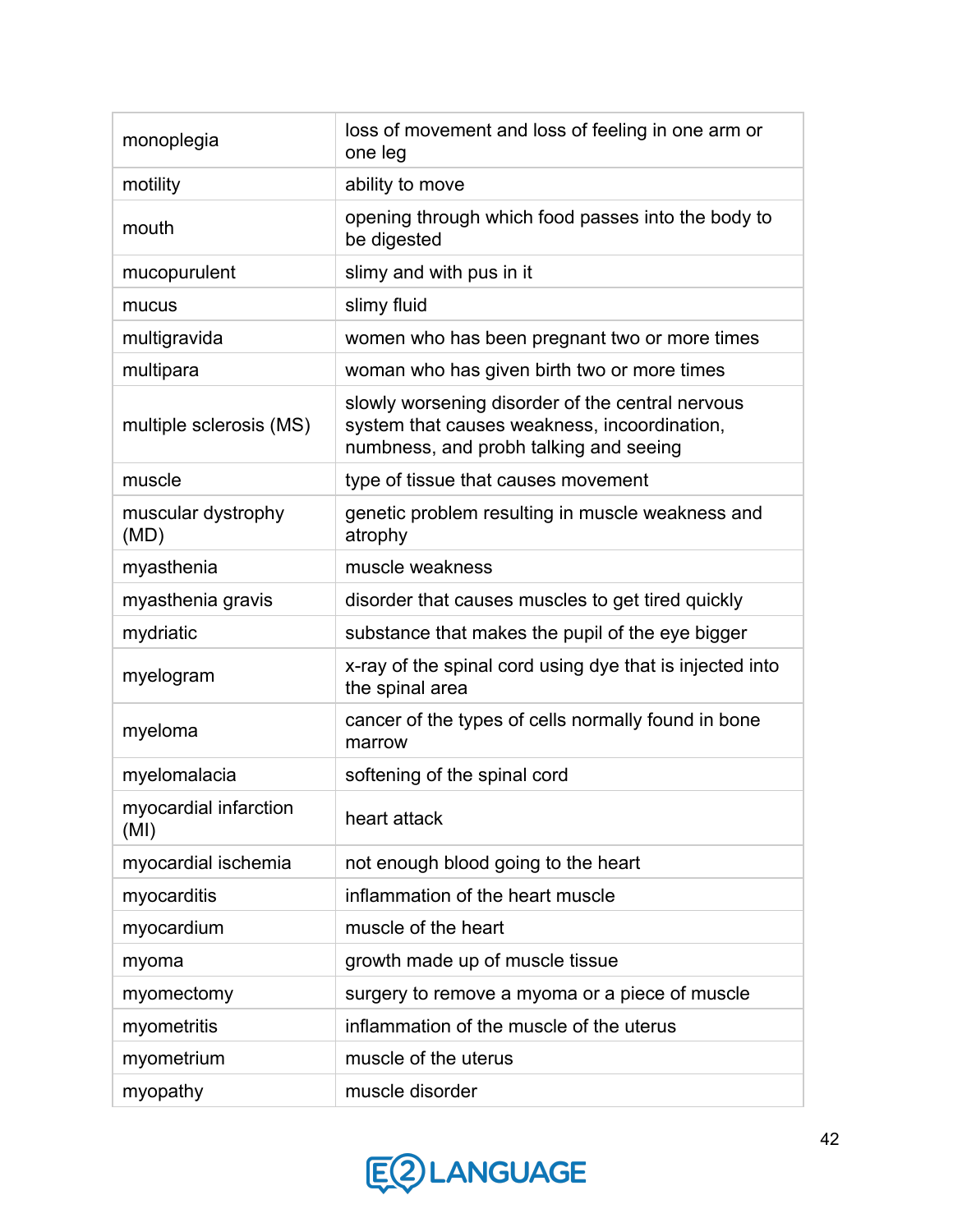| monoplegia                    | loss of movement and loss of feeling in one arm or<br>one leg                                                                              |
|-------------------------------|--------------------------------------------------------------------------------------------------------------------------------------------|
| motility                      | ability to move                                                                                                                            |
| mouth                         | opening through which food passes into the body to<br>be digested                                                                          |
| mucopurulent                  | slimy and with pus in it                                                                                                                   |
| mucus                         | slimy fluid                                                                                                                                |
| multigravida                  | women who has been pregnant two or more times                                                                                              |
| multipara                     | woman who has given birth two or more times                                                                                                |
| multiple sclerosis (MS)       | slowly worsening disorder of the central nervous<br>system that causes weakness, incoordination,<br>numbness, and probh talking and seeing |
| muscle                        | type of tissue that causes movement                                                                                                        |
| muscular dystrophy<br>(MD)    | genetic problem resulting in muscle weakness and<br>atrophy                                                                                |
| myasthenia                    | muscle weakness                                                                                                                            |
| myasthenia gravis             | disorder that causes muscles to get tired quickly                                                                                          |
| mydriatic                     | substance that makes the pupil of the eye bigger                                                                                           |
| myelogram                     | x-ray of the spinal cord using dye that is injected into<br>the spinal area                                                                |
| myeloma                       | cancer of the types of cells normally found in bone<br>marrow                                                                              |
| myelomalacia                  | softening of the spinal cord                                                                                                               |
| myocardial infarction<br>(MI) | heart attack                                                                                                                               |
| myocardial ischemia           | not enough blood going to the heart                                                                                                        |
| myocarditis                   | inflammation of the heart muscle                                                                                                           |
| myocardium                    | muscle of the heart                                                                                                                        |
| myoma                         | growth made up of muscle tissue                                                                                                            |
| myomectomy                    | surgery to remove a myoma or a piece of muscle                                                                                             |
| myometritis                   | inflammation of the muscle of the uterus                                                                                                   |
| myometrium                    | muscle of the uterus                                                                                                                       |
| myopathy                      | muscle disorder                                                                                                                            |

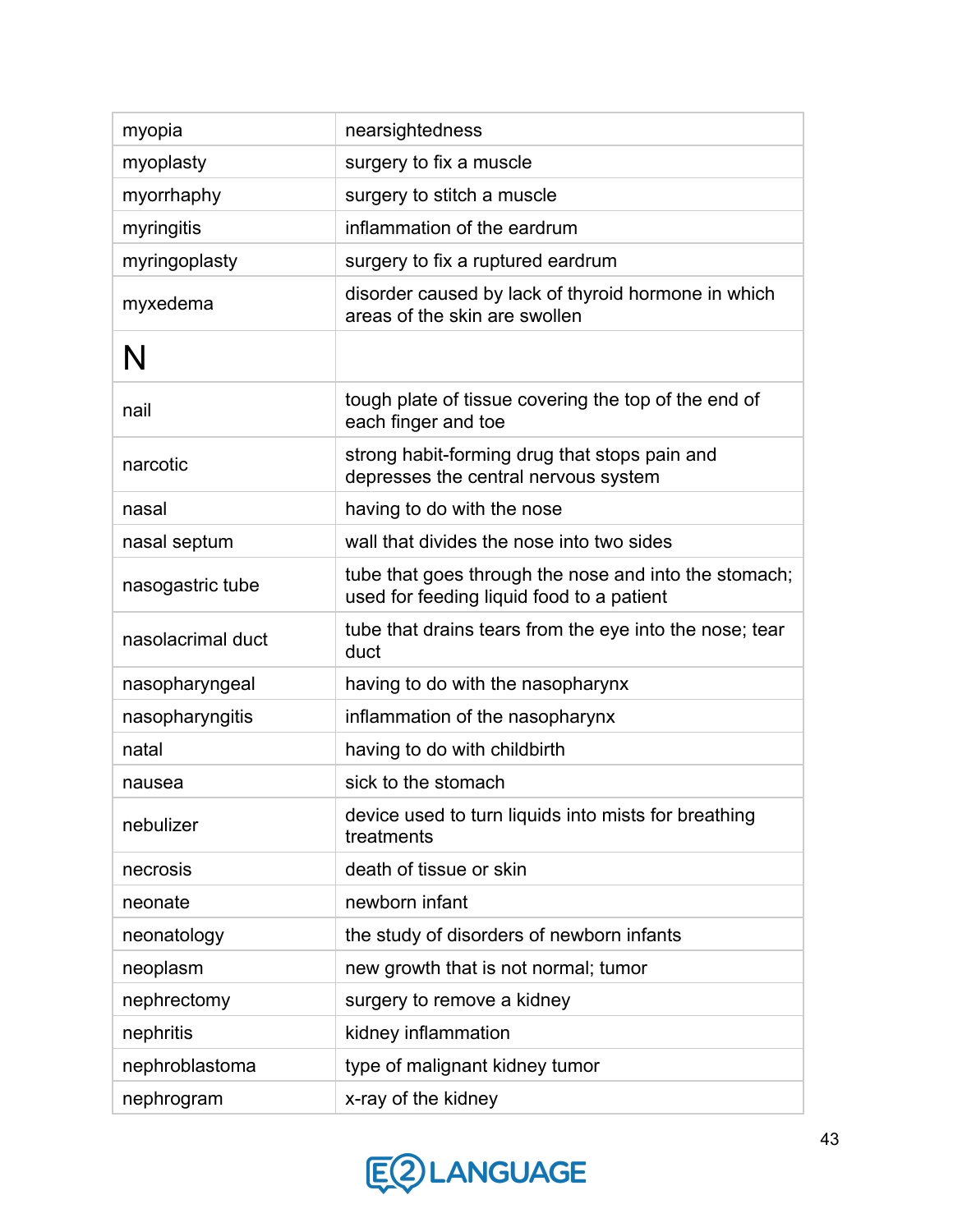| myopia            | nearsightedness                                                                                    |
|-------------------|----------------------------------------------------------------------------------------------------|
| myoplasty         | surgery to fix a muscle                                                                            |
| myorrhaphy        | surgery to stitch a muscle                                                                         |
| myringitis        | inflammation of the eardrum                                                                        |
| myringoplasty     | surgery to fix a ruptured eardrum                                                                  |
| myxedema          | disorder caused by lack of thyroid hormone in which<br>areas of the skin are swollen               |
| N                 |                                                                                                    |
| nail              | tough plate of tissue covering the top of the end of<br>each finger and toe                        |
| narcotic          | strong habit-forming drug that stops pain and<br>depresses the central nervous system              |
| nasal             | having to do with the nose                                                                         |
| nasal septum      | wall that divides the nose into two sides                                                          |
| nasogastric tube  | tube that goes through the nose and into the stomach;<br>used for feeding liquid food to a patient |
| nasolacrimal duct | tube that drains tears from the eye into the nose; tear<br>duct                                    |
| nasopharyngeal    | having to do with the nasopharynx                                                                  |
| nasopharyngitis   | inflammation of the nasopharynx                                                                    |
| natal             | having to do with childbirth                                                                       |
| nausea            | sick to the stomach                                                                                |
| nebulizer         | device used to turn liquids into mists for breathing<br>treatments                                 |
| necrosis          | death of tissue or skin                                                                            |
| neonate           | newborn infant                                                                                     |
| neonatology       | the study of disorders of newborn infants                                                          |
| neoplasm          | new growth that is not normal; tumor                                                               |
| nephrectomy       | surgery to remove a kidney                                                                         |
| nephritis         | kidney inflammation                                                                                |
| nephroblastoma    | type of malignant kidney tumor                                                                     |
| nephrogram        | x-ray of the kidney                                                                                |

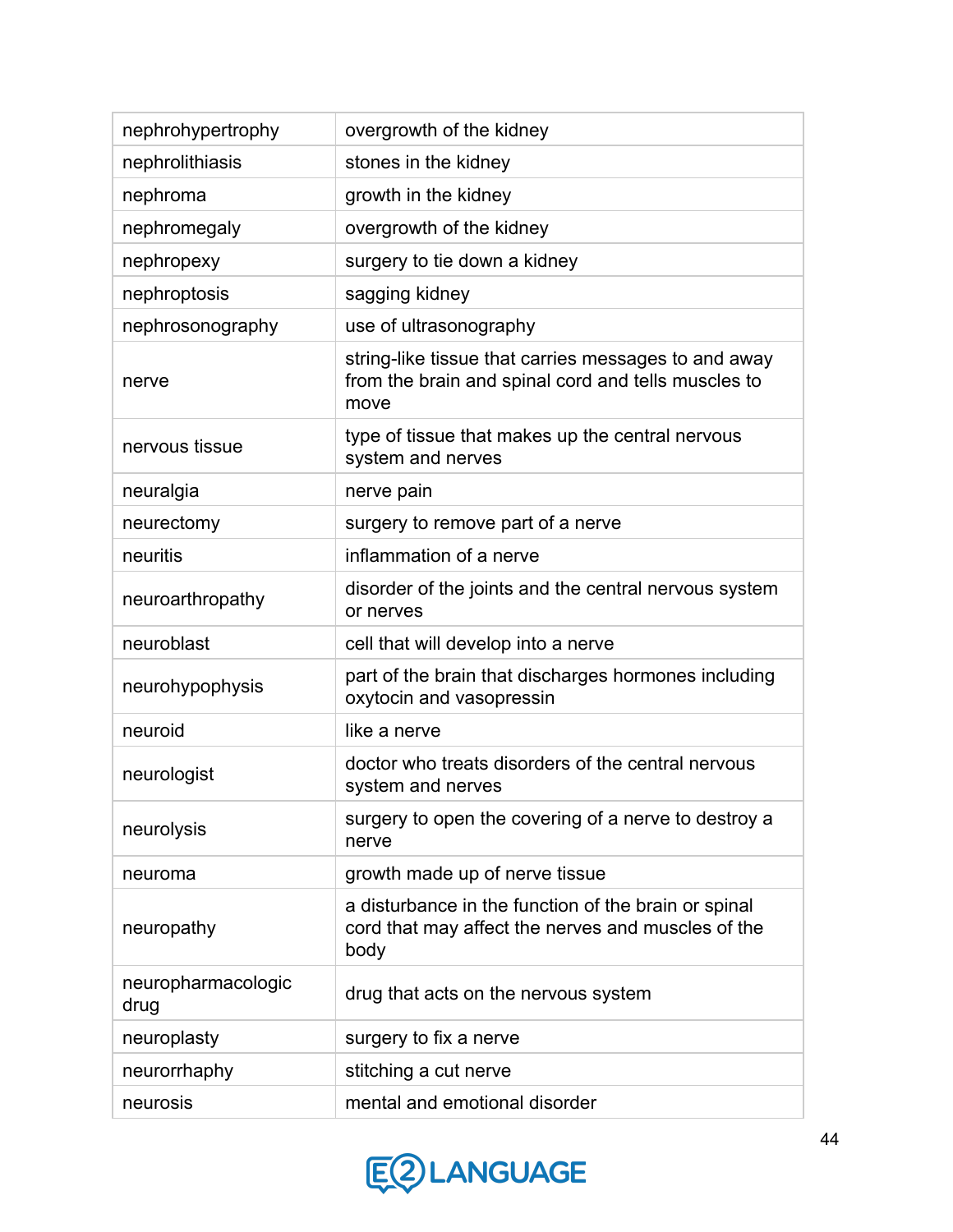| nephrohypertrophy          | overgrowth of the kidney                                                                                            |
|----------------------------|---------------------------------------------------------------------------------------------------------------------|
| nephrolithiasis            | stones in the kidney                                                                                                |
| nephroma                   | growth in the kidney                                                                                                |
| nephromegaly               | overgrowth of the kidney                                                                                            |
| nephropexy                 | surgery to tie down a kidney                                                                                        |
| nephroptosis               | sagging kidney                                                                                                      |
| nephrosonography           | use of ultrasonography                                                                                              |
| nerve                      | string-like tissue that carries messages to and away<br>from the brain and spinal cord and tells muscles to<br>move |
| nervous tissue             | type of tissue that makes up the central nervous<br>system and nerves                                               |
| neuralgia                  | nerve pain                                                                                                          |
| neurectomy                 | surgery to remove part of a nerve                                                                                   |
| neuritis                   | inflammation of a nerve                                                                                             |
| neuroarthropathy           | disorder of the joints and the central nervous system<br>or nerves                                                  |
| neuroblast                 | cell that will develop into a nerve                                                                                 |
| neurohypophysis            | part of the brain that discharges hormones including<br>oxytocin and vasopressin                                    |
| neuroid                    | like a nerve                                                                                                        |
| neurologist                | doctor who treats disorders of the central nervous<br>system and nerves                                             |
| neurolysis                 | surgery to open the covering of a nerve to destroy a<br>nerve                                                       |
| neuroma                    | growth made up of nerve tissue                                                                                      |
| neuropathy                 | a disturbance in the function of the brain or spinal<br>cord that may affect the nerves and muscles of the<br>body  |
| neuropharmacologic<br>drug | drug that acts on the nervous system                                                                                |
| neuroplasty                | surgery to fix a nerve                                                                                              |
| neurorrhaphy               | stitching a cut nerve                                                                                               |
| neurosis                   | mental and emotional disorder                                                                                       |

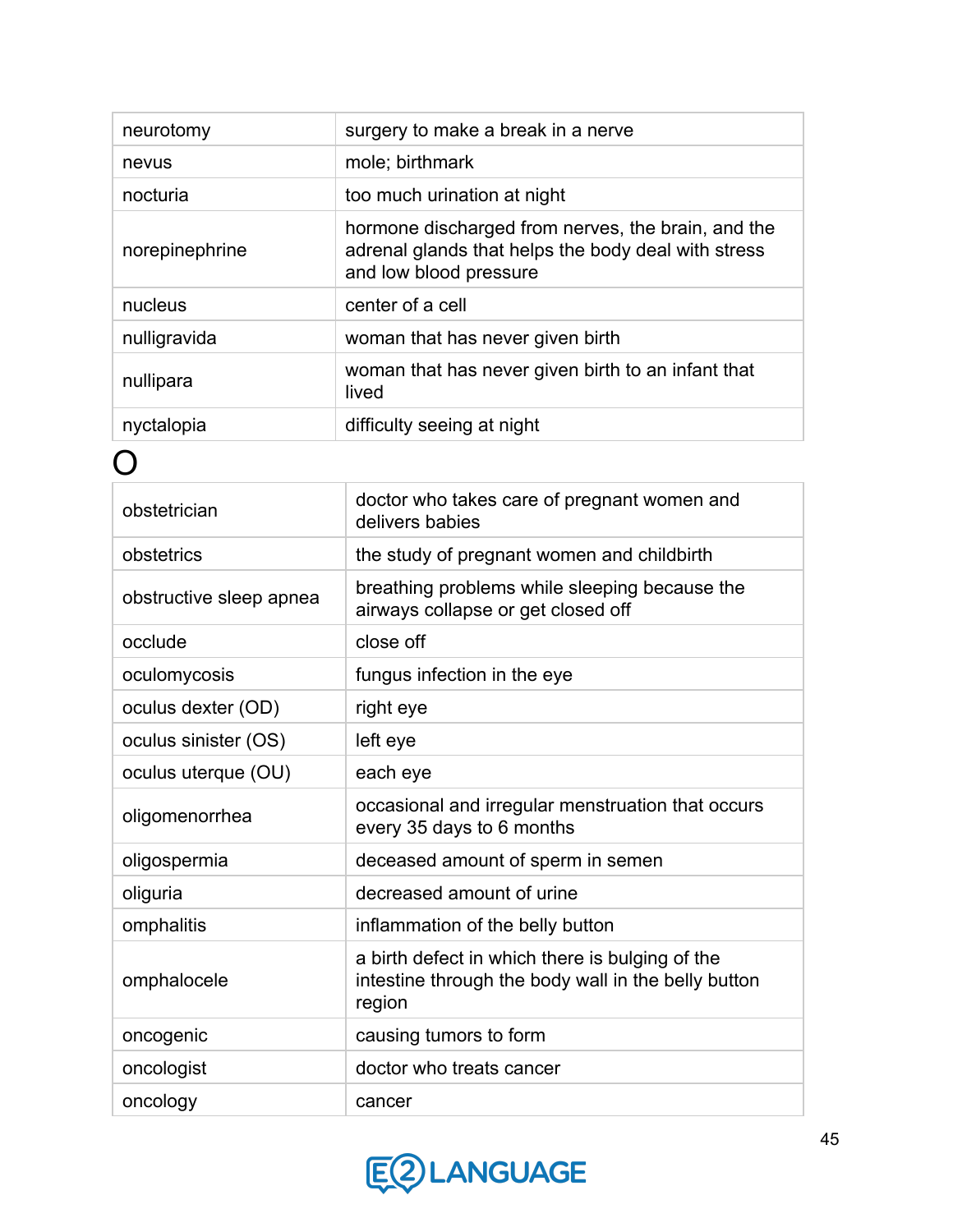| neurotomy      | surgery to make a break in a nerve                                                                                                  |
|----------------|-------------------------------------------------------------------------------------------------------------------------------------|
| nevus          | mole; birthmark                                                                                                                     |
| nocturia       | too much urination at night                                                                                                         |
| norepinephrine | hormone discharged from nerves, the brain, and the<br>adrenal glands that helps the body deal with stress<br>and low blood pressure |
| nucleus        | center of a cell                                                                                                                    |
| nulligravida   | woman that has never given birth                                                                                                    |
| nullipara      | woman that has never given birth to an infant that<br>lived                                                                         |
| nyctalopia     | difficulty seeing at night                                                                                                          |

| obstetrician            | doctor who takes care of pregnant women and<br>delivers babies                                                   |
|-------------------------|------------------------------------------------------------------------------------------------------------------|
| obstetrics              | the study of pregnant women and childbirth                                                                       |
| obstructive sleep apnea | breathing problems while sleeping because the<br>airways collapse or get closed off                              |
| occlude                 | close off                                                                                                        |
| oculomycosis            | fungus infection in the eye                                                                                      |
| oculus dexter (OD)      | right eye                                                                                                        |
| oculus sinister (OS)    | left eye                                                                                                         |
| oculus uterque (OU)     | each eye                                                                                                         |
| oligomenorrhea          | occasional and irregular menstruation that occurs<br>every 35 days to 6 months                                   |
| oligospermia            | deceased amount of sperm in semen                                                                                |
| oliguria                | decreased amount of urine                                                                                        |
| omphalitis              | inflammation of the belly button                                                                                 |
| omphalocele             | a birth defect in which there is bulging of the<br>intestine through the body wall in the belly button<br>region |
| oncogenic               | causing tumors to form                                                                                           |
| oncologist              | doctor who treats cancer                                                                                         |
| oncology                | cancer                                                                                                           |

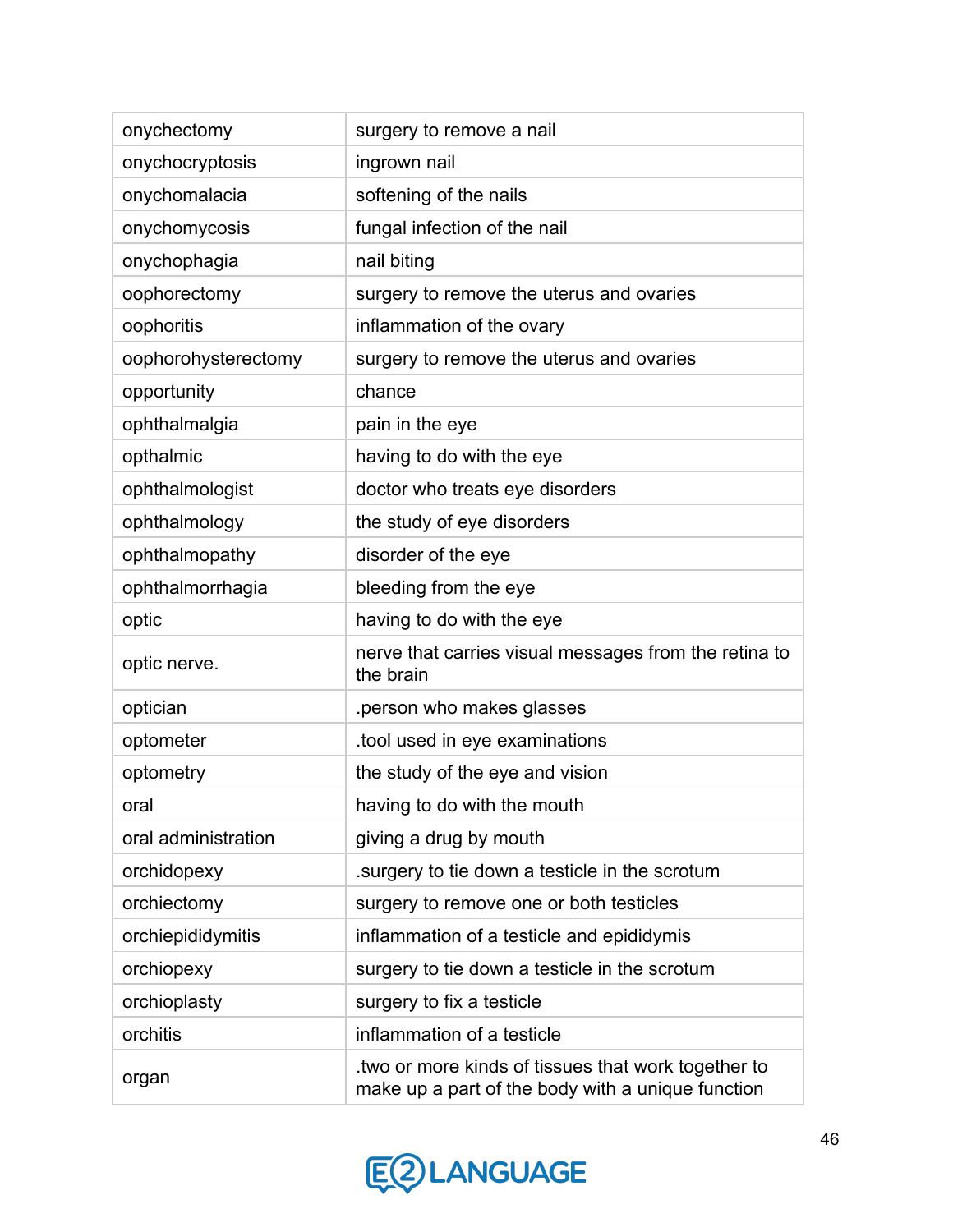| onychectomy         | surgery to remove a nail                                                                                |
|---------------------|---------------------------------------------------------------------------------------------------------|
| onychocryptosis     | ingrown nail                                                                                            |
| onychomalacia       | softening of the nails                                                                                  |
| onychomycosis       | fungal infection of the nail                                                                            |
| onychophagia        | nail biting                                                                                             |
| oophorectomy        | surgery to remove the uterus and ovaries                                                                |
| oophoritis          | inflammation of the ovary                                                                               |
| oophorohysterectomy | surgery to remove the uterus and ovaries                                                                |
| opportunity         | chance                                                                                                  |
| ophthalmalgia       | pain in the eye                                                                                         |
| opthalmic           | having to do with the eye                                                                               |
| ophthalmologist     | doctor who treats eye disorders                                                                         |
| ophthalmology       | the study of eye disorders                                                                              |
| ophthalmopathy      | disorder of the eye                                                                                     |
| ophthalmorrhagia    | bleeding from the eye                                                                                   |
| optic               | having to do with the eye                                                                               |
| optic nerve.        | nerve that carries visual messages from the retina to<br>the brain                                      |
| optician            | person who makes glasses                                                                                |
| optometer           | tool used in eye examinations                                                                           |
| optometry           | the study of the eye and vision                                                                         |
| oral                | having to do with the mouth                                                                             |
| oral administration | giving a drug by mouth                                                                                  |
| orchidopexy         | surgery to tie down a testicle in the scrotum                                                           |
| orchiectomy         | surgery to remove one or both testicles                                                                 |
| orchiepididymitis   | inflammation of a testicle and epididymis                                                               |
| orchiopexy          | surgery to tie down a testicle in the scrotum                                                           |
| orchioplasty        | surgery to fix a testicle                                                                               |
| orchitis            | inflammation of a testicle                                                                              |
| organ               | two or more kinds of tissues that work together to<br>make up a part of the body with a unique function |

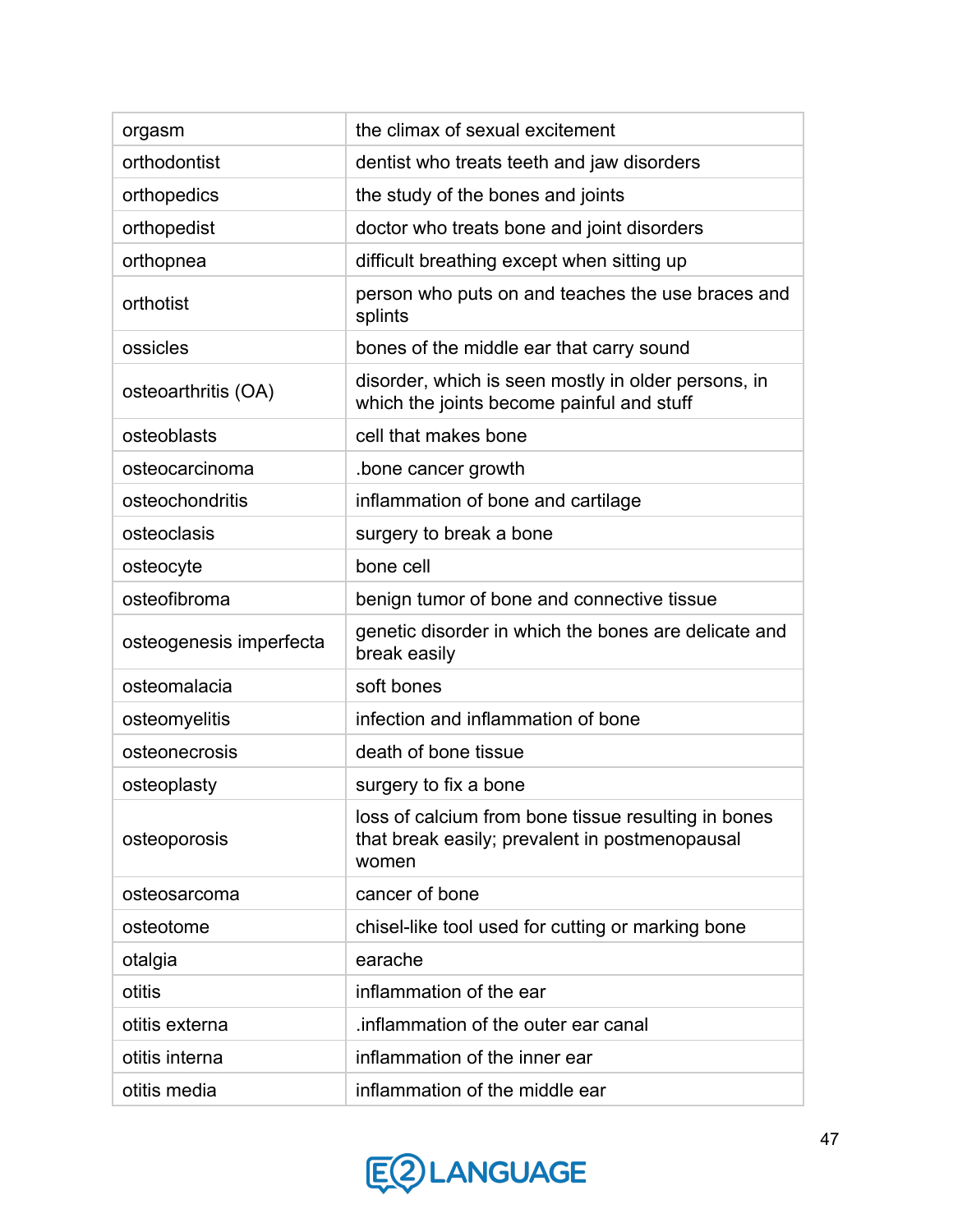| orgasm                  | the climax of sexual excitement                                                                                |
|-------------------------|----------------------------------------------------------------------------------------------------------------|
| orthodontist            | dentist who treats teeth and jaw disorders                                                                     |
| orthopedics             | the study of the bones and joints                                                                              |
| orthopedist             | doctor who treats bone and joint disorders                                                                     |
| orthopnea               | difficult breathing except when sitting up                                                                     |
| orthotist               | person who puts on and teaches the use braces and<br>splints                                                   |
| ossicles                | bones of the middle ear that carry sound                                                                       |
| osteoarthritis (OA)     | disorder, which is seen mostly in older persons, in<br>which the joints become painful and stuff               |
| osteoblasts             | cell that makes bone                                                                                           |
| osteocarcinoma          | bone cancer growth.                                                                                            |
| osteochondritis         | inflammation of bone and cartilage                                                                             |
| osteoclasis             | surgery to break a bone                                                                                        |
| osteocyte               | bone cell                                                                                                      |
| osteofibroma            | benign tumor of bone and connective tissue                                                                     |
| osteogenesis imperfecta | genetic disorder in which the bones are delicate and<br>break easily                                           |
| osteomalacia            | soft bones                                                                                                     |
| osteomyelitis           | infection and inflammation of bone                                                                             |
| osteonecrosis           | death of bone tissue                                                                                           |
| osteoplasty             | surgery to fix a bone                                                                                          |
| osteoporosis            | loss of calcium from bone tissue resulting in bones<br>that break easily; prevalent in postmenopausal<br>women |
| osteosarcoma            | cancer of bone                                                                                                 |
| osteotome               | chisel-like tool used for cutting or marking bone                                                              |
| otalgia                 | earache                                                                                                        |
| otitis                  | inflammation of the ear                                                                                        |
| otitis externa          | inflammation of the outer ear canal                                                                            |
| otitis interna          | inflammation of the inner ear                                                                                  |
| otitis media            | inflammation of the middle ear                                                                                 |

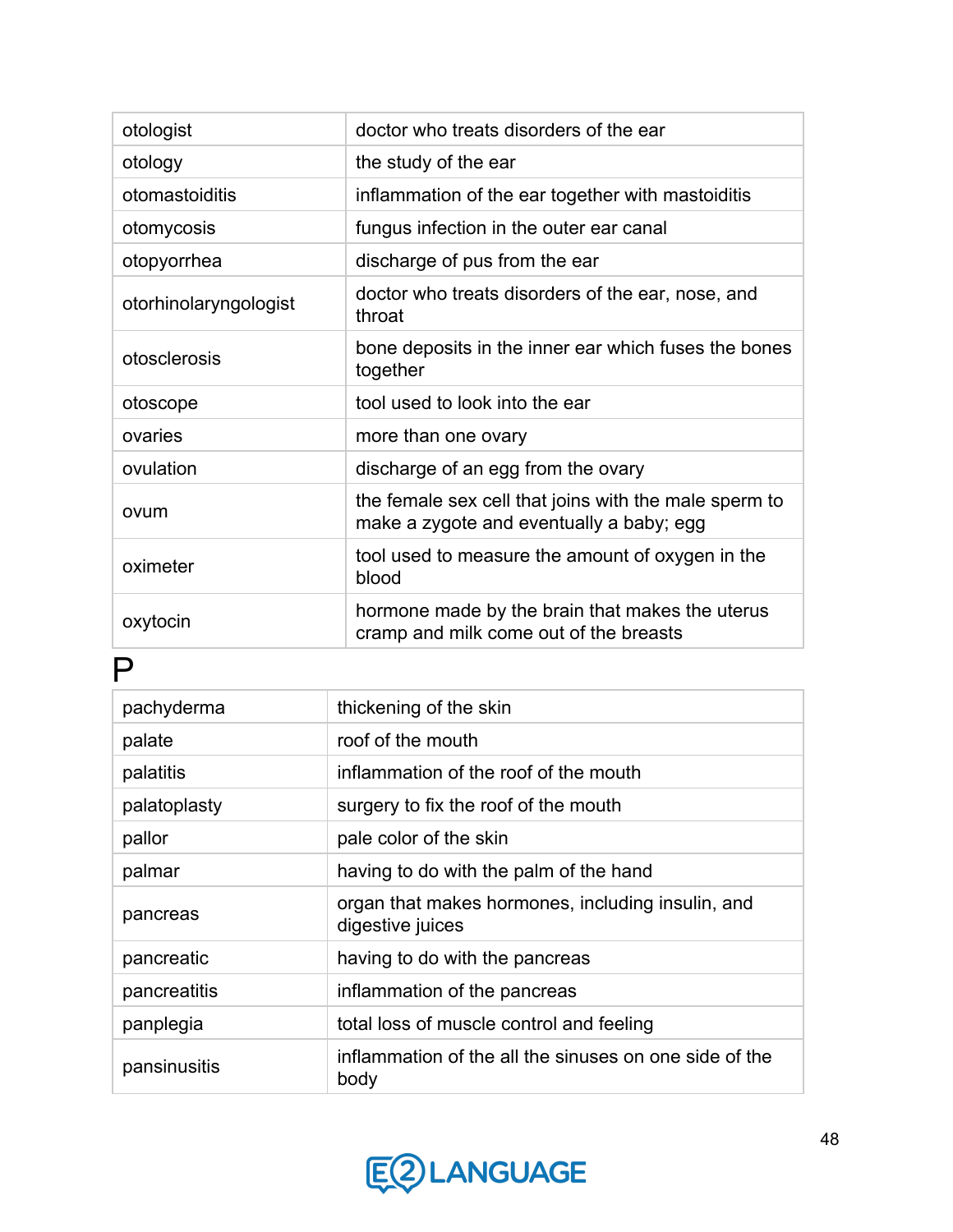| otologist             | doctor who treats disorders of the ear                                                            |
|-----------------------|---------------------------------------------------------------------------------------------------|
| otology               | the study of the ear                                                                              |
| otomastoiditis        | inflammation of the ear together with mastoiditis                                                 |
| otomycosis            | fungus infection in the outer ear canal                                                           |
| otopyorrhea           | discharge of pus from the ear                                                                     |
| otorhinolaryngologist | doctor who treats disorders of the ear, nose, and<br>throat                                       |
| otosclerosis          | bone deposits in the inner ear which fuses the bones<br>together                                  |
| otoscope              | tool used to look into the ear                                                                    |
| ovaries               | more than one ovary                                                                               |
| ovulation             | discharge of an egg from the ovary                                                                |
| ovum                  | the female sex cell that joins with the male sperm to<br>make a zygote and eventually a baby; egg |
| oximeter              | tool used to measure the amount of oxygen in the<br>blood                                         |
| oxytocin              | hormone made by the brain that makes the uterus<br>cramp and milk come out of the breasts         |

## P

| pachyderma   | thickening of the skin                                                |
|--------------|-----------------------------------------------------------------------|
| palate       | roof of the mouth                                                     |
| palatitis    | inflammation of the roof of the mouth                                 |
| palatoplasty | surgery to fix the roof of the mouth                                  |
| pallor       | pale color of the skin                                                |
| palmar       | having to do with the palm of the hand                                |
| pancreas     | organ that makes hormones, including insulin, and<br>digestive juices |
| pancreatic   | having to do with the pancreas                                        |
| pancreatitis | inflammation of the pancreas                                          |
| panplegia    | total loss of muscle control and feeling                              |
| pansinusitis | inflammation of the all the sinuses on one side of the<br>body        |

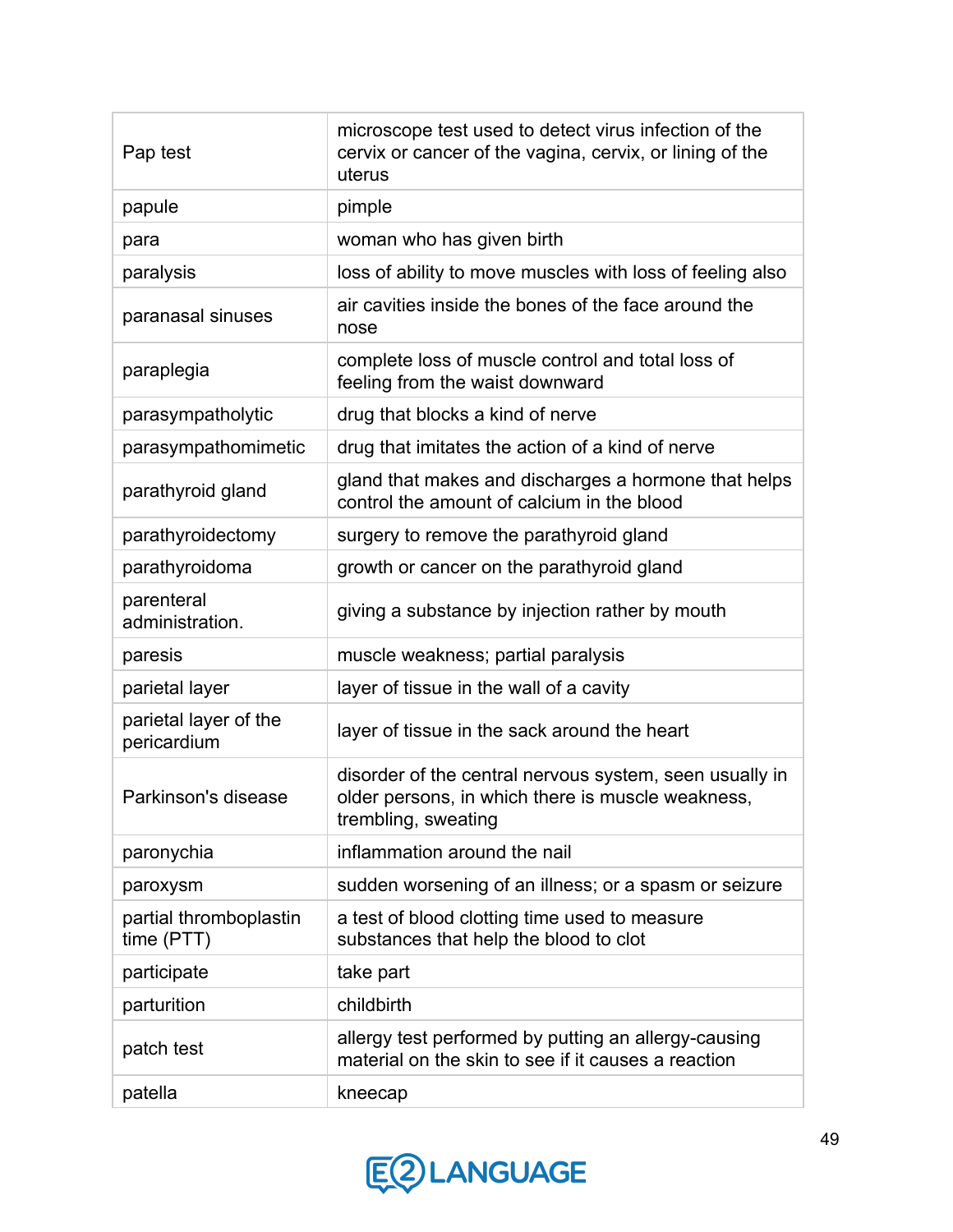| Pap test                             | microscope test used to detect virus infection of the<br>cervix or cancer of the vagina, cervix, or lining of the<br>uterus         |
|--------------------------------------|-------------------------------------------------------------------------------------------------------------------------------------|
| papule                               | pimple                                                                                                                              |
| para                                 | woman who has given birth                                                                                                           |
| paralysis                            | loss of ability to move muscles with loss of feeling also                                                                           |
| paranasal sinuses                    | air cavities inside the bones of the face around the<br>nose                                                                        |
| paraplegia                           | complete loss of muscle control and total loss of<br>feeling from the waist downward                                                |
| parasympatholytic                    | drug that blocks a kind of nerve                                                                                                    |
| parasympathomimetic                  | drug that imitates the action of a kind of nerve                                                                                    |
| parathyroid gland                    | gland that makes and discharges a hormone that helps<br>control the amount of calcium in the blood                                  |
| parathyroidectomy                    | surgery to remove the parathyroid gland                                                                                             |
| parathyroidoma                       | growth or cancer on the parathyroid gland                                                                                           |
| parenteral<br>administration.        | giving a substance by injection rather by mouth                                                                                     |
| paresis                              | muscle weakness; partial paralysis                                                                                                  |
| parietal layer                       | layer of tissue in the wall of a cavity                                                                                             |
| parietal layer of the<br>pericardium | layer of tissue in the sack around the heart                                                                                        |
| Parkinson's disease                  | disorder of the central nervous system, seen usually in<br>older persons, in which there is muscle weakness,<br>trembling, sweating |
| paronychia                           | inflammation around the nail                                                                                                        |
| paroxysm                             | sudden worsening of an illness; or a spasm or seizure                                                                               |
| partial thromboplastin<br>time (PTT) | a test of blood clotting time used to measure<br>substances that help the blood to clot                                             |
| participate                          | take part                                                                                                                           |
| parturition                          | childbirth                                                                                                                          |
| patch test                           | allergy test performed by putting an allergy-causing<br>material on the skin to see if it causes a reaction                         |
| patella                              | kneecap                                                                                                                             |

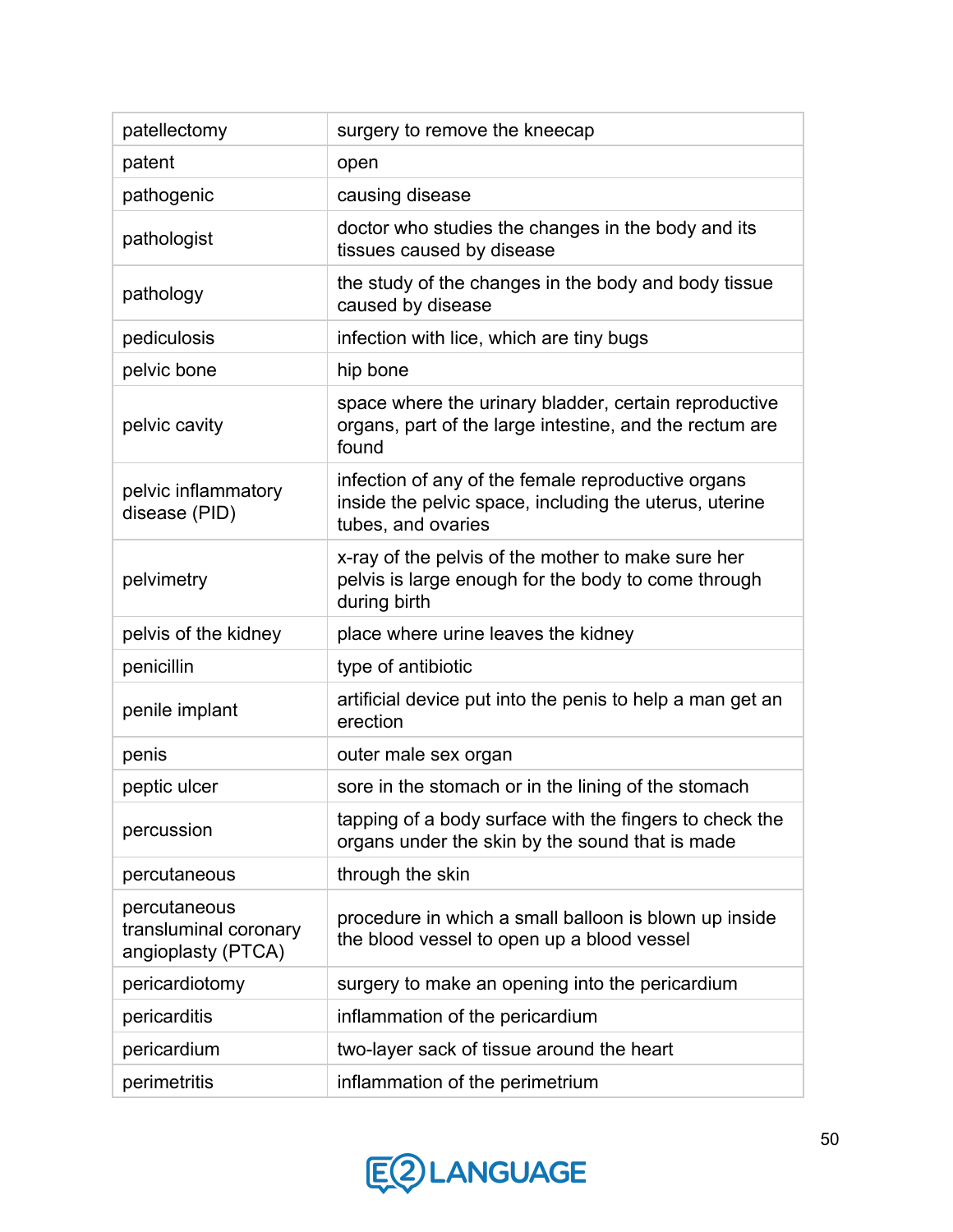| patellectomy                                                | surgery to remove the kneecap                                                                                                      |
|-------------------------------------------------------------|------------------------------------------------------------------------------------------------------------------------------------|
| patent                                                      | open                                                                                                                               |
| pathogenic                                                  | causing disease                                                                                                                    |
| pathologist                                                 | doctor who studies the changes in the body and its<br>tissues caused by disease                                                    |
| pathology                                                   | the study of the changes in the body and body tissue<br>caused by disease                                                          |
| pediculosis                                                 | infection with lice, which are tiny bugs                                                                                           |
| pelvic bone                                                 | hip bone                                                                                                                           |
| pelvic cavity                                               | space where the urinary bladder, certain reproductive<br>organs, part of the large intestine, and the rectum are<br>found          |
| pelvic inflammatory<br>disease (PID)                        | infection of any of the female reproductive organs<br>inside the pelvic space, including the uterus, uterine<br>tubes, and ovaries |
| pelvimetry                                                  | x-ray of the pelvis of the mother to make sure her<br>pelvis is large enough for the body to come through<br>during birth          |
| pelvis of the kidney                                        | place where urine leaves the kidney                                                                                                |
| penicillin                                                  | type of antibiotic                                                                                                                 |
| penile implant                                              | artificial device put into the penis to help a man get an<br>erection                                                              |
| penis                                                       | outer male sex organ                                                                                                               |
| peptic ulcer                                                | sore in the stomach or in the lining of the stomach                                                                                |
| percussion                                                  | tapping of a body surface with the fingers to check the<br>organs under the skin by the sound that is made                         |
| percutaneous                                                | through the skin                                                                                                                   |
| percutaneous<br>transluminal coronary<br>angioplasty (PTCA) | procedure in which a small balloon is blown up inside<br>the blood vessel to open up a blood vessel                                |
| pericardiotomy                                              | surgery to make an opening into the pericardium                                                                                    |
| pericarditis                                                | inflammation of the pericardium                                                                                                    |
| pericardium                                                 | two-layer sack of tissue around the heart                                                                                          |
| perimetritis                                                | inflammation of the perimetrium                                                                                                    |

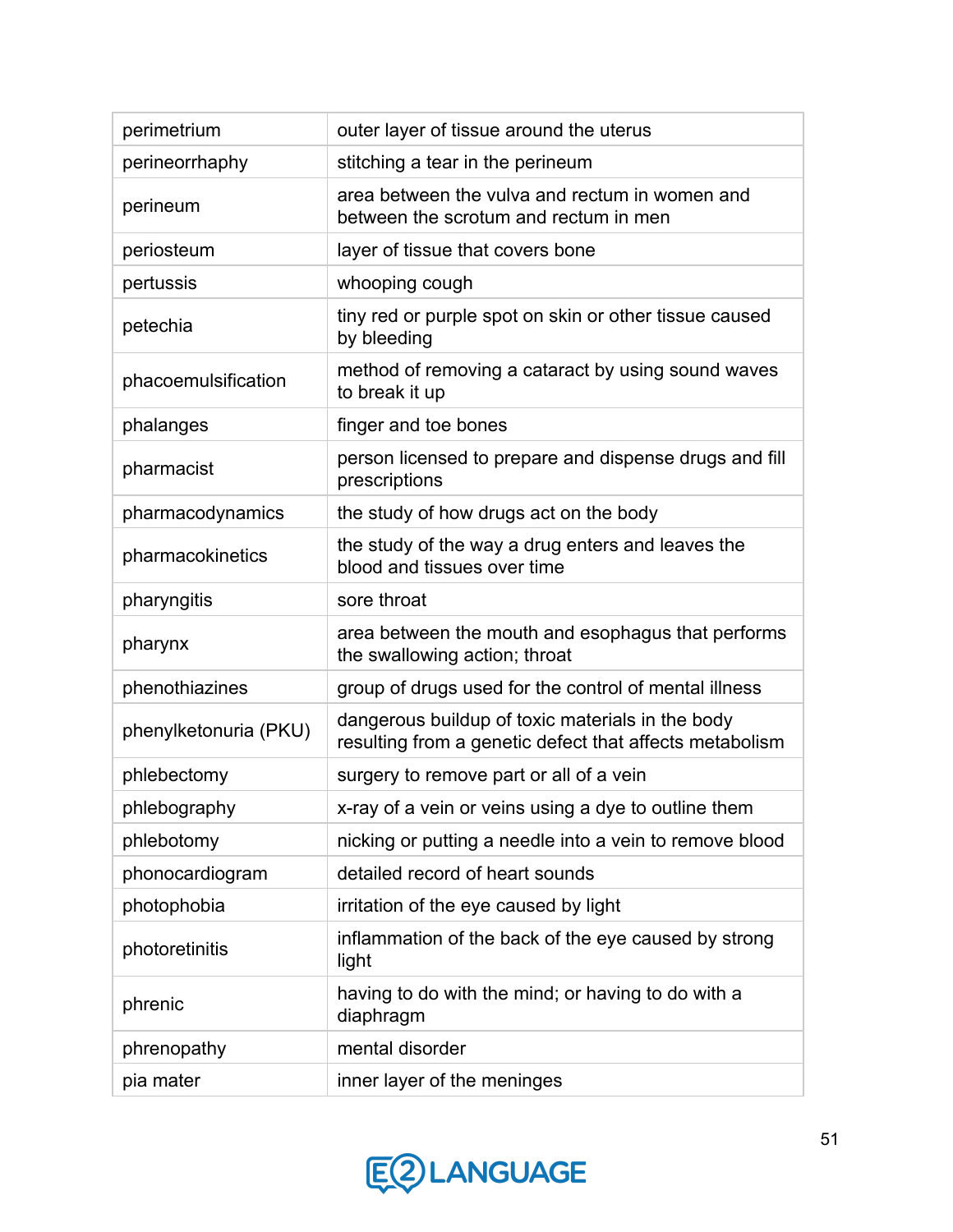| perimetrium           | outer layer of tissue around the uterus                                                                     |
|-----------------------|-------------------------------------------------------------------------------------------------------------|
| perineorrhaphy        | stitching a tear in the perineum                                                                            |
| perineum              | area between the vulva and rectum in women and<br>between the scrotum and rectum in men                     |
| periosteum            | layer of tissue that covers bone                                                                            |
| pertussis             | whooping cough                                                                                              |
| petechia              | tiny red or purple spot on skin or other tissue caused<br>by bleeding                                       |
| phacoemulsification   | method of removing a cataract by using sound waves<br>to break it up                                        |
| phalanges             | finger and toe bones                                                                                        |
| pharmacist            | person licensed to prepare and dispense drugs and fill<br>prescriptions                                     |
| pharmacodynamics      | the study of how drugs act on the body                                                                      |
| pharmacokinetics      | the study of the way a drug enters and leaves the<br>blood and tissues over time                            |
| pharyngitis           | sore throat                                                                                                 |
| pharynx               | area between the mouth and esophagus that performs<br>the swallowing action; throat                         |
| phenothiazines        | group of drugs used for the control of mental illness                                                       |
| phenylketonuria (PKU) | dangerous buildup of toxic materials in the body<br>resulting from a genetic defect that affects metabolism |
| phlebectomy           | surgery to remove part or all of a vein                                                                     |
| phlebography          | x-ray of a vein or veins using a dye to outline them                                                        |
| phlebotomy            | nicking or putting a needle into a vein to remove blood                                                     |
| phonocardiogram       | detailed record of heart sounds                                                                             |
| photophobia           | irritation of the eye caused by light                                                                       |
| photoretinitis        | inflammation of the back of the eye caused by strong<br>light                                               |
| phrenic               | having to do with the mind; or having to do with a<br>diaphragm                                             |
| phrenopathy           | mental disorder                                                                                             |
| pia mater             | inner layer of the meninges                                                                                 |

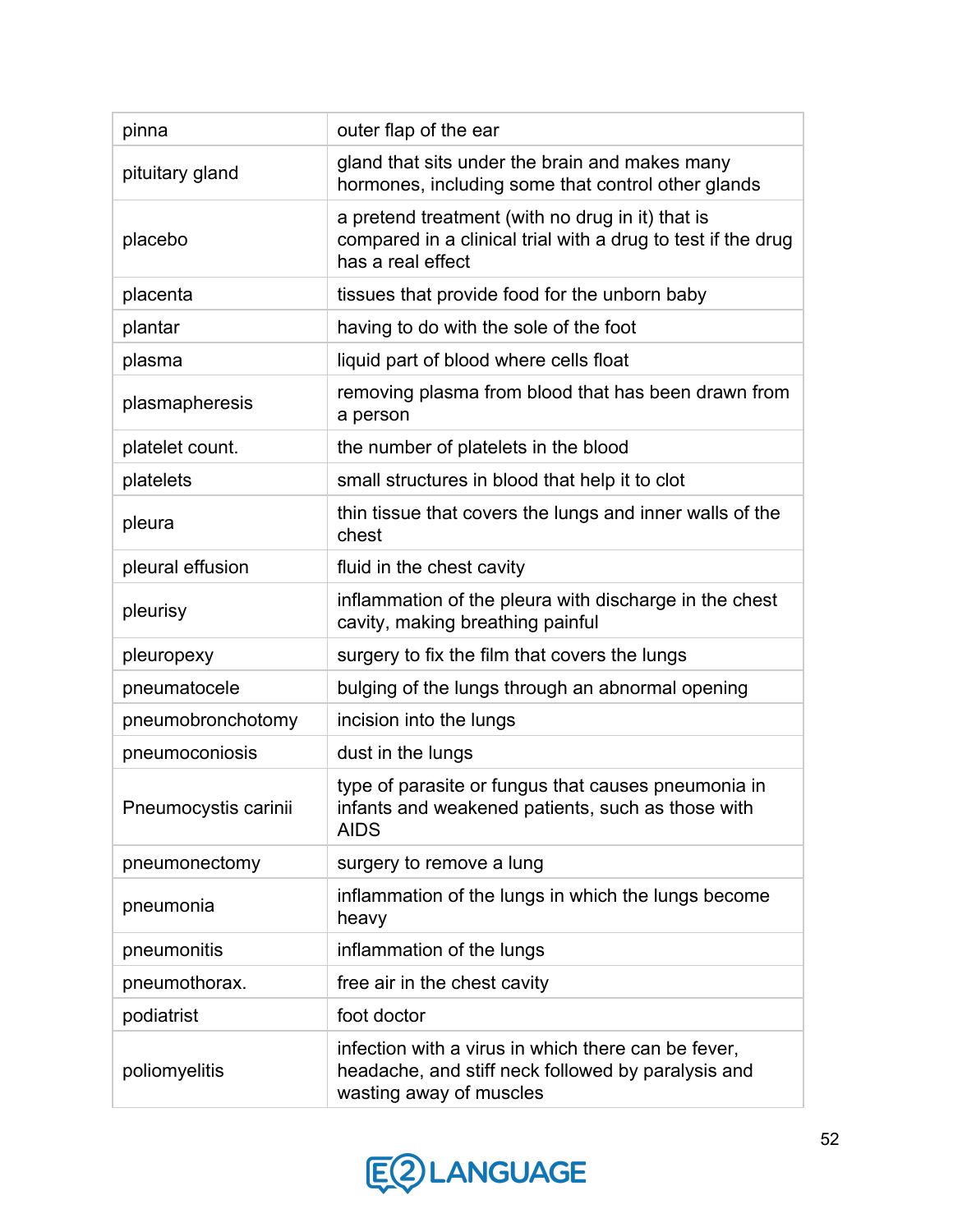| pinna                | outer flap of the ear                                                                                                                 |
|----------------------|---------------------------------------------------------------------------------------------------------------------------------------|
| pituitary gland      | gland that sits under the brain and makes many<br>hormones, including some that control other glands                                  |
| placebo              | a pretend treatment (with no drug in it) that is<br>compared in a clinical trial with a drug to test if the drug<br>has a real effect |
| placenta             | tissues that provide food for the unborn baby                                                                                         |
| plantar              | having to do with the sole of the foot                                                                                                |
| plasma               | liquid part of blood where cells float                                                                                                |
| plasmapheresis       | removing plasma from blood that has been drawn from<br>a person                                                                       |
| platelet count.      | the number of platelets in the blood                                                                                                  |
| platelets            | small structures in blood that help it to clot                                                                                        |
| pleura               | thin tissue that covers the lungs and inner walls of the<br>chest                                                                     |
| pleural effusion     | fluid in the chest cavity                                                                                                             |
| pleurisy             | inflammation of the pleura with discharge in the chest<br>cavity, making breathing painful                                            |
| pleuropexy           | surgery to fix the film that covers the lungs                                                                                         |
| pneumatocele         | bulging of the lungs through an abnormal opening                                                                                      |
| pneumobronchotomy    | incision into the lungs                                                                                                               |
| pneumoconiosis       | dust in the lungs                                                                                                                     |
| Pneumocystis carinii | type of parasite or fungus that causes pneumonia in<br>infants and weakened patients, such as those with<br><b>AIDS</b>               |
| pneumonectomy        | surgery to remove a lung                                                                                                              |
| pneumonia            | inflammation of the lungs in which the lungs become<br>heavy                                                                          |
| pneumonitis          | inflammation of the lungs                                                                                                             |
| pneumothorax.        | free air in the chest cavity                                                                                                          |
| podiatrist           | foot doctor                                                                                                                           |
| poliomyelitis        | infection with a virus in which there can be fever,<br>headache, and stiff neck followed by paralysis and<br>wasting away of muscles  |

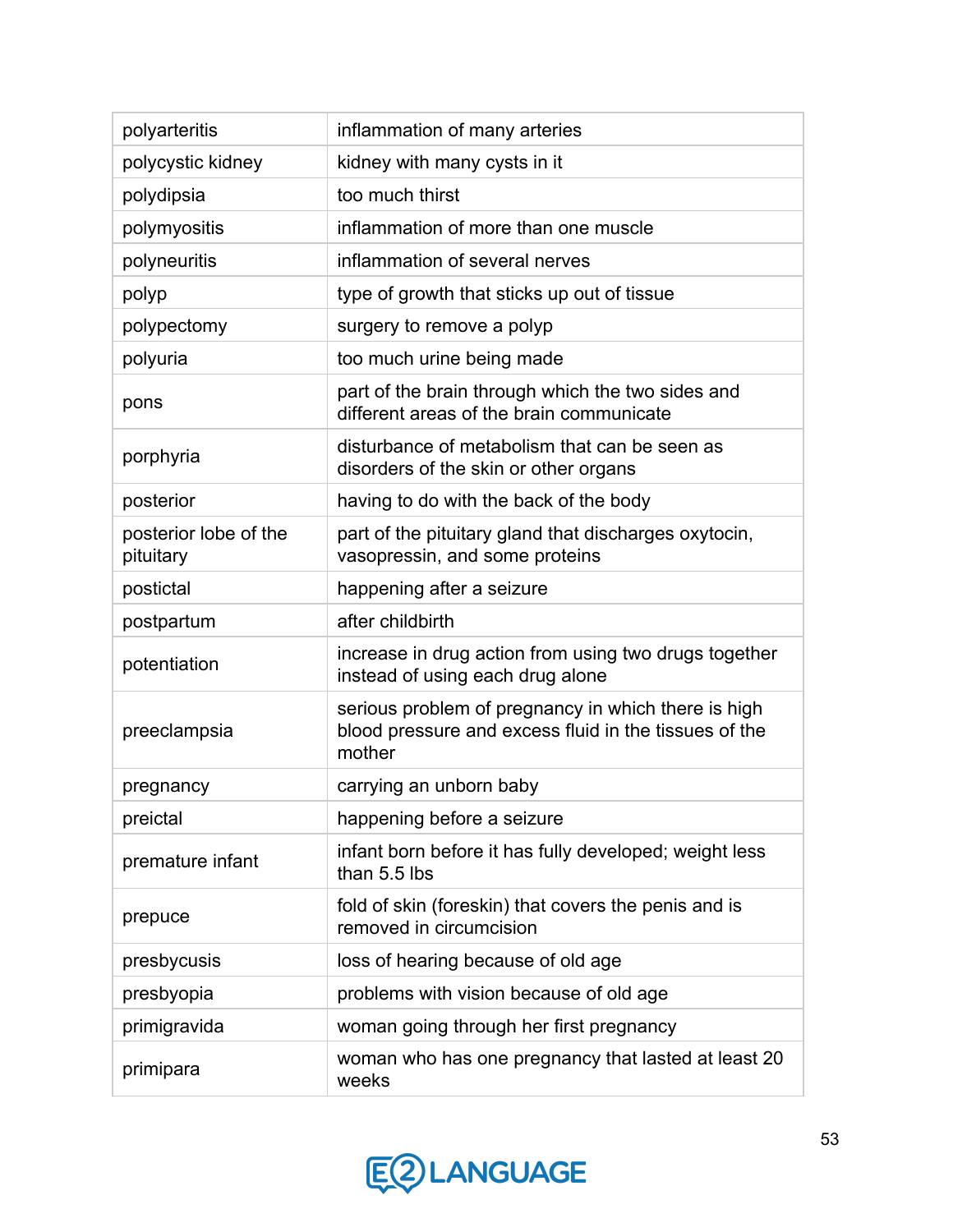| polyarteritis                      | inflammation of many arteries                                                                                          |
|------------------------------------|------------------------------------------------------------------------------------------------------------------------|
| polycystic kidney                  | kidney with many cysts in it                                                                                           |
| polydipsia                         | too much thirst                                                                                                        |
| polymyositis                       | inflammation of more than one muscle                                                                                   |
| polyneuritis                       | inflammation of several nerves                                                                                         |
| polyp                              | type of growth that sticks up out of tissue                                                                            |
| polypectomy                        | surgery to remove a polyp                                                                                              |
| polyuria                           | too much urine being made                                                                                              |
| pons                               | part of the brain through which the two sides and<br>different areas of the brain communicate                          |
| porphyria                          | disturbance of metabolism that can be seen as<br>disorders of the skin or other organs                                 |
| posterior                          | having to do with the back of the body                                                                                 |
| posterior lobe of the<br>pituitary | part of the pituitary gland that discharges oxytocin,<br>vasopressin, and some proteins                                |
| postictal                          | happening after a seizure                                                                                              |
| postpartum                         | after childbirth                                                                                                       |
| potentiation                       | increase in drug action from using two drugs together<br>instead of using each drug alone                              |
| preeclampsia                       | serious problem of pregnancy in which there is high<br>blood pressure and excess fluid in the tissues of the<br>mother |
| pregnancy                          | carrying an unborn baby                                                                                                |
| preictal                           | happening before a seizure                                                                                             |
| premature infant                   | infant born before it has fully developed; weight less<br>than 5.5 lbs                                                 |
| prepuce                            | fold of skin (foreskin) that covers the penis and is<br>removed in circumcision                                        |
| presbycusis                        | loss of hearing because of old age                                                                                     |
| presbyopia                         | problems with vision because of old age                                                                                |
| primigravida                       | woman going through her first pregnancy                                                                                |
| primipara                          | woman who has one pregnancy that lasted at least 20<br>weeks                                                           |

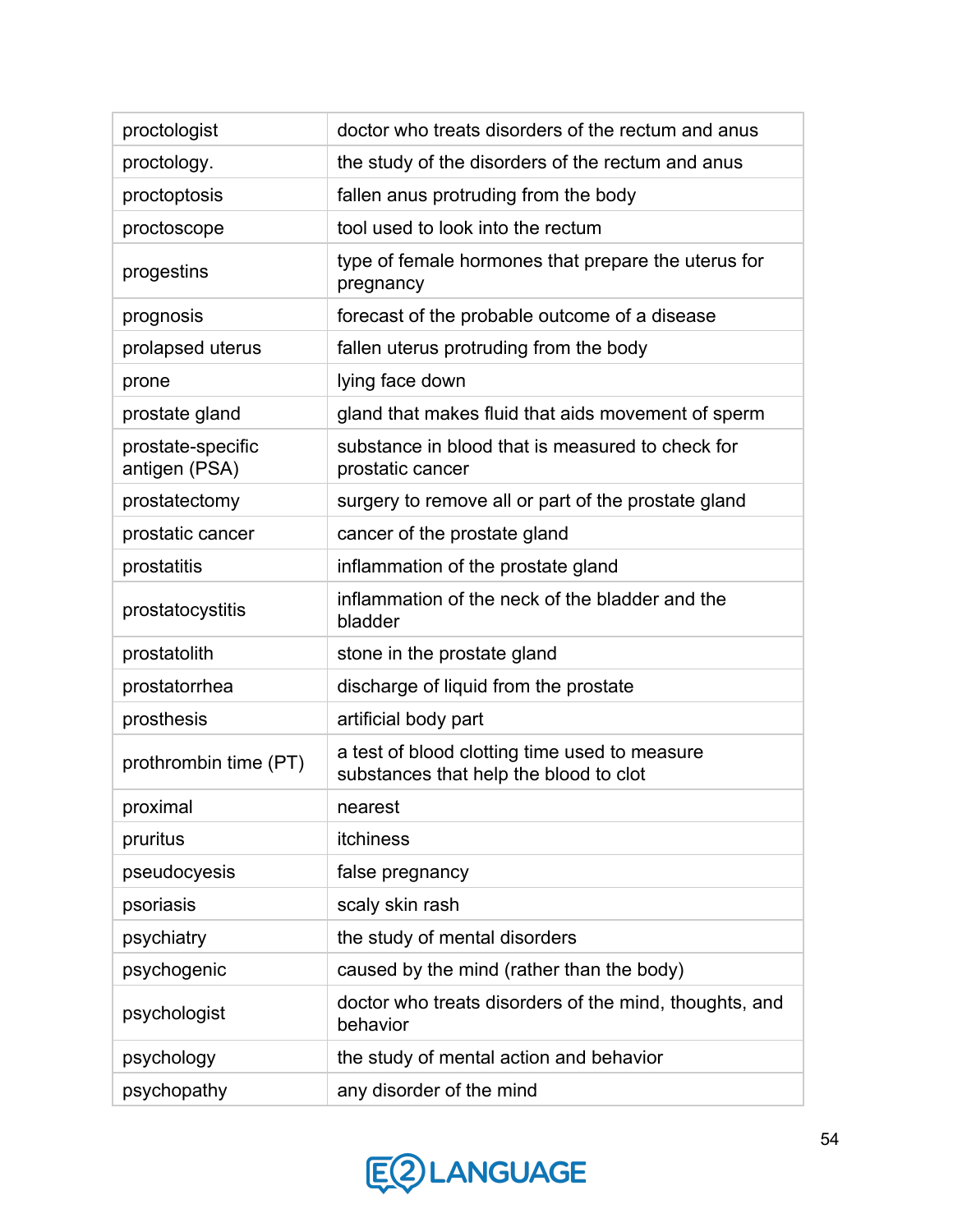| proctologist                       | doctor who treats disorders of the rectum and anus                                      |
|------------------------------------|-----------------------------------------------------------------------------------------|
| proctology.                        | the study of the disorders of the rectum and anus                                       |
| proctoptosis                       | fallen anus protruding from the body                                                    |
| proctoscope                        | tool used to look into the rectum                                                       |
| progestins                         | type of female hormones that prepare the uterus for<br>pregnancy                        |
| prognosis                          | forecast of the probable outcome of a disease                                           |
| prolapsed uterus                   | fallen uterus protruding from the body                                                  |
| prone                              | lying face down                                                                         |
| prostate gland                     | gland that makes fluid that aids movement of sperm                                      |
| prostate-specific<br>antigen (PSA) | substance in blood that is measured to check for<br>prostatic cancer                    |
| prostatectomy                      | surgery to remove all or part of the prostate gland                                     |
| prostatic cancer                   | cancer of the prostate gland                                                            |
| prostatitis                        | inflammation of the prostate gland                                                      |
| prostatocystitis                   | inflammation of the neck of the bladder and the<br>bladder                              |
| prostatolith                       | stone in the prostate gland                                                             |
| prostatorrhea                      | discharge of liquid from the prostate                                                   |
| prosthesis                         | artificial body part                                                                    |
| prothrombin time (PT)              | a test of blood clotting time used to measure<br>substances that help the blood to clot |
| proximal                           | nearest                                                                                 |
| pruritus                           | itchiness                                                                               |
| pseudocyesis                       | false pregnancy                                                                         |
| psoriasis                          | scaly skin rash                                                                         |
| psychiatry                         | the study of mental disorders                                                           |
| psychogenic                        | caused by the mind (rather than the body)                                               |
| psychologist                       | doctor who treats disorders of the mind, thoughts, and<br>behavior                      |
| psychology                         | the study of mental action and behavior                                                 |
| psychopathy                        | any disorder of the mind                                                                |

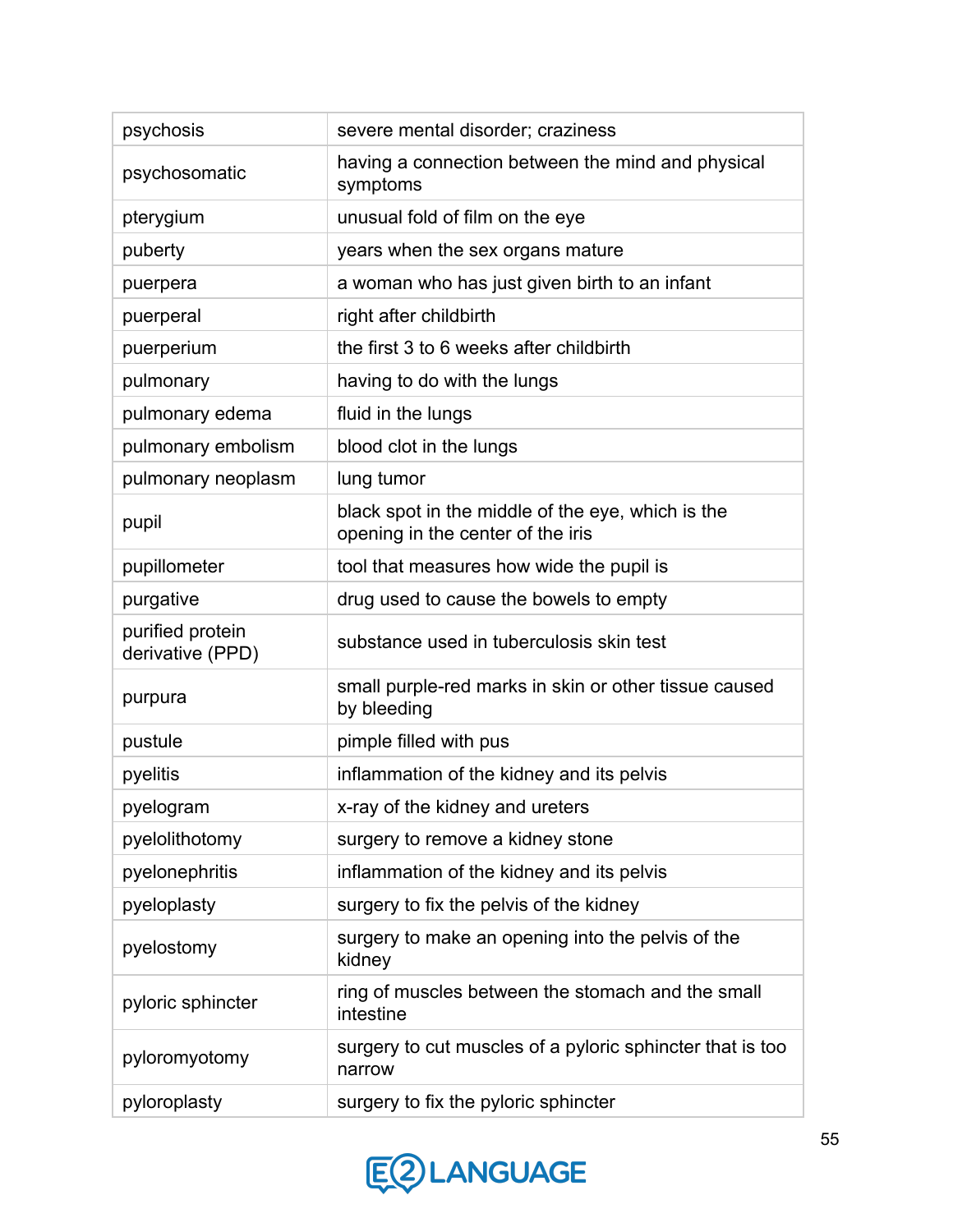| psychosis                            | severe mental disorder; craziness                                                      |
|--------------------------------------|----------------------------------------------------------------------------------------|
| psychosomatic                        | having a connection between the mind and physical<br>symptoms                          |
| pterygium                            | unusual fold of film on the eye                                                        |
| puberty                              | years when the sex organs mature                                                       |
| puerpera                             | a woman who has just given birth to an infant                                          |
| puerperal                            | right after childbirth                                                                 |
| puerperium                           | the first 3 to 6 weeks after childbirth                                                |
| pulmonary                            | having to do with the lungs                                                            |
| pulmonary edema                      | fluid in the lungs                                                                     |
| pulmonary embolism                   | blood clot in the lungs                                                                |
| pulmonary neoplasm                   | lung tumor                                                                             |
| pupil                                | black spot in the middle of the eye, which is the<br>opening in the center of the iris |
| pupillometer                         | tool that measures how wide the pupil is                                               |
| purgative                            | drug used to cause the bowels to empty                                                 |
| purified protein<br>derivative (PPD) | substance used in tuberculosis skin test                                               |
| purpura                              | small purple-red marks in skin or other tissue caused<br>by bleeding                   |
| pustule                              | pimple filled with pus                                                                 |
| pyelitis                             | inflammation of the kidney and its pelvis                                              |
| pyelogram                            | x-ray of the kidney and ureters                                                        |
| pyelolithotomy                       | surgery to remove a kidney stone                                                       |
| pyelonephritis                       | inflammation of the kidney and its pelvis                                              |
| pyeloplasty                          | surgery to fix the pelvis of the kidney                                                |
| pyelostomy                           | surgery to make an opening into the pelvis of the<br>kidney                            |
| pyloric sphincter                    | ring of muscles between the stomach and the small<br>intestine                         |
| pyloromyotomy                        | surgery to cut muscles of a pyloric sphincter that is too<br>narrow                    |
| pyloroplasty                         | surgery to fix the pyloric sphincter                                                   |

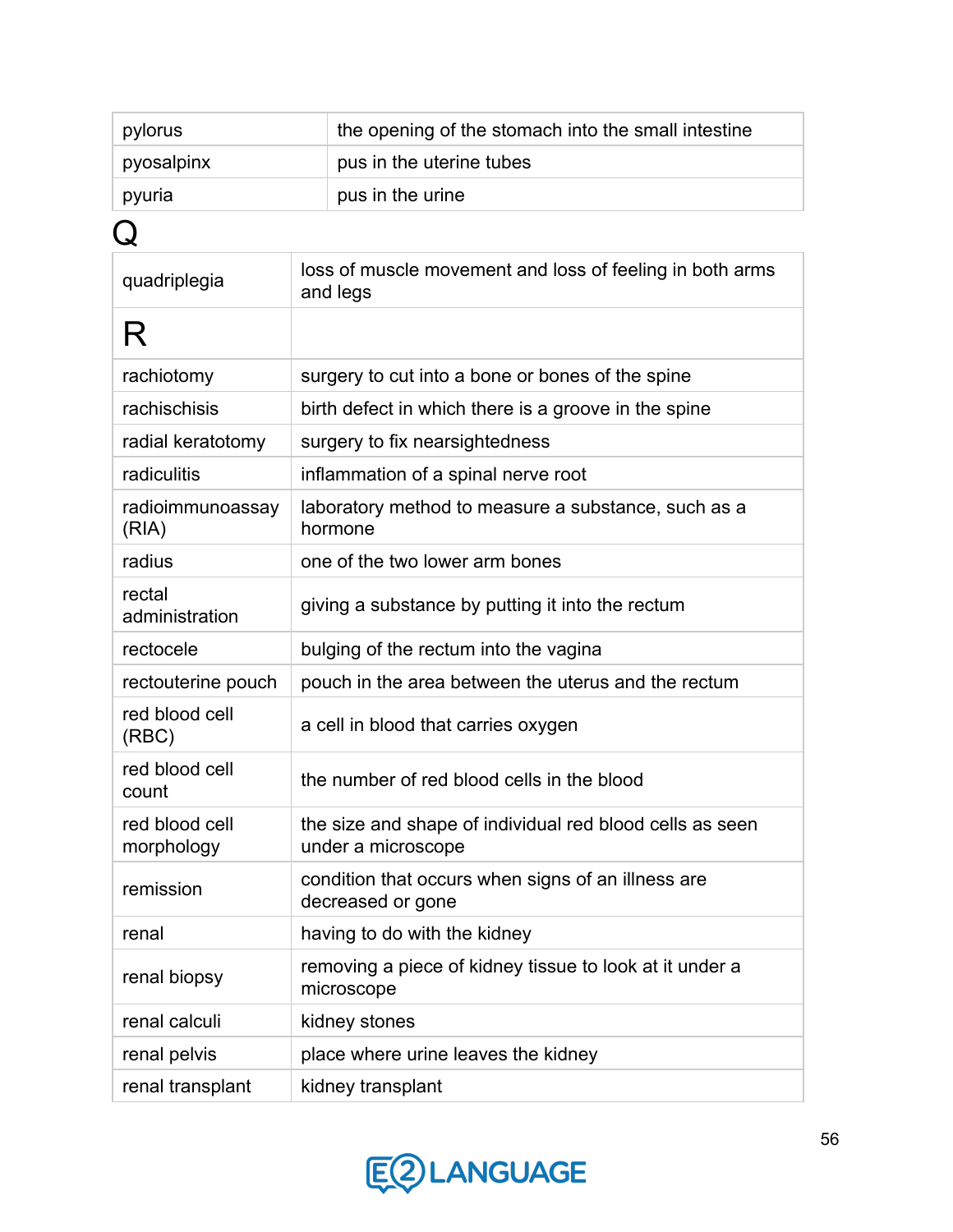| pylorus                      | the opening of the stomach into the small intestine                            |  |
|------------------------------|--------------------------------------------------------------------------------|--|
| pyosalpinx                   | pus in the uterine tubes                                                       |  |
| pyuria                       | pus in the urine                                                               |  |
|                              |                                                                                |  |
| quadriplegia                 | loss of muscle movement and loss of feeling in both arms<br>and legs           |  |
| R                            |                                                                                |  |
| rachiotomy                   | surgery to cut into a bone or bones of the spine                               |  |
| rachischisis                 | birth defect in which there is a groove in the spine                           |  |
| radial keratotomy            | surgery to fix nearsightedness                                                 |  |
| radiculitis                  | inflammation of a spinal nerve root                                            |  |
| radioimmunoassay<br>(RIA)    | laboratory method to measure a substance, such as a<br>hormone                 |  |
| radius                       | one of the two lower arm bones                                                 |  |
| rectal<br>administration     | giving a substance by putting it into the rectum                               |  |
| rectocele                    | bulging of the rectum into the vagina                                          |  |
| rectouterine pouch           | pouch in the area between the uterus and the rectum                            |  |
| red blood cell<br>(RBC)      | a cell in blood that carries oxygen                                            |  |
| red blood cell<br>count      | the number of red blood cells in the blood                                     |  |
| red blood cell<br>morphology | the size and shape of individual red blood cells as seen<br>under a microscope |  |
| remission                    | condition that occurs when signs of an illness are<br>decreased or gone        |  |
| renal                        | having to do with the kidney                                                   |  |
| renal biopsy                 | removing a piece of kidney tissue to look at it under a<br>microscope          |  |
| renal calculi                | kidney stones                                                                  |  |
| renal pelvis                 | place where urine leaves the kidney                                            |  |
| renal transplant             | kidney transplant                                                              |  |

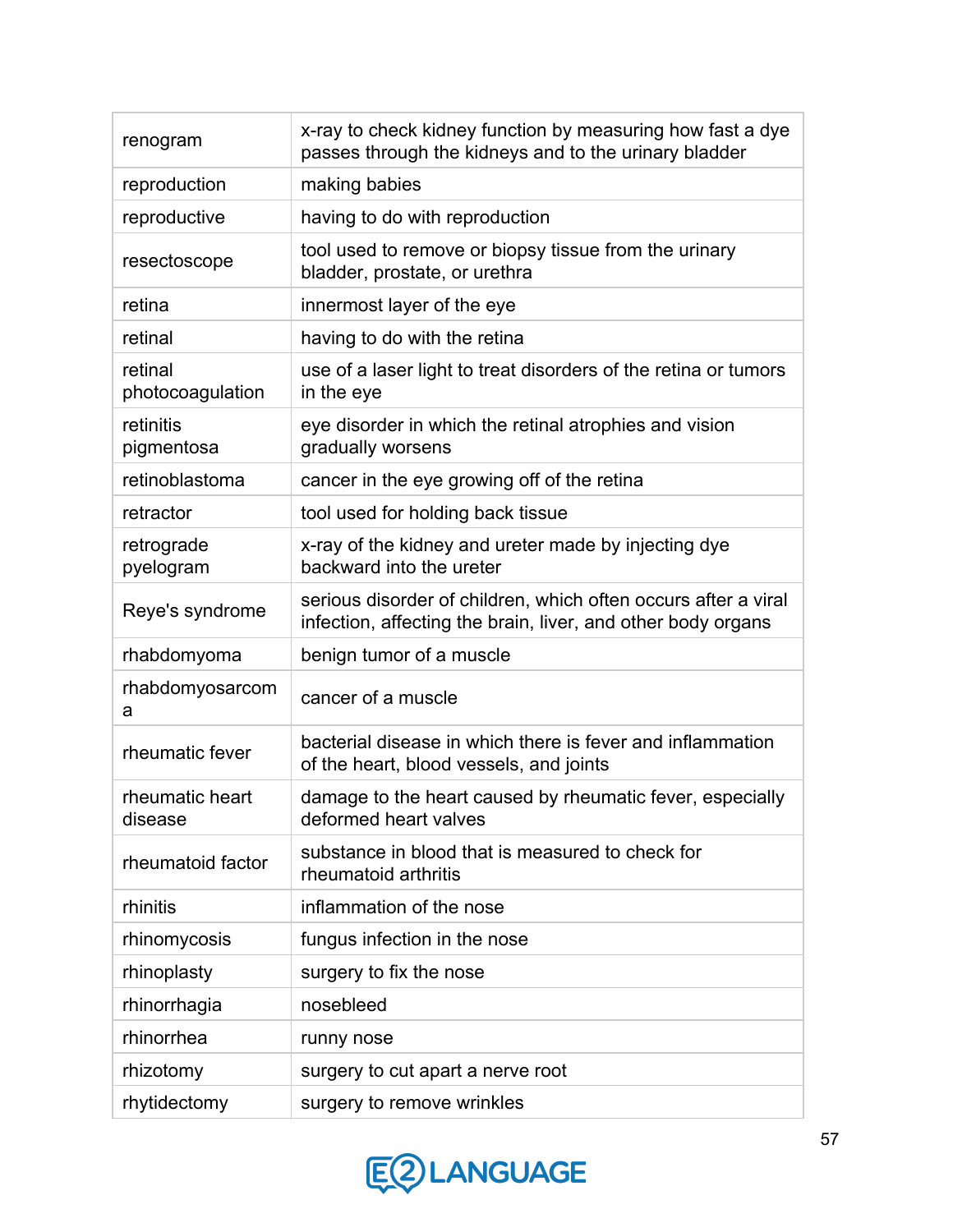| renogram                    | x-ray to check kidney function by measuring how fast a dye<br>passes through the kidneys and to the urinary bladder            |
|-----------------------------|--------------------------------------------------------------------------------------------------------------------------------|
| reproduction                | making babies                                                                                                                  |
| reproductive                | having to do with reproduction                                                                                                 |
| resectoscope                | tool used to remove or biopsy tissue from the urinary<br>bladder, prostate, or urethra                                         |
| retina                      | innermost layer of the eye                                                                                                     |
| retinal                     | having to do with the retina                                                                                                   |
| retinal<br>photocoagulation | use of a laser light to treat disorders of the retina or tumors<br>in the eye                                                  |
| retinitis<br>pigmentosa     | eye disorder in which the retinal atrophies and vision<br>gradually worsens                                                    |
| retinoblastoma              | cancer in the eye growing off of the retina                                                                                    |
| retractor                   | tool used for holding back tissue                                                                                              |
| retrograde<br>pyelogram     | x-ray of the kidney and ureter made by injecting dye<br>backward into the ureter                                               |
| Reye's syndrome             | serious disorder of children, which often occurs after a viral<br>infection, affecting the brain, liver, and other body organs |
| rhabdomyoma                 | benign tumor of a muscle                                                                                                       |
| rhabdomyosarcom<br>a        | cancer of a muscle                                                                                                             |
| rheumatic fever             | bacterial disease in which there is fever and inflammation<br>of the heart, blood vessels, and joints                          |
| rheumatic heart<br>disease  | damage to the heart caused by rheumatic fever, especially<br>deformed heart valves                                             |
| rheumatoid factor           | substance in blood that is measured to check for<br>rheumatoid arthritis                                                       |
| rhinitis                    | inflammation of the nose                                                                                                       |
| rhinomycosis                | fungus infection in the nose                                                                                                   |
| rhinoplasty                 | surgery to fix the nose                                                                                                        |
| rhinorrhagia                | nosebleed                                                                                                                      |
| rhinorrhea                  | runny nose                                                                                                                     |
| rhizotomy                   | surgery to cut apart a nerve root                                                                                              |
| rhytidectomy                | surgery to remove wrinkles                                                                                                     |

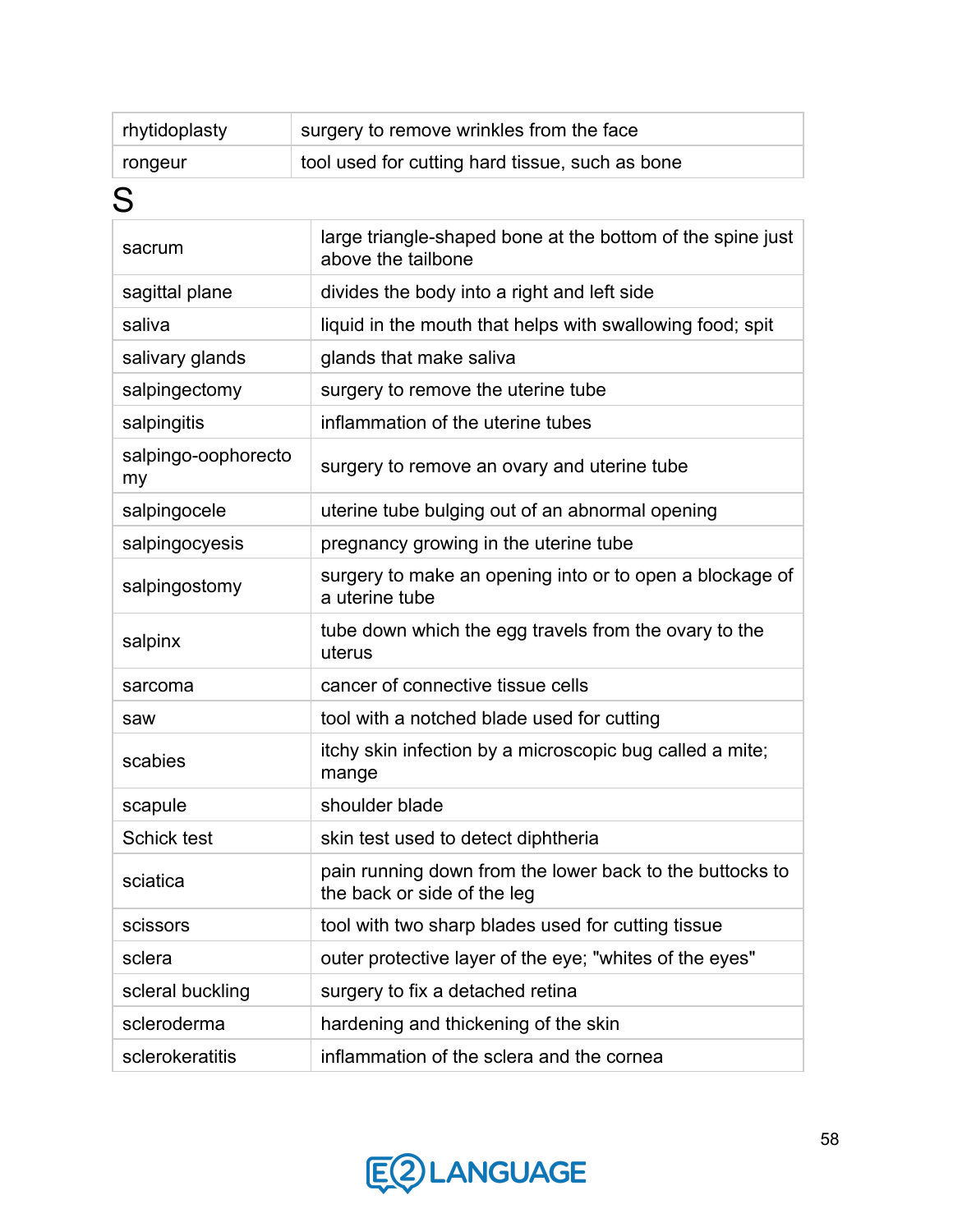| rhytidoplasty | surgery to remove wrinkles from the face        |
|---------------|-------------------------------------------------|
| rongeur       | tool used for cutting hard tissue, such as bone |
| ⌒             |                                                 |

S

## sacrum large triangle-shaped bone at the bottom of the spine just above the tailbone sagittal plane  $\vert$  divides the body into a right and left side saliva liquid in the mouth that helps with swallowing food; spit salivary glands  $\Box$  glands that make saliva salpingectomy surgery to remove the uterine tube salpingitis inflammation of the uterine tubes salpingo-oophorecto my surgery to remove an ovary and uterine tube salpingocele **uterine tube bulging out of an abnormal opening** salpingocyesis pregnancy growing in the uterine tube salpingostomy surgery to make an opening into or to open a blockage of a uterine tube salpinx tube down which the egg travels from the ovary to the uterus sarcoma cancer of connective tissue cells saw and tool with a notched blade used for cutting scabies itchy skin infection by a microscopic bug called a mite; mange scapule scapule shoulder blade Schick test skin test used to detect diphtheria sciatica pain running down from the lower back to the buttocks to the back or side of the leg scissors **tool with two sharp blades used for cutting tissue** sclera **outer protective layer of the eye; "whites of the eyes"** scleral buckling  $\|\cdot\|$  surgery to fix a detached retina scleroderma **hardening and thickening of the skin** sclerokeratitis inflammation of the sclera and the cornea

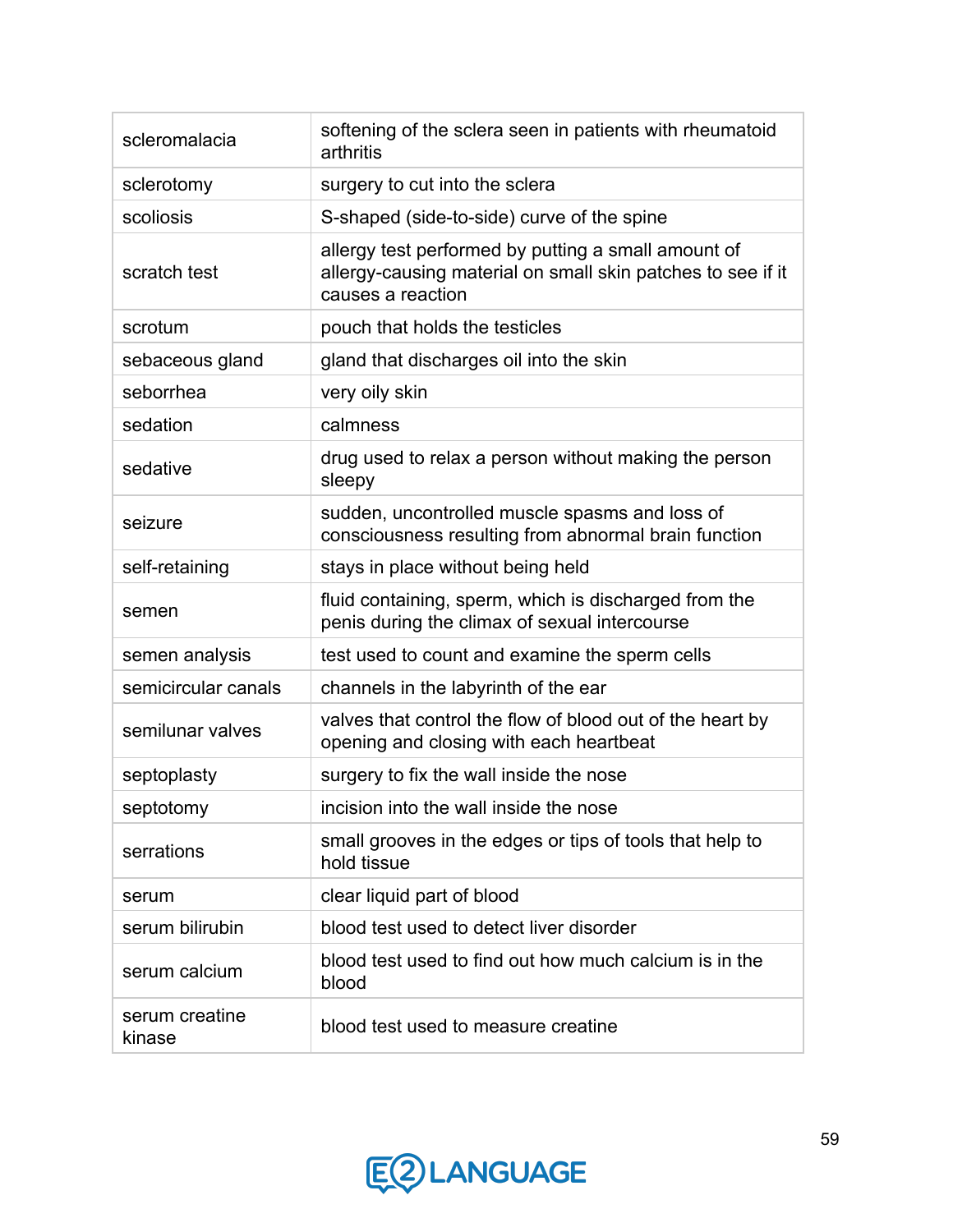| scleromalacia            | softening of the sclera seen in patients with rheumatoid<br>arthritis                                                                   |
|--------------------------|-----------------------------------------------------------------------------------------------------------------------------------------|
| sclerotomy               | surgery to cut into the sclera                                                                                                          |
| scoliosis                | S-shaped (side-to-side) curve of the spine                                                                                              |
| scratch test             | allergy test performed by putting a small amount of<br>allergy-causing material on small skin patches to see if it<br>causes a reaction |
| scrotum                  | pouch that holds the testicles                                                                                                          |
| sebaceous gland          | gland that discharges oil into the skin                                                                                                 |
| seborrhea                | very oily skin                                                                                                                          |
| sedation                 | calmness                                                                                                                                |
| sedative                 | drug used to relax a person without making the person<br>sleepy                                                                         |
| seizure                  | sudden, uncontrolled muscle spasms and loss of<br>consciousness resulting from abnormal brain function                                  |
| self-retaining           | stays in place without being held                                                                                                       |
| semen                    | fluid containing, sperm, which is discharged from the<br>penis during the climax of sexual intercourse                                  |
| semen analysis           | test used to count and examine the sperm cells                                                                                          |
| semicircular canals      | channels in the labyrinth of the ear                                                                                                    |
| semilunar valves         | valves that control the flow of blood out of the heart by<br>opening and closing with each heartbeat                                    |
| septoplasty              | surgery to fix the wall inside the nose                                                                                                 |
| septotomy                | incision into the wall inside the nose                                                                                                  |
| serrations               | small grooves in the edges or tips of tools that help to<br>hold tissue                                                                 |
| serum                    | clear liquid part of blood                                                                                                              |
| serum bilirubin          | blood test used to detect liver disorder                                                                                                |
| serum calcium            | blood test used to find out how much calcium is in the<br>blood                                                                         |
| serum creatine<br>kinase | blood test used to measure creatine                                                                                                     |

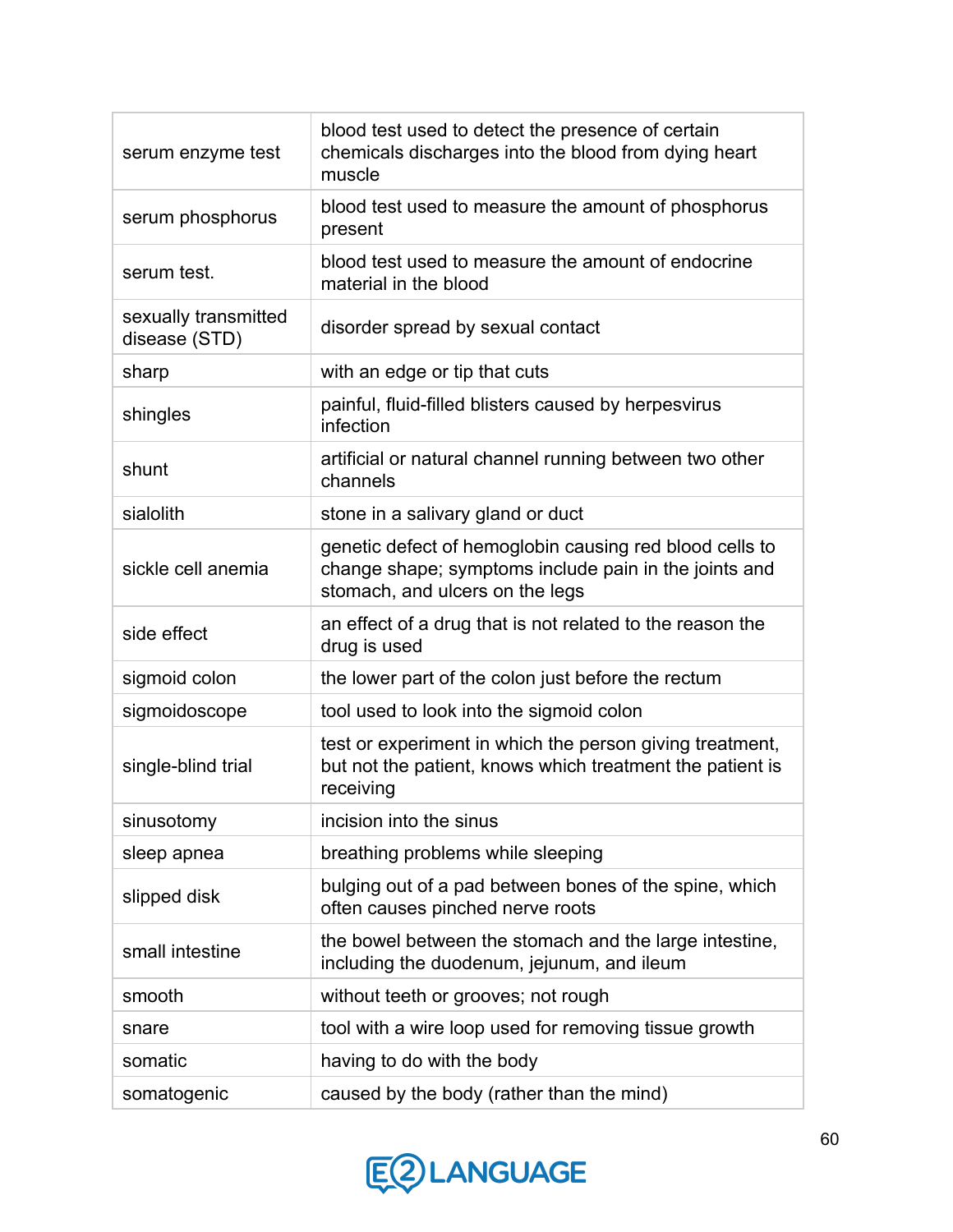| serum enzyme test                     | blood test used to detect the presence of certain<br>chemicals discharges into the blood from dying heart<br>muscle                                 |
|---------------------------------------|-----------------------------------------------------------------------------------------------------------------------------------------------------|
| serum phosphorus                      | blood test used to measure the amount of phosphorus<br>present                                                                                      |
| serum test.                           | blood test used to measure the amount of endocrine<br>material in the blood                                                                         |
| sexually transmitted<br>disease (STD) | disorder spread by sexual contact                                                                                                                   |
| sharp                                 | with an edge or tip that cuts                                                                                                                       |
| shingles                              | painful, fluid-filled blisters caused by herpesvirus<br>infection                                                                                   |
| shunt                                 | artificial or natural channel running between two other<br>channels                                                                                 |
| sialolith                             | stone in a salivary gland or duct                                                                                                                   |
| sickle cell anemia                    | genetic defect of hemoglobin causing red blood cells to<br>change shape; symptoms include pain in the joints and<br>stomach, and ulcers on the legs |
| side effect                           | an effect of a drug that is not related to the reason the<br>drug is used                                                                           |
| sigmoid colon                         | the lower part of the colon just before the rectum                                                                                                  |
| sigmoidoscope                         | tool used to look into the sigmoid colon                                                                                                            |
| single-blind trial                    | test or experiment in which the person giving treatment,<br>but not the patient, knows which treatment the patient is<br>receiving                  |
| sinusotomy                            | incision into the sinus                                                                                                                             |
| sleep apnea                           | breathing problems while sleeping                                                                                                                   |
| slipped disk                          | bulging out of a pad between bones of the spine, which<br>often causes pinched nerve roots                                                          |
| small intestine                       | the bowel between the stomach and the large intestine,<br>including the duodenum, jejunum, and ileum                                                |
| smooth                                | without teeth or grooves; not rough                                                                                                                 |
| snare                                 | tool with a wire loop used for removing tissue growth                                                                                               |
| somatic                               | having to do with the body                                                                                                                          |
| somatogenic                           | caused by the body (rather than the mind)                                                                                                           |

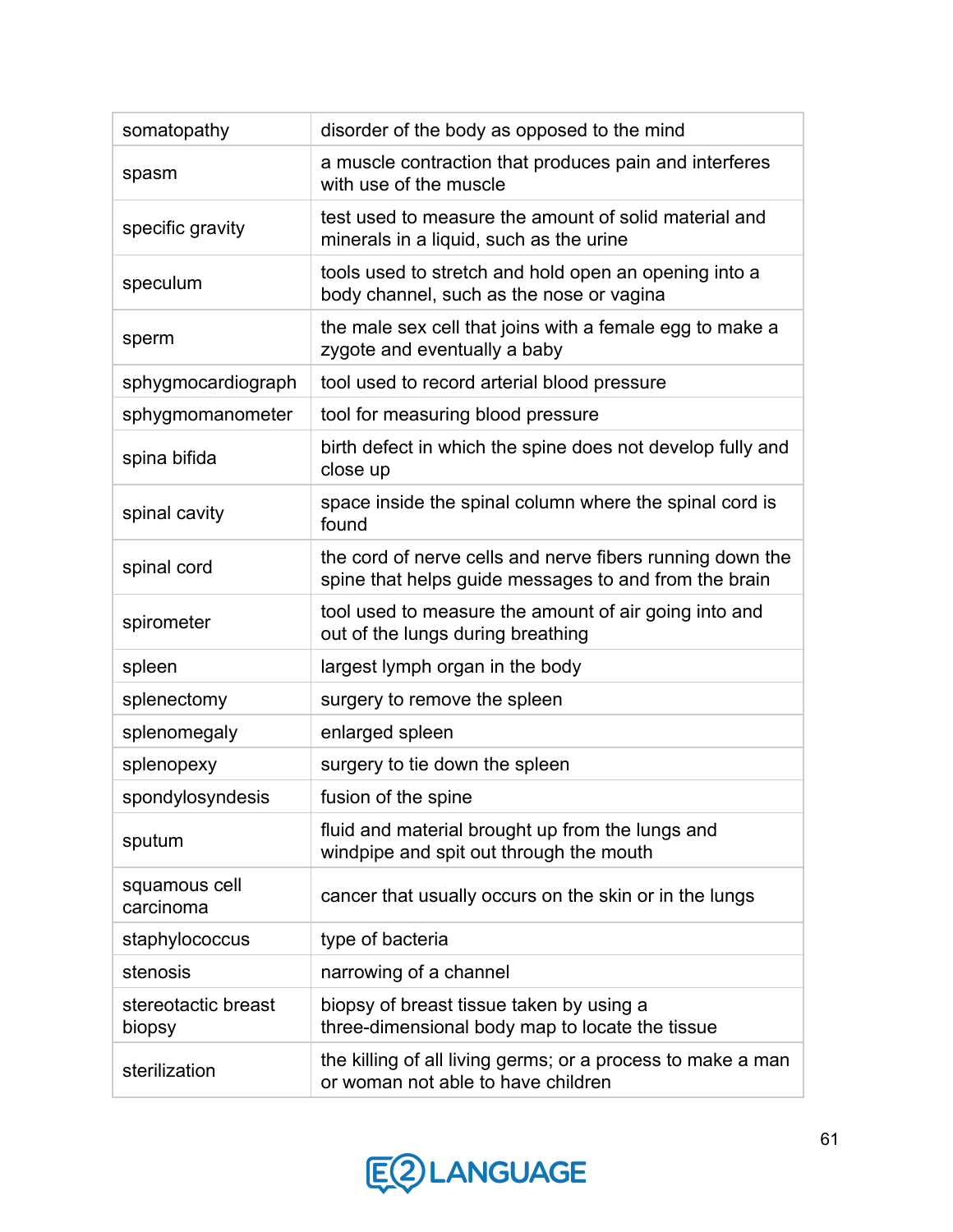| somatopathy                   | disorder of the body as opposed to the mind                                                                        |
|-------------------------------|--------------------------------------------------------------------------------------------------------------------|
| spasm                         | a muscle contraction that produces pain and interferes<br>with use of the muscle                                   |
| specific gravity              | test used to measure the amount of solid material and<br>minerals in a liquid, such as the urine                   |
| speculum                      | tools used to stretch and hold open an opening into a<br>body channel, such as the nose or vagina                  |
| sperm                         | the male sex cell that joins with a female egg to make a<br>zygote and eventually a baby                           |
| sphygmocardiograph            | tool used to record arterial blood pressure                                                                        |
| sphygmomanometer              | tool for measuring blood pressure                                                                                  |
| spina bifida                  | birth defect in which the spine does not develop fully and<br>close up                                             |
| spinal cavity                 | space inside the spinal column where the spinal cord is<br>found                                                   |
| spinal cord                   | the cord of nerve cells and nerve fibers running down the<br>spine that helps guide messages to and from the brain |
| spirometer                    | tool used to measure the amount of air going into and<br>out of the lungs during breathing                         |
| spleen                        | largest lymph organ in the body                                                                                    |
| splenectomy                   | surgery to remove the spleen                                                                                       |
| splenomegaly                  | enlarged spleen                                                                                                    |
| splenopexy                    | surgery to tie down the spleen                                                                                     |
| spondylosyndesis              | fusion of the spine                                                                                                |
| sputum                        | fluid and material brought up from the lungs and<br>windpipe and spit out through the mouth                        |
| squamous cell<br>carcinoma    | cancer that usually occurs on the skin or in the lungs                                                             |
| staphylococcus                | type of bacteria                                                                                                   |
| stenosis                      | narrowing of a channel                                                                                             |
| stereotactic breast<br>biopsy | biopsy of breast tissue taken by using a<br>three-dimensional body map to locate the tissue                        |
| sterilization                 | the killing of all living germs; or a process to make a man<br>or woman not able to have children                  |

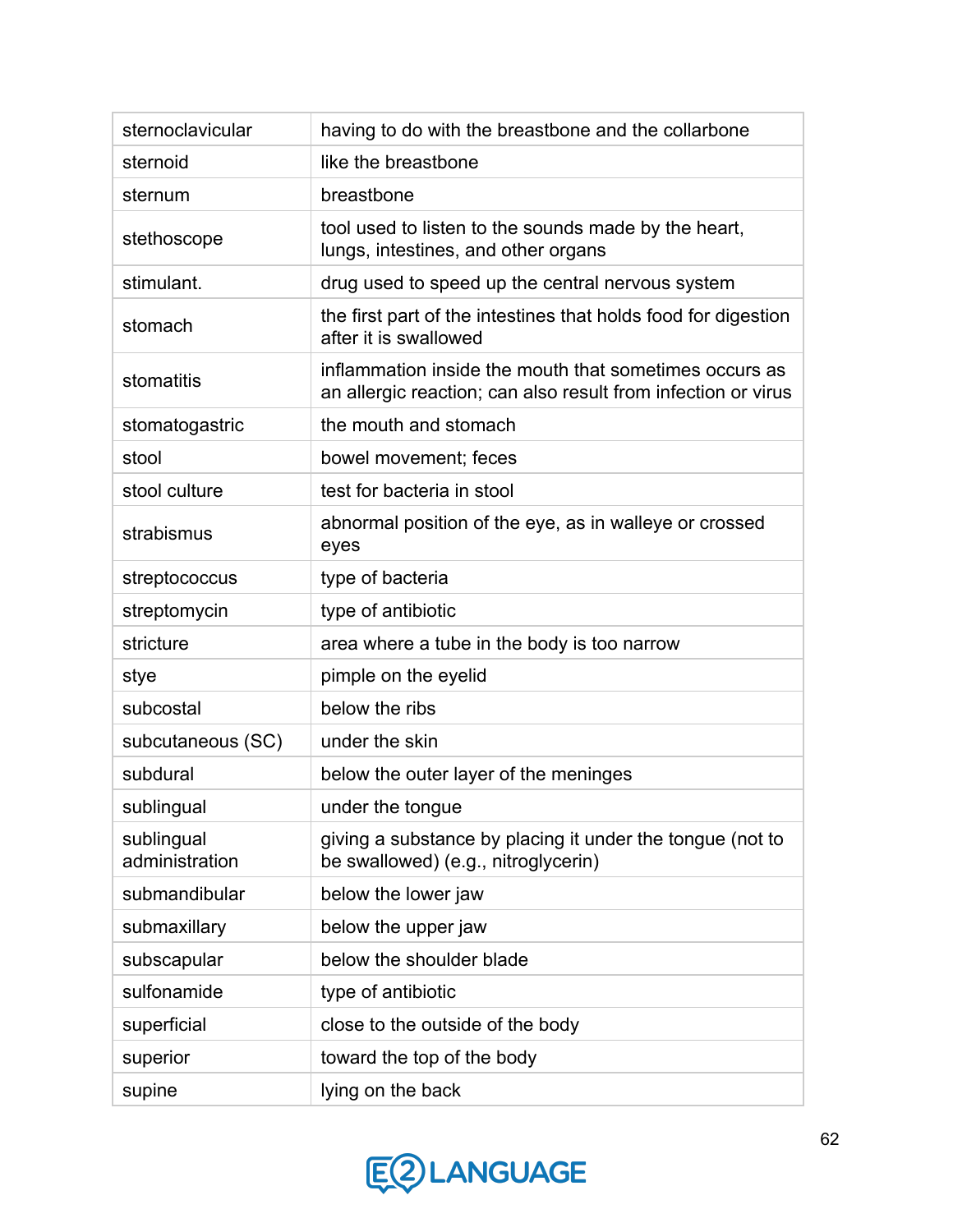| sternoclavicular             | having to do with the breastbone and the collarbone                                                                     |
|------------------------------|-------------------------------------------------------------------------------------------------------------------------|
| sternoid                     | like the breastbone                                                                                                     |
| sternum                      | breastbone                                                                                                              |
| stethoscope                  | tool used to listen to the sounds made by the heart,<br>lungs, intestines, and other organs                             |
| stimulant.                   | drug used to speed up the central nervous system                                                                        |
| stomach                      | the first part of the intestines that holds food for digestion<br>after it is swallowed                                 |
| stomatitis                   | inflammation inside the mouth that sometimes occurs as<br>an allergic reaction; can also result from infection or virus |
| stomatogastric               | the mouth and stomach                                                                                                   |
| stool                        | bowel movement; feces                                                                                                   |
| stool culture                | test for bacteria in stool                                                                                              |
| strabismus                   | abnormal position of the eye, as in walleye or crossed<br>eyes                                                          |
| streptococcus                | type of bacteria                                                                                                        |
| streptomycin                 | type of antibiotic                                                                                                      |
| stricture                    | area where a tube in the body is too narrow                                                                             |
| stye                         | pimple on the eyelid                                                                                                    |
| subcostal                    | below the ribs                                                                                                          |
| subcutaneous (SC)            | under the skin                                                                                                          |
| subdural                     | below the outer layer of the meninges                                                                                   |
| sublingual                   | under the tongue                                                                                                        |
| sublingual<br>administration | giving a substance by placing it under the tongue (not to<br>be swallowed) (e.g., nitroglycerin)                        |
| submandibular                | below the lower jaw                                                                                                     |
| submaxillary                 | below the upper jaw                                                                                                     |
| subscapular                  | below the shoulder blade                                                                                                |
| sulfonamide                  | type of antibiotic                                                                                                      |
| superficial                  | close to the outside of the body                                                                                        |
| superior                     | toward the top of the body                                                                                              |
| supine                       | lying on the back                                                                                                       |

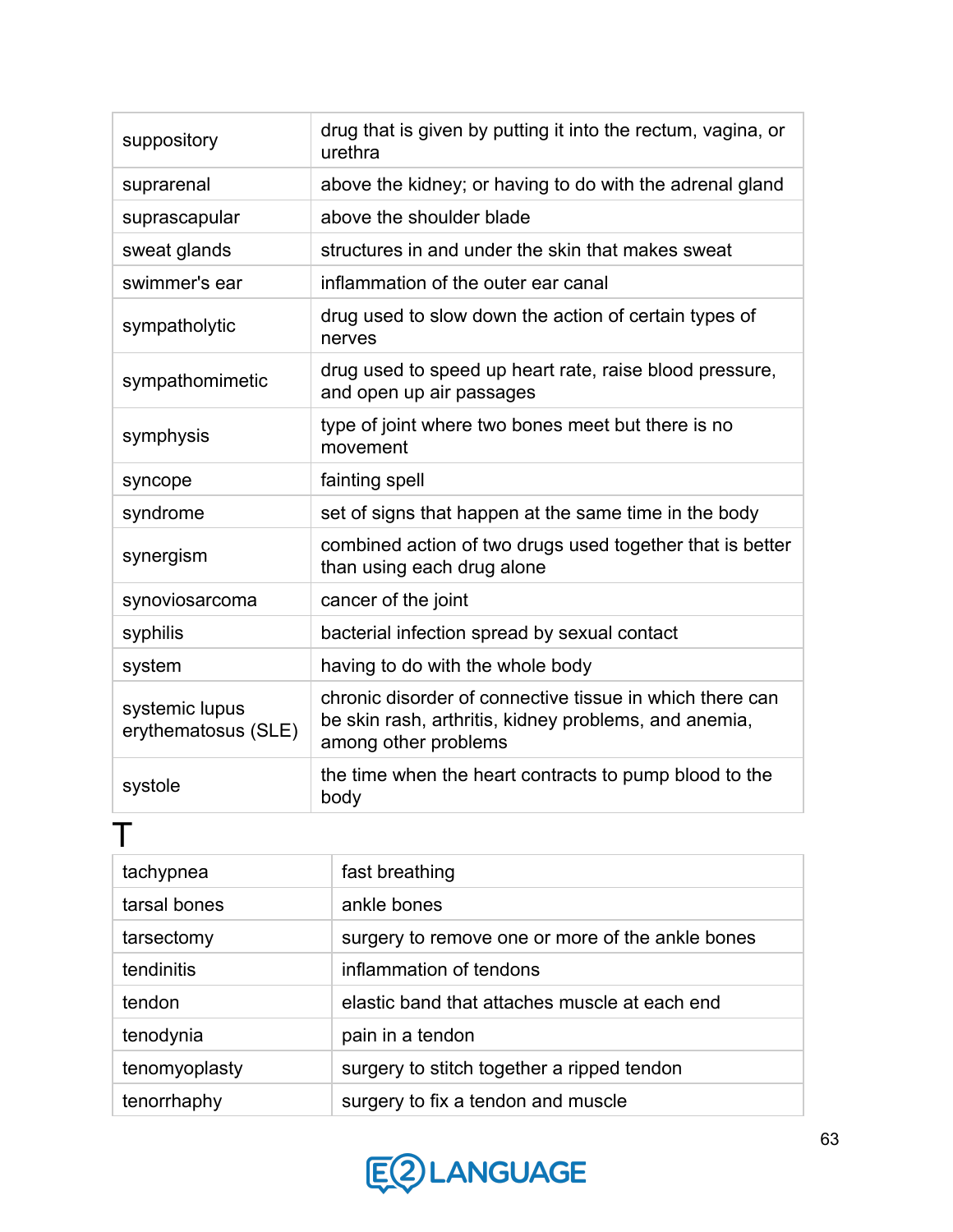| suppository                           | drug that is given by putting it into the rectum, vagina, or<br>urethra                                                                   |
|---------------------------------------|-------------------------------------------------------------------------------------------------------------------------------------------|
| suprarenal                            | above the kidney; or having to do with the adrenal gland                                                                                  |
| suprascapular                         | above the shoulder blade                                                                                                                  |
| sweat glands                          | structures in and under the skin that makes sweat                                                                                         |
| swimmer's ear                         | inflammation of the outer ear canal                                                                                                       |
| sympatholytic                         | drug used to slow down the action of certain types of<br>nerves                                                                           |
| sympathomimetic                       | drug used to speed up heart rate, raise blood pressure,<br>and open up air passages                                                       |
| symphysis                             | type of joint where two bones meet but there is no<br>movement                                                                            |
| syncope                               | fainting spell                                                                                                                            |
| syndrome                              | set of signs that happen at the same time in the body                                                                                     |
| synergism                             | combined action of two drugs used together that is better<br>than using each drug alone                                                   |
| synoviosarcoma                        | cancer of the joint                                                                                                                       |
| syphilis                              | bacterial infection spread by sexual contact                                                                                              |
| system                                | having to do with the whole body                                                                                                          |
| systemic lupus<br>erythematosus (SLE) | chronic disorder of connective tissue in which there can<br>be skin rash, arthritis, kidney problems, and anemia,<br>among other problems |
| systole                               | the time when the heart contracts to pump blood to the<br>body                                                                            |

| tachypnea     | fast breathing                                   |
|---------------|--------------------------------------------------|
| tarsal bones  | ankle bones                                      |
| tarsectomy    | surgery to remove one or more of the ankle bones |
| tendinitis    | inflammation of tendons                          |
| tendon        | elastic band that attaches muscle at each end    |
| tenodynia     | pain in a tendon                                 |
| tenomyoplasty | surgery to stitch together a ripped tendon       |
| tenorrhaphy   | surgery to fix a tendon and muscle               |

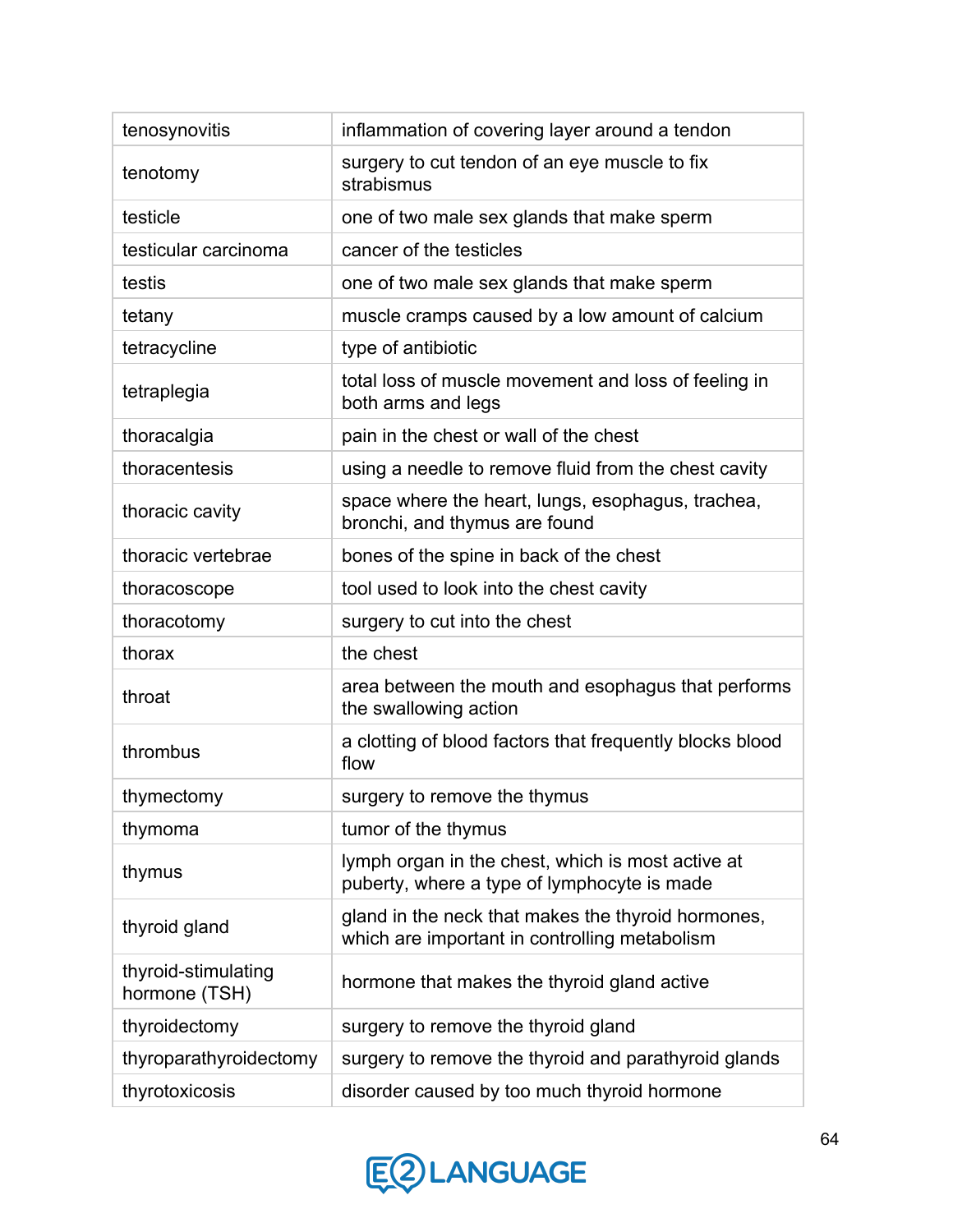| tenosynovitis                        | inflammation of covering layer around a tendon                                                      |
|--------------------------------------|-----------------------------------------------------------------------------------------------------|
| tenotomy                             | surgery to cut tendon of an eye muscle to fix<br>strabismus                                         |
| testicle                             | one of two male sex glands that make sperm                                                          |
| testicular carcinoma                 | cancer of the testicles                                                                             |
| testis                               | one of two male sex glands that make sperm                                                          |
| tetany                               | muscle cramps caused by a low amount of calcium                                                     |
| tetracycline                         | type of antibiotic                                                                                  |
| tetraplegia                          | total loss of muscle movement and loss of feeling in<br>both arms and legs                          |
| thoracalgia                          | pain in the chest or wall of the chest                                                              |
| thoracentesis                        | using a needle to remove fluid from the chest cavity                                                |
| thoracic cavity                      | space where the heart, lungs, esophagus, trachea,<br>bronchi, and thymus are found                  |
| thoracic vertebrae                   | bones of the spine in back of the chest                                                             |
| thoracoscope                         | tool used to look into the chest cavity                                                             |
| thoracotomy                          | surgery to cut into the chest                                                                       |
| thorax                               | the chest                                                                                           |
| throat                               | area between the mouth and esophagus that performs<br>the swallowing action                         |
| thrombus                             | a clotting of blood factors that frequently blocks blood<br>flow                                    |
| thymectomy                           | surgery to remove the thymus                                                                        |
| thymoma                              | tumor of the thymus                                                                                 |
| thymus                               | lymph organ in the chest, which is most active at<br>puberty, where a type of lymphocyte is made    |
| thyroid gland                        | gland in the neck that makes the thyroid hormones,<br>which are important in controlling metabolism |
| thyroid-stimulating<br>hormone (TSH) | hormone that makes the thyroid gland active                                                         |
| thyroidectomy                        | surgery to remove the thyroid gland                                                                 |
| thyroparathyroidectomy               | surgery to remove the thyroid and parathyroid glands                                                |
| thyrotoxicosis                       | disorder caused by too much thyroid hormone                                                         |

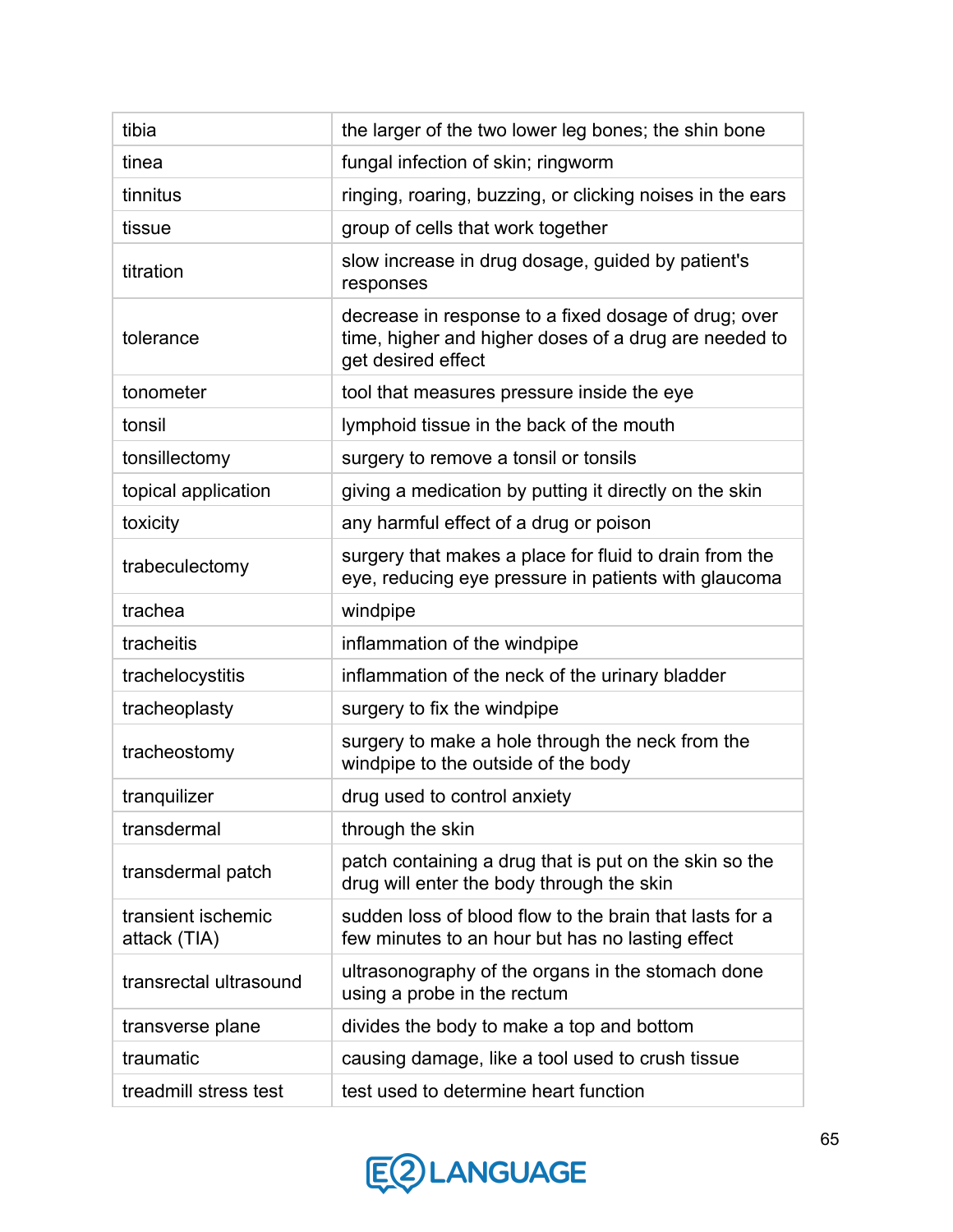| tibia                              | the larger of the two lower leg bones; the shin bone                                                                                |
|------------------------------------|-------------------------------------------------------------------------------------------------------------------------------------|
| tinea                              | fungal infection of skin; ringworm                                                                                                  |
| tinnitus                           | ringing, roaring, buzzing, or clicking noises in the ears                                                                           |
| tissue                             | group of cells that work together                                                                                                   |
| titration                          | slow increase in drug dosage, guided by patient's<br>responses                                                                      |
| tolerance                          | decrease in response to a fixed dosage of drug; over<br>time, higher and higher doses of a drug are needed to<br>get desired effect |
| tonometer                          | tool that measures pressure inside the eye                                                                                          |
| tonsil                             | lymphoid tissue in the back of the mouth                                                                                            |
| tonsillectomy                      | surgery to remove a tonsil or tonsils                                                                                               |
| topical application                | giving a medication by putting it directly on the skin                                                                              |
| toxicity                           | any harmful effect of a drug or poison                                                                                              |
| trabeculectomy                     | surgery that makes a place for fluid to drain from the<br>eye, reducing eye pressure in patients with glaucoma                      |
| trachea                            | windpipe                                                                                                                            |
| tracheitis                         | inflammation of the windpipe                                                                                                        |
| trachelocystitis                   | inflammation of the neck of the urinary bladder                                                                                     |
| tracheoplasty                      | surgery to fix the windpipe                                                                                                         |
| tracheostomy                       | surgery to make a hole through the neck from the<br>windpipe to the outside of the body                                             |
| tranquilizer                       | drug used to control anxiety                                                                                                        |
| transdermal                        | through the skin                                                                                                                    |
| transdermal patch                  | patch containing a drug that is put on the skin so the<br>drug will enter the body through the skin                                 |
| transient ischemic<br>attack (TIA) | sudden loss of blood flow to the brain that lasts for a<br>few minutes to an hour but has no lasting effect                         |
| transrectal ultrasound             | ultrasonography of the organs in the stomach done<br>using a probe in the rectum                                                    |
| transverse plane                   | divides the body to make a top and bottom                                                                                           |
| traumatic                          | causing damage, like a tool used to crush tissue                                                                                    |
| treadmill stress test              | test used to determine heart function                                                                                               |

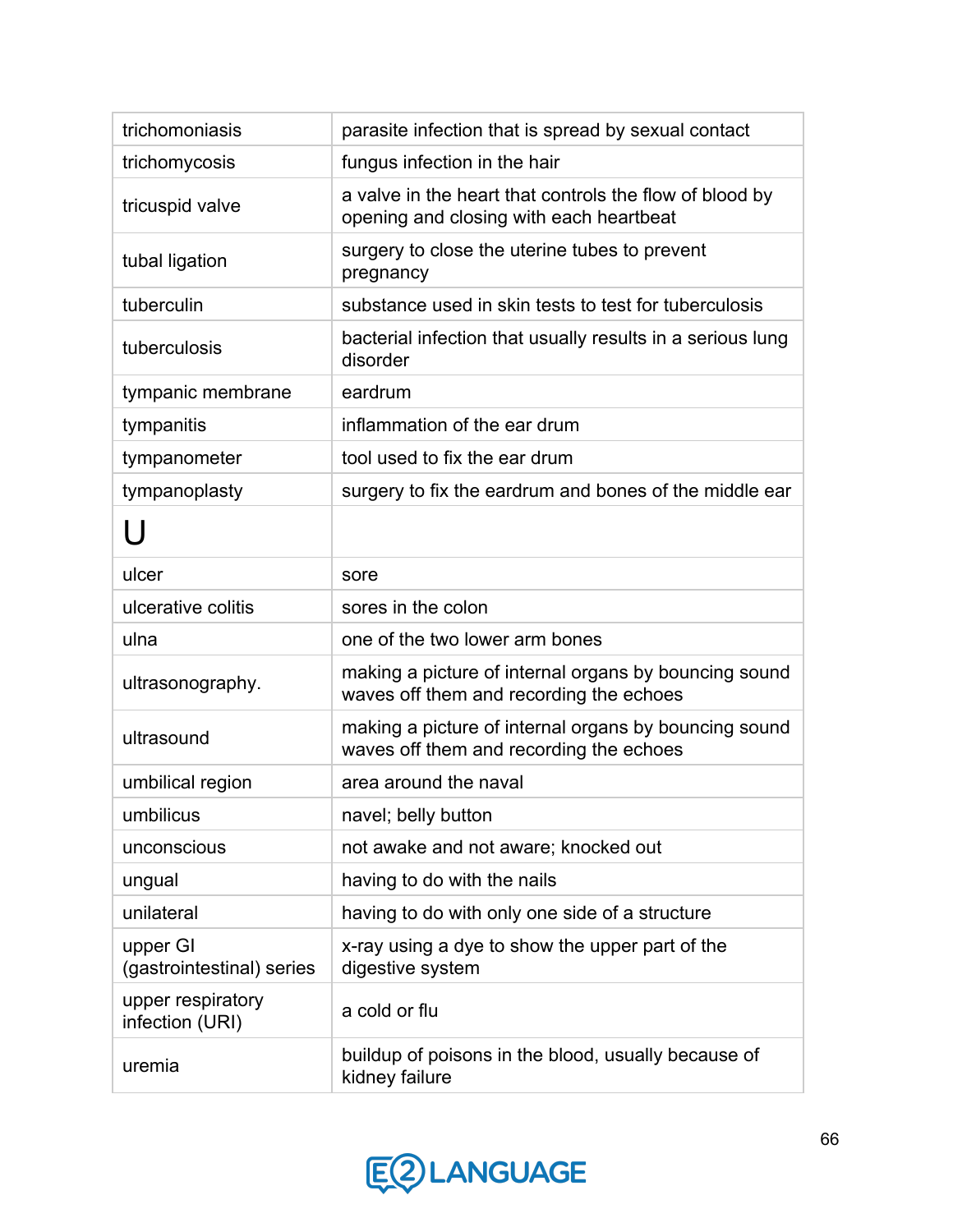| trichomoniasis                        | parasite infection that is spread by sexual contact                                                |
|---------------------------------------|----------------------------------------------------------------------------------------------------|
| trichomycosis                         | fungus infection in the hair                                                                       |
| tricuspid valve                       | a valve in the heart that controls the flow of blood by<br>opening and closing with each heartbeat |
| tubal ligation                        | surgery to close the uterine tubes to prevent<br>pregnancy                                         |
| tuberculin                            | substance used in skin tests to test for tuberculosis                                              |
| tuberculosis                          | bacterial infection that usually results in a serious lung<br>disorder                             |
| tympanic membrane                     | eardrum                                                                                            |
| tympanitis                            | inflammation of the ear drum                                                                       |
| tympanometer                          | tool used to fix the ear drum                                                                      |
| tympanoplasty                         | surgery to fix the eardrum and bones of the middle ear                                             |
| U                                     |                                                                                                    |
| ulcer                                 | sore                                                                                               |
| ulcerative colitis                    | sores in the colon                                                                                 |
| ulna                                  | one of the two lower arm bones                                                                     |
| ultrasonography.                      | making a picture of internal organs by bouncing sound<br>waves off them and recording the echoes   |
| ultrasound                            | making a picture of internal organs by bouncing sound<br>waves off them and recording the echoes   |
| umbilical region                      | area around the naval                                                                              |
| umbilicus                             | navel; belly button                                                                                |
| unconscious                           | not awake and not aware; knocked out                                                               |
| ungual                                | having to do with the nails                                                                        |
| unilateral                            | having to do with only one side of a structure                                                     |
| upper GI<br>(gastrointestinal) series | x-ray using a dye to show the upper part of the<br>digestive system                                |
| upper respiratory<br>infection (URI)  | a cold or flu                                                                                      |
| uremia                                | buildup of poisons in the blood, usually because of<br>kidney failure                              |

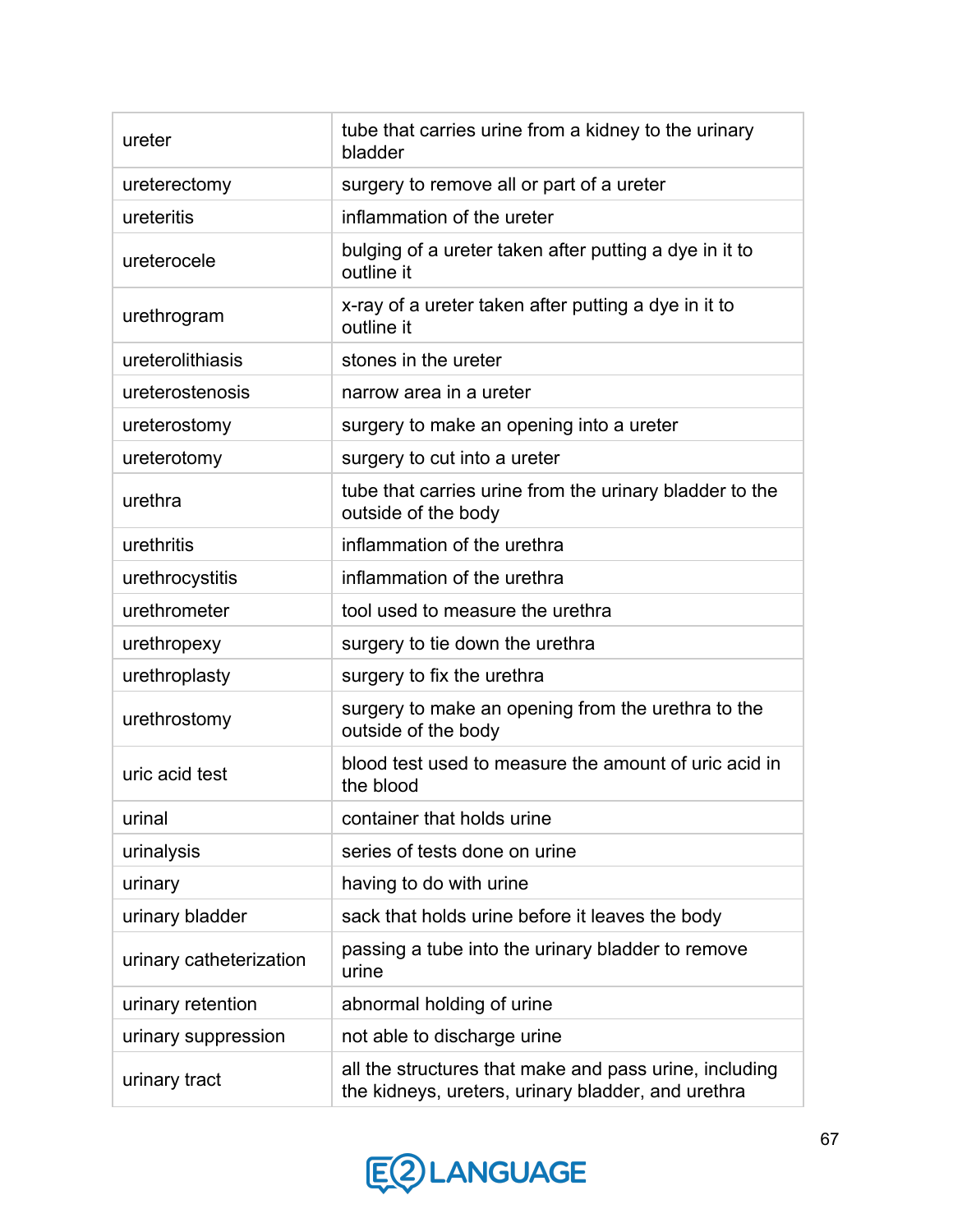| ureter                  | tube that carries urine from a kidney to the urinary<br>bladder                                              |
|-------------------------|--------------------------------------------------------------------------------------------------------------|
| ureterectomy            | surgery to remove all or part of a ureter                                                                    |
| ureteritis              | inflammation of the ureter                                                                                   |
| ureterocele             | bulging of a ureter taken after putting a dye in it to<br>outline it                                         |
| urethrogram             | x-ray of a ureter taken after putting a dye in it to<br>outline it                                           |
| ureterolithiasis        | stones in the ureter                                                                                         |
| ureterostenosis         | narrow area in a ureter                                                                                      |
| ureterostomy            | surgery to make an opening into a ureter                                                                     |
| ureterotomy             | surgery to cut into a ureter                                                                                 |
| urethra                 | tube that carries urine from the urinary bladder to the<br>outside of the body                               |
| urethritis              | inflammation of the urethra                                                                                  |
| urethrocystitis         | inflammation of the urethra                                                                                  |
| urethrometer            | tool used to measure the urethra                                                                             |
| urethropexy             | surgery to tie down the urethra                                                                              |
| urethroplasty           | surgery to fix the urethra                                                                                   |
| urethrostomy            | surgery to make an opening from the urethra to the<br>outside of the body                                    |
| uric acid test          | blood test used to measure the amount of uric acid in<br>the blood                                           |
| urinal                  | container that holds urine                                                                                   |
| urinalysis              | series of tests done on urine                                                                                |
| urinary                 | having to do with urine                                                                                      |
| urinary bladder         | sack that holds urine before it leaves the body                                                              |
| urinary catheterization | passing a tube into the urinary bladder to remove<br>urine                                                   |
| urinary retention       | abnormal holding of urine                                                                                    |
| urinary suppression     | not able to discharge urine                                                                                  |
| urinary tract           | all the structures that make and pass urine, including<br>the kidneys, ureters, urinary bladder, and urethra |

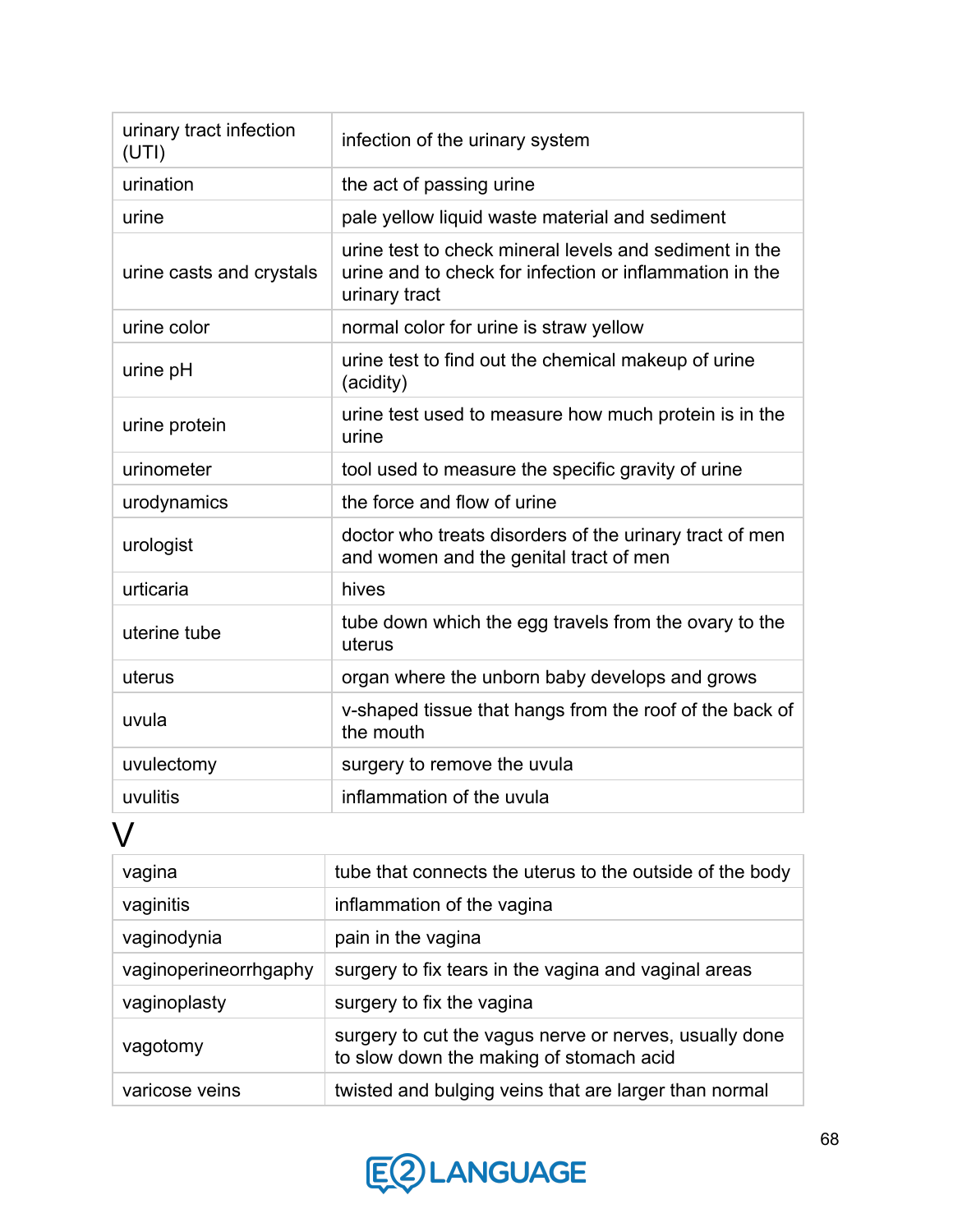| urinary tract infection<br>(UTI) | infection of the urinary system                                                                                                    |
|----------------------------------|------------------------------------------------------------------------------------------------------------------------------------|
| urination                        | the act of passing urine                                                                                                           |
| urine                            | pale yellow liquid waste material and sediment                                                                                     |
| urine casts and crystals         | urine test to check mineral levels and sediment in the<br>urine and to check for infection or inflammation in the<br>urinary tract |
| urine color                      | normal color for urine is straw yellow                                                                                             |
| urine pH                         | urine test to find out the chemical makeup of urine<br>(acidity)                                                                   |
| urine protein                    | urine test used to measure how much protein is in the<br>urine                                                                     |
| urinometer                       | tool used to measure the specific gravity of urine                                                                                 |
| urodynamics                      | the force and flow of urine                                                                                                        |
| urologist                        | doctor who treats disorders of the urinary tract of men<br>and women and the genital tract of men                                  |
| urticaria                        | hives                                                                                                                              |
| uterine tube                     | tube down which the egg travels from the ovary to the<br>uterus                                                                    |
| uterus                           | organ where the unborn baby develops and grows                                                                                     |
| uvula                            | v-shaped tissue that hangs from the roof of the back of<br>the mouth                                                               |
| uvulectomy                       | surgery to remove the uvula                                                                                                        |
| uvulitis                         | inflammation of the uvula                                                                                                          |

## V

| vagina                | tube that connects the uterus to the outside of the body                                          |
|-----------------------|---------------------------------------------------------------------------------------------------|
| vaginitis             | inflammation of the vagina                                                                        |
| vaginodynia           | pain in the vagina                                                                                |
| vaginoperineorrhgaphy | surgery to fix tears in the vagina and vaginal areas                                              |
| vaginoplasty          | surgery to fix the vagina                                                                         |
| vagotomy              | surgery to cut the vagus nerve or nerves, usually done<br>to slow down the making of stomach acid |
| varicose veins        | twisted and bulging veins that are larger than normal                                             |

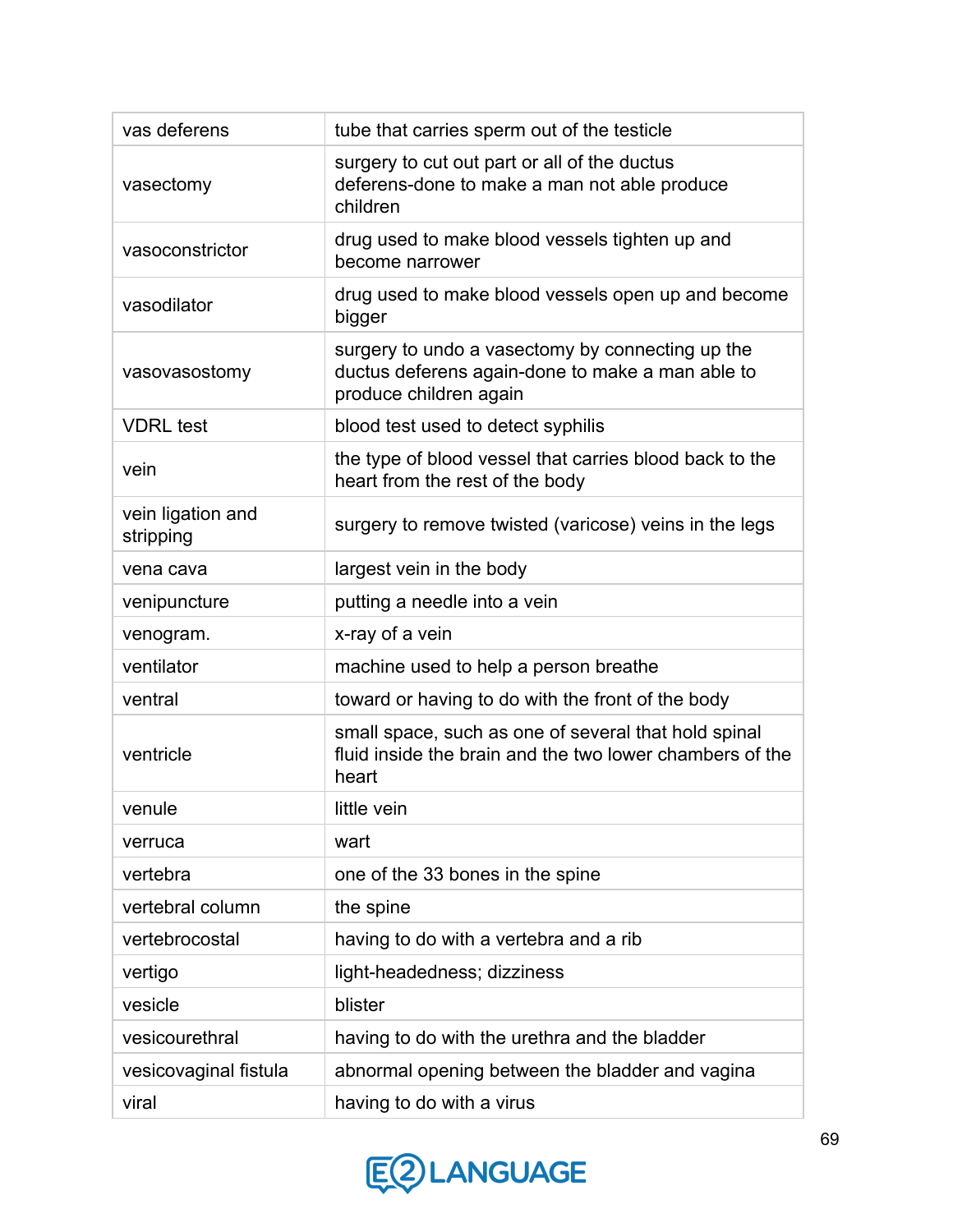| vas deferens                   | tube that carries sperm out of the testicle                                                                                    |
|--------------------------------|--------------------------------------------------------------------------------------------------------------------------------|
| vasectomy                      | surgery to cut out part or all of the ductus<br>deferens-done to make a man not able produce<br>children                       |
| vasoconstrictor                | drug used to make blood vessels tighten up and<br>become narrower                                                              |
| vasodilator                    | drug used to make blood vessels open up and become<br>bigger                                                                   |
| vasovasostomy                  | surgery to undo a vasectomy by connecting up the<br>ductus deferens again-done to make a man able to<br>produce children again |
| <b>VDRL</b> test               | blood test used to detect syphilis                                                                                             |
| vein                           | the type of blood vessel that carries blood back to the<br>heart from the rest of the body                                     |
| vein ligation and<br>stripping | surgery to remove twisted (varicose) veins in the legs                                                                         |
| vena cava                      | largest vein in the body                                                                                                       |
| venipuncture                   | putting a needle into a vein                                                                                                   |
| venogram.                      | x-ray of a vein                                                                                                                |
| ventilator                     | machine used to help a person breathe                                                                                          |
| ventral                        | toward or having to do with the front of the body                                                                              |
| ventricle                      | small space, such as one of several that hold spinal<br>fluid inside the brain and the two lower chambers of the<br>heart      |
| venule                         | little vein                                                                                                                    |
| verruca                        | wart                                                                                                                           |
| vertebra                       | one of the 33 bones in the spine                                                                                               |
| vertebral column               | the spine                                                                                                                      |
| vertebrocostal                 | having to do with a vertebra and a rib                                                                                         |
| vertigo                        | light-headedness; dizziness                                                                                                    |
| vesicle                        | blister                                                                                                                        |
| vesicourethral                 | having to do with the urethra and the bladder                                                                                  |
| vesicovaginal fistula          | abnormal opening between the bladder and vagina                                                                                |
| viral                          | having to do with a virus                                                                                                      |

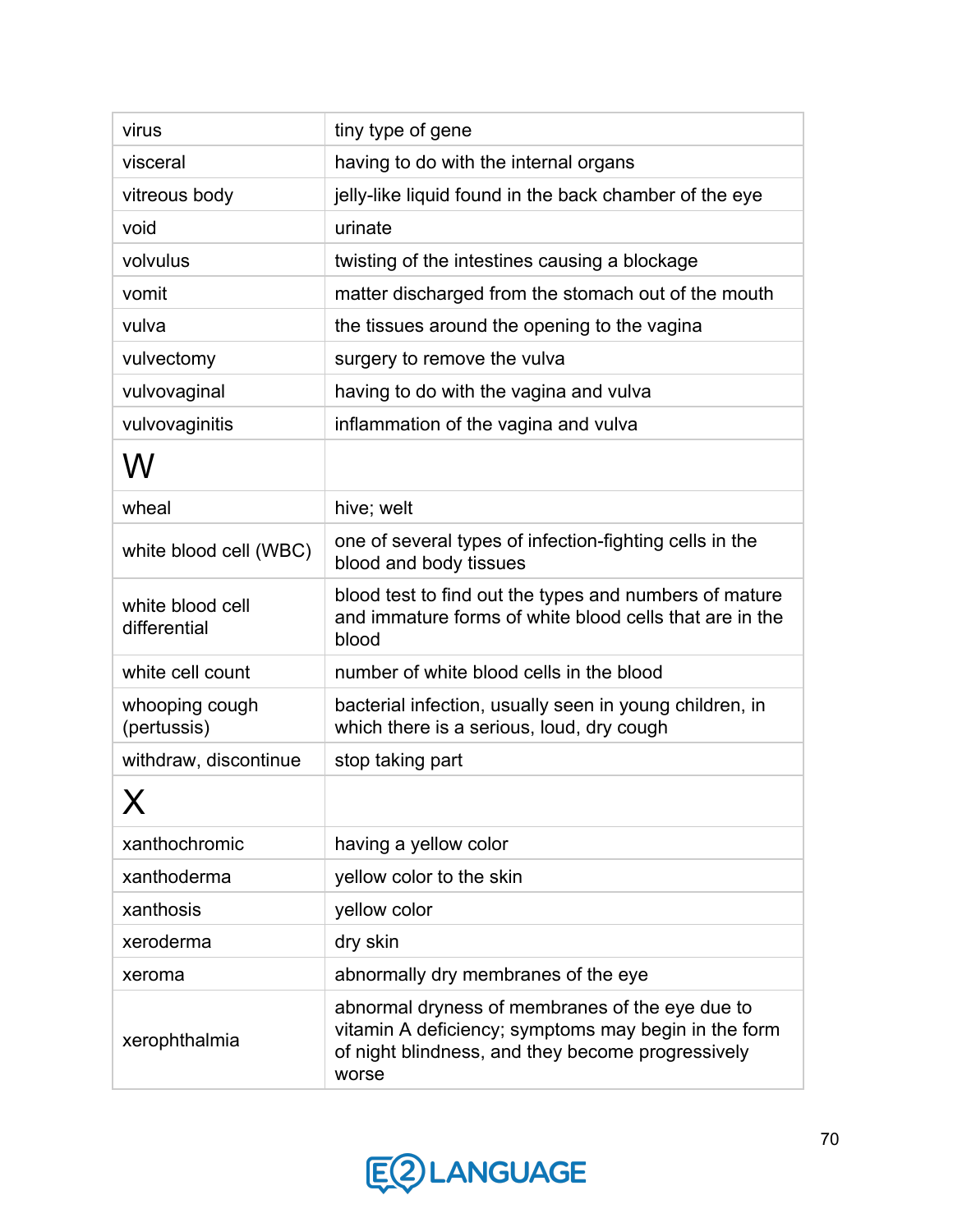| virus                            | tiny type of gene                                                                                                                                                     |
|----------------------------------|-----------------------------------------------------------------------------------------------------------------------------------------------------------------------|
| visceral                         | having to do with the internal organs                                                                                                                                 |
| vitreous body                    | jelly-like liquid found in the back chamber of the eye                                                                                                                |
| void                             | urinate                                                                                                                                                               |
| volvulus                         | twisting of the intestines causing a blockage                                                                                                                         |
| vomit                            | matter discharged from the stomach out of the mouth                                                                                                                   |
| vulva                            | the tissues around the opening to the vagina                                                                                                                          |
| vulvectomy                       | surgery to remove the vulva                                                                                                                                           |
| vulvovaginal                     | having to do with the vagina and vulva                                                                                                                                |
| vulvovaginitis                   | inflammation of the vagina and vulva                                                                                                                                  |
| W                                |                                                                                                                                                                       |
| wheal                            | hive; welt                                                                                                                                                            |
| white blood cell (WBC)           | one of several types of infection-fighting cells in the<br>blood and body tissues                                                                                     |
| white blood cell<br>differential | blood test to find out the types and numbers of mature<br>and immature forms of white blood cells that are in the<br>blood                                            |
| white cell count                 | number of white blood cells in the blood                                                                                                                              |
| whooping cough<br>(pertussis)    | bacterial infection, usually seen in young children, in<br>which there is a serious, loud, dry cough                                                                  |
| withdraw, discontinue            | stop taking part                                                                                                                                                      |
| X                                |                                                                                                                                                                       |
| xanthochromic                    | having a yellow color                                                                                                                                                 |
| xanthoderma                      | yellow color to the skin                                                                                                                                              |
| xanthosis                        | yellow color                                                                                                                                                          |
| xeroderma                        | dry skin                                                                                                                                                              |
| xeroma                           | abnormally dry membranes of the eye                                                                                                                                   |
| xerophthalmia                    | abnormal dryness of membranes of the eye due to<br>vitamin A deficiency; symptoms may begin in the form<br>of night blindness, and they become progressively<br>worse |